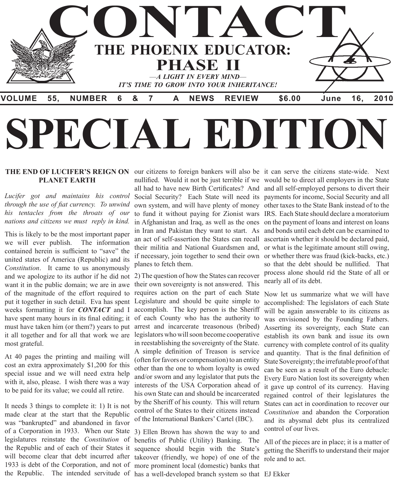

## THE END OF LUCIFER'S REIGN ON our citizens to foreign bankers will also be it can serve the citizens state-wide. Next **PLANET EARTH**

*Lucifer got and maintains his control through the use of fiat currency. To unwind his tentacles from the throats of our nations and citizens we must reply in kind.*

This is likely to be the most important paper we will ever publish. The information contained herein is sufficient to "save" the united states of America (Republic) and its *Constitution*. It came to us anonymously and we apologize to its author if he did not 2) The question of how the States can recover want it in the public domain; we are in awe of the magnitude of the effort required to put it together in such detail. Eva has spent weeks formatting it for *CONTACT* and I have spent many hours in its final editing; it must have taken him (or them?) years to put it all together and for all that work we are legislators who will soon become cooperative most grateful.

At 40 pages the printing and mailing will cost an extra approximately \$1,200 for this special issue and we will need extra help with it, also, please. I wish there was a way to be paid for its value; we could all retire.

It needs 3 things to complete it: 1) It is not made clear at the start that the Republic was "bankrupted" and abandoned in favor of a Corporation in 1933. When our State legislatures reinstate the *Constitution* of the Republic and of each of their States it will become clear that debt incurred after takeover (friendly, we hope) of one of the 1933 is debt of the Corporation, and not of

in Afghanistan and Iraq, as well as the ones in Iran and Pakistan they want to start. As an act of self-assertion the States can recall their militia and National Guardsmen and, planes to fetch them.

their own sovereignty is not answered. This requires action on the part of each State Legislature and should be quite simple to accomplish. The key person is the Sheriff of each County who has the authority to arrest and incarcerate treasonous (bribed) in reestablishing the sovereignty of the State. A simple definition of Treason is service (often for favors or compensation) to an entity other than the one to whom loyalty is owed and/or sworn and any legislator that puts the interests of the USA Corporation ahead of his own State can and should be incarcerated by the Sheriff of his county. This will return control of the States to their citizens instead of the International Bankers' Cartel (IBC).

the Republic. The intended servitude of has a well-developed branch system so that EJ Ekker3) Ellen Brown has shown the way to and benefits of Public (Utility) Banking. The sequence should begin with the State's more prominent local (domestic) banks that

nullified. Would it not be just terrible if we would be to direct all employers in the State all had to have new Birth Certificates? And and all self-employed persons to divert their Social Security? Each State will need its payments for income, Social Security and all own system, and will have plenty of money other taxes to the State Bank instead of to the to fund it without paying for Zionist wars IRS. Each State should declare a moratorium if necessary, join together to send their own or whether there was fraud (kick-backs, etc.) on the payment of loans and interest on loans and bonds until each debt can be examined to ascertain whether it should be declared paid, or what is the legitimate amount still owing, so that the debt should be nullified. That process alone should rid the State of all or nearly all of its debt.

> Now let us summarize what we will have accomplished: The legislators of each State will be again answerable to its citizens as was envisioned by the Founding Fathers. Asserting its sovereignty, each State can establish its own bank and issue its own currency with complete control of its quality and quantity. That is the final definition of State Sovereignty; the irrefutable proof of that can be seen as a result of the Euro debacle: Every Euro Nation lost its sovereignty when it gave up control of its currency. Having regained control of their legislatures the States can act in coordination to recover our *Constitution* and abandon the Corporation and its abysmal debt plus its centralized control of our lives.

> All of the pieces are in place; it is a matter of getting the Sheriffs to understand their major role and to act.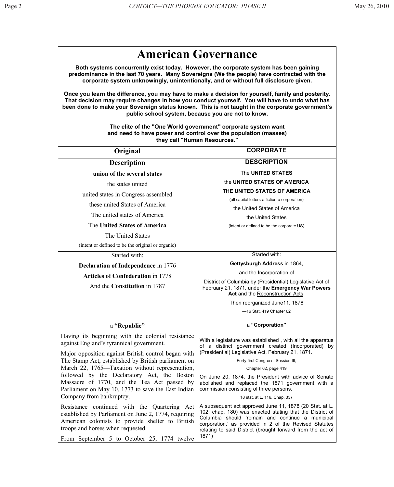|                                                                                                                                                                                                                                                                                                                                                              | <b>American Governance</b>                                                                                                                                                                                                                                                                               |
|--------------------------------------------------------------------------------------------------------------------------------------------------------------------------------------------------------------------------------------------------------------------------------------------------------------------------------------------------------------|----------------------------------------------------------------------------------------------------------------------------------------------------------------------------------------------------------------------------------------------------------------------------------------------------------|
| Both systems concurrently exist today. However, the corporate system has been gaining<br>predominance in the last 70 years. Many Sovereigns (We the people) have contracted with the<br>corporate system unknowingly, unintentionally, and or without full disclosure given.                                                                                 |                                                                                                                                                                                                                                                                                                          |
| Once you learn the difference, you may have to make a decision for yourself, family and posterity.<br>That decision may require changes in how you conduct yourself. You will have to undo what has<br>been done to make your Sovereign status known. This is not taught in the corporate government's<br>public school system, because you are not to know. |                                                                                                                                                                                                                                                                                                          |
|                                                                                                                                                                                                                                                                                                                                                              | The elite of the "One World government" corporate system want<br>and need to have power and control over the population (masses)<br>they call "Human Resources."                                                                                                                                         |
| Original                                                                                                                                                                                                                                                                                                                                                     | <b>CORPORATE</b>                                                                                                                                                                                                                                                                                         |
| <b>Description</b>                                                                                                                                                                                                                                                                                                                                           | <b>DESCRIPTION</b>                                                                                                                                                                                                                                                                                       |
| union of the several states                                                                                                                                                                                                                                                                                                                                  | The UNITED STATES                                                                                                                                                                                                                                                                                        |
| the states united                                                                                                                                                                                                                                                                                                                                            | the UNITED STATES OF AMERICA                                                                                                                                                                                                                                                                             |
| united states in Congress assembled                                                                                                                                                                                                                                                                                                                          | THE UNITED STATES OF AMERICA                                                                                                                                                                                                                                                                             |
| these united States of America                                                                                                                                                                                                                                                                                                                               | (all capital letters-a fiction-a corporation)                                                                                                                                                                                                                                                            |
| The united states of America                                                                                                                                                                                                                                                                                                                                 | the United States of America                                                                                                                                                                                                                                                                             |
| The United States of America                                                                                                                                                                                                                                                                                                                                 | the United States                                                                                                                                                                                                                                                                                        |
|                                                                                                                                                                                                                                                                                                                                                              | (intent or defined to be the corporate US)                                                                                                                                                                                                                                                               |
| The United States                                                                                                                                                                                                                                                                                                                                            |                                                                                                                                                                                                                                                                                                          |
| (intent or defined to be the original or organic)                                                                                                                                                                                                                                                                                                            | Started with:                                                                                                                                                                                                                                                                                            |
| Started with:                                                                                                                                                                                                                                                                                                                                                | Gettysburgh Address in 1864,                                                                                                                                                                                                                                                                             |
| <b>Declaration of Independence</b> in 1776                                                                                                                                                                                                                                                                                                                   | and the Incorporation of                                                                                                                                                                                                                                                                                 |
| <b>Articles of Confederation in 1778</b>                                                                                                                                                                                                                                                                                                                     | District of Columbia by (Presidential) Legislative Act of                                                                                                                                                                                                                                                |
| And the Constitution in 1787                                                                                                                                                                                                                                                                                                                                 | February 21, 1871, under the Emergency War Powers<br>Act and the Reconstruction Acts.                                                                                                                                                                                                                    |
|                                                                                                                                                                                                                                                                                                                                                              | Then reorganized June11, 1878                                                                                                                                                                                                                                                                            |
|                                                                                                                                                                                                                                                                                                                                                              | -16 Stat. 419 Chapter 62                                                                                                                                                                                                                                                                                 |
| a "Republic"                                                                                                                                                                                                                                                                                                                                                 | a "Corporation"                                                                                                                                                                                                                                                                                          |
| Having its beginning with the colonial resistance<br>against England's tyrannical government.<br>Major opposition against British control began with                                                                                                                                                                                                         | With a legislature was established, with all the apparatus<br>of a distinct government created (Incorporated) by<br>(Presidential) Legislative Act, February 21, 1871.                                                                                                                                   |
| The Stamp Act, established by British parliament on                                                                                                                                                                                                                                                                                                          | Forty-first Congress, Session III,                                                                                                                                                                                                                                                                       |
| March 22, 1765—Taxation without representation,                                                                                                                                                                                                                                                                                                              | Chapter 62, page 419                                                                                                                                                                                                                                                                                     |
| followed by the Declaratory Act, the Boston<br>Massacre of 1770, and the Tea Act passed by<br>Parliament on May 10, 1773 to save the East Indian                                                                                                                                                                                                             | On June 20, 1874, the President with advice of Senate<br>abolished and replaced the 1871 government with a<br>commission consisting of three persons.                                                                                                                                                    |
| Company from bankruptcy.                                                                                                                                                                                                                                                                                                                                     | 18 stat. at L. 116, Chap. 337                                                                                                                                                                                                                                                                            |
| Resistance continued with the Quartering Act<br>established by Parliament on June 2, 1774, requiring<br>American colonists to provide shelter to British<br>troops and horses when requested.                                                                                                                                                                | A subsequent act approved June 11, 1878 (20 Stat. at L.<br>102, chap. 180) was enacted stating that the District of<br>Columbia should 'remain and continue a municipal<br>corporation,' as provided in 2 of the Revised Statutes<br>relating to said District (brought forward from the act of<br>1871) |
| From September 5 to October 25, 1774 twelve                                                                                                                                                                                                                                                                                                                  |                                                                                                                                                                                                                                                                                                          |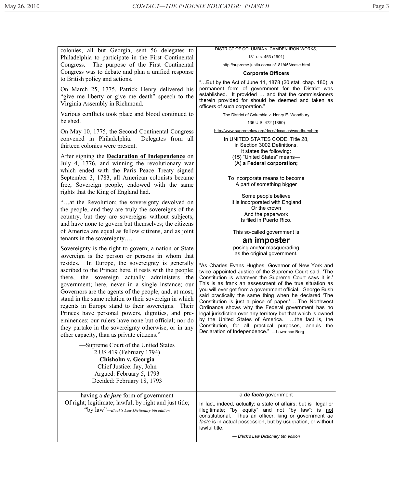colonies, all but Georgia, sent 56 delegates to Philadelphia to participate in the First Continental Congress. The purpose of the First Continental Congress was to debate and plan a unified response to British policy and actions.

On March 25, 1775, Patrick Henry delivered his "give me liberty or give me death" speech to the Virginia Assembly in Richmond.

Various conflicts took place and blood continued to be shed.

On May 10, 1775, the Second Continental Congress convened in Philadelphia. Delegates from all thirteen colonies were present.

After signing the **Declaration of Independence** on July 4, 1776, and winning the revolutionary war which ended with the Paris Peace Treaty signed September 3, 1783, all American colonists became free, Sovereign people, endowed with the same rights that the King of England had.

"…at the Revolution; the sovereignty devolved on the people, and they are truly the sovereigns of the country, but they are sovereigns without subjects, and have none to govern but themselves; the citizens of America are equal as fellow citizens, and as joint tenants in the sovereignty….

Sovereignty is the right to govern; a nation or State sovereign is the person or persons in whom that resides. In Europe, the sovereignty is generally ascribed to the Prince; here, it rests with the people; there, the sovereign actually administers the government; here, never in a single instance; our Governors are the agents of the people, and, at most, stand in the same relation to their sovereign in which regents in Europe stand to their sovereigns. Their Princes have personal powers, dignities, and preeminences; our rulers have none but official; nor do they partake in the sovereignty otherwise, or in any other capacity, than as private citizens."

## DISTRICT OF COLUMBIA v. CAMDEN IRON WORKS,

181 u.s. 453 (1901)

http://supreme.justia.com/us/181/453/case.html

## **Corporate Officers**

"…But by the Act of June 11, 1878 (20 stat. chap. 180), a permanent form of government for the District was established. It provided … and that the commissioners therein provided for should be deemed and taken as officers of such corporation."

The District of Columbia v. Henry E. Woodbury

136 U.S. 472 (1890)

http://www.supremelaw.org/decs/dccases/woodbury/htm

In UNITED STATES CODE, Title 28, in Section 3002 Definitions, it states the following: (15) "United States" means— (A) **a Federal corporation;** 

To incorporate means to become A part of something bigger

Some people believe It is incorporated with England Or the crown And the paperwork Is filed in Puerto Rico.

This so-called government is

## **an imposter**

posing and/or masquerading as the original government.

"As Charles Evans Hughes, Governor of New York and twice appointed Justice of the Supreme Court said. 'The Constitution is whatever the Supreme Court says it is.' This is as frank an assessment of the true situation as you will ever get from a government official. George Bush said practically the same thing when he declared 'The Constitution is just a piece of paper.' …The Northwest Ordinance shows why the Federal government has no legal jurisdiction over any territory but that which is owned by the United States of America. …the fact is, the Constitution, for all practical purposes, annuls the Declaration of Independence." —Lawrence Berg

| —Supreme Court of the United States<br>2 US 419 (February 1794)                                       |                                                                                                                                                                                                                                                                   |
|-------------------------------------------------------------------------------------------------------|-------------------------------------------------------------------------------------------------------------------------------------------------------------------------------------------------------------------------------------------------------------------|
| Chisholm v. Georgia                                                                                   |                                                                                                                                                                                                                                                                   |
| Chief Justice: Jay, John<br>Argued: February 5, 1793                                                  |                                                                                                                                                                                                                                                                   |
| Decided: February 18, 1793                                                                            |                                                                                                                                                                                                                                                                   |
|                                                                                                       |                                                                                                                                                                                                                                                                   |
| having a <i>de jure</i> form of government                                                            | a de facto government                                                                                                                                                                                                                                             |
| Of right; legitimate; lawful; by right and just title;<br>"by law"—Black's Law Dictionary 6th edition | In fact, indeed, actually; a state of affairs; but is illegal or<br>illegitimate; "by equity" and not "by law"; is not<br>constitutional. Thus an officer, king or government de<br>facto is in actual possession, but by usurpation, or without<br>lawful title. |
|                                                                                                       | - Black's Law Dictionary 6th edition                                                                                                                                                                                                                              |
|                                                                                                       |                                                                                                                                                                                                                                                                   |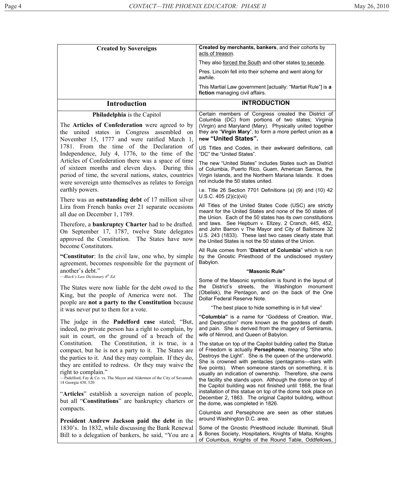| <b>Created by Sovereigns</b>                                                                                                                                                                                                                                                                                                                           | Created by merchants, bankers, and their cohorts by<br>acts of treason.                                                                                                                                                                                                                                                                                                                                                                                                                |
|--------------------------------------------------------------------------------------------------------------------------------------------------------------------------------------------------------------------------------------------------------------------------------------------------------------------------------------------------------|----------------------------------------------------------------------------------------------------------------------------------------------------------------------------------------------------------------------------------------------------------------------------------------------------------------------------------------------------------------------------------------------------------------------------------------------------------------------------------------|
|                                                                                                                                                                                                                                                                                                                                                        | They also forced the South and other states to secede.                                                                                                                                                                                                                                                                                                                                                                                                                                 |
|                                                                                                                                                                                                                                                                                                                                                        | Pres. Lincoln fell into their scheme and went along for<br>awhile.                                                                                                                                                                                                                                                                                                                                                                                                                     |
|                                                                                                                                                                                                                                                                                                                                                        | This Martial Law government [actually: "Martial Rule"] is a<br>fiction managing civil affairs.                                                                                                                                                                                                                                                                                                                                                                                         |
| <b>Introduction</b>                                                                                                                                                                                                                                                                                                                                    | <b>INTRODUCTION</b>                                                                                                                                                                                                                                                                                                                                                                                                                                                                    |
| Philadelphia is the Capitol                                                                                                                                                                                                                                                                                                                            | Certain members of Congress created the District of                                                                                                                                                                                                                                                                                                                                                                                                                                    |
| The Articles of Confederation were agreed to by<br>the united states in Congress assembled on<br>November 15, 1777 and were ratified March 1,                                                                                                                                                                                                          | Columbia (DC) from portions of two states; Virginia<br>(Virgin) and Maryland (Mary). Physically united together<br>they are "Virgin Mary", to form a more perfect union as a<br>new "United States".                                                                                                                                                                                                                                                                                   |
| 1781. From the time of the Declaration of<br>Independence, July 4, 1776, to the time of the                                                                                                                                                                                                                                                            | US Titles and Codes, in their awkward definitions, call<br>"DC" the "United States".                                                                                                                                                                                                                                                                                                                                                                                                   |
| Articles of Confederation there was a space of time<br>of sixteen months and eleven days. During this<br>period of time, the several nations, states, countries<br>were sovereign unto themselves as relates to foreign                                                                                                                                | The new "United States" includes States such as District<br>of Columbia, Puerto Rico, Guam, American Samoa, the<br>Virgin Islands, and the Northern Mariana Islands. It does<br>not include the 50 states united.                                                                                                                                                                                                                                                                      |
| earthly powers.<br>There was an <b>outstanding debt</b> of 17 million silver                                                                                                                                                                                                                                                                           | i.e. Title 26 Section 7701 Definitions (a) (9) and (10) 42<br>U.S.C. 405 (2)(c)(vii)                                                                                                                                                                                                                                                                                                                                                                                                   |
| Lira from French banks over 21 separate occasions<br>all due on December 1, 1789.                                                                                                                                                                                                                                                                      | All Titles of the United States Code (USC) are strictly<br>meant for the United States and none of the 50 states of<br>the Union. Each of the 50 states has its own constitutions                                                                                                                                                                                                                                                                                                      |
| Therefore, a <b>bankruptcy Charter</b> had to be drafted.<br>On September 17, 1787, twelve State delegates<br>approved the Constitution. The States have now<br>become Constitutors.                                                                                                                                                                   | and laws. See Hepburn v. Ellzey, 2 Cranch, 445, 452,<br>and John Barron v The Mayor and City of Baltimore 32<br>U.S. 243 (1833). These last two cases clearly state that<br>the United States is not the 50 states of the Union.                                                                                                                                                                                                                                                       |
| "Constitutor: In the civil law, one who, by simple<br>agreement, becomes responsible for the payment of                                                                                                                                                                                                                                                | All Rule comes from "District of Columbia" which is run<br>by the Gnostic Priesthood of the undisclosed mystery<br>Babylon.                                                                                                                                                                                                                                                                                                                                                            |
| another's debt."                                                                                                                                                                                                                                                                                                                                       | "Masonic Rule"                                                                                                                                                                                                                                                                                                                                                                                                                                                                         |
| -Black's Law Dictionary $6th Ed$ .<br>The States were now liable for the debt owed to the<br>King, but the people of America were not.<br>The<br>people are not a party to the Constitution because                                                                                                                                                    | Some of the Masonic symbolism is found in the layout of<br>the District's streets, the Washington monument<br>(Obelisk), the Pentagon, and on the back of the One<br>Dollar Federal Reserve Note.                                                                                                                                                                                                                                                                                      |
| it was never put to them for a vote.                                                                                                                                                                                                                                                                                                                   | "The best place to hide something is in full view"                                                                                                                                                                                                                                                                                                                                                                                                                                     |
| The judge in the <b>Padelford case</b> stated; "But,<br>indeed, no private person has a right to complain, by<br>suit in court, on the ground of a breach of the                                                                                                                                                                                       | "Columbia" is a name for "Goddess of Creation, War,<br>and Destruction" more known as the goddess of death<br>and pain. She is derived from the imagery of Semiramis,<br>wife of Nimrod, and Queen of Babylon.                                                                                                                                                                                                                                                                         |
| The Constitution, it is true, is a<br>Constitution.<br>compact, but he is not a party to it. The States are<br>the parties to it. And they may complain. If they do,<br>they are entitled to redress. Or they may waive the<br>right to complain."<br>-Padelford, Fay & Co. vs. The Mayor and Aldermen of the City of Savannah.<br>14 Georgia 438, 520 | The statue on top of the Capitol building called the Statue<br>of Freedom is actually Persephone, meaning "She who<br>Destroys the Light". She is the queen of the underworld.<br>She is crowned with pentacles (pentagrams-stars with<br>five points). When someone stands on something, it is<br>usually an indication of ownership. Therefore, she owns<br>the facility she stands upon. Although the dome on top of<br>the Capitol building was not finished until 1868, the final |
| "Articles" establish a sovereign nation of people,<br>but all "Constitutions" are bankruptcy charters or<br>compacts.                                                                                                                                                                                                                                  | installation of this statue on top of the dome took place on<br>December 2, 1863. The original Capitol building, without<br>the dome, was completed in 1826.                                                                                                                                                                                                                                                                                                                           |
|                                                                                                                                                                                                                                                                                                                                                        | Columbia and Persephone are seen as other statues<br>around Washington D.C. area.                                                                                                                                                                                                                                                                                                                                                                                                      |
| President Andrew Jackson paid the debt in the<br>1830's. In 1832, while discussing the Bank Renewal<br>Bill to a delegation of bankers, he said, "You are a                                                                                                                                                                                            | Some of the Gnostic Priesthood include: Illuminati, Skull<br>& Bones Society, Hospitaliers, Knights of Malta, Knights<br>of Columbus, Knights of the Round Table, Oddfellows,                                                                                                                                                                                                                                                                                                          |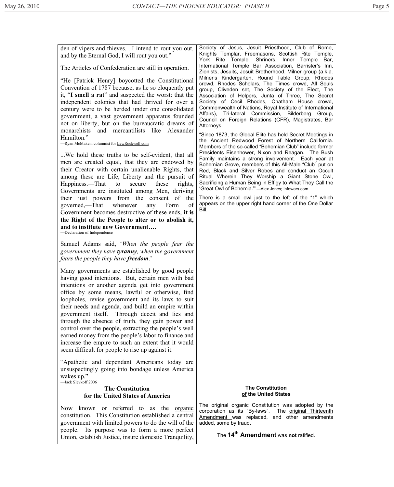| den of vipers and thieves. I intend to rout you out,<br>and by the Eternal God, I will rout you out."<br>The Articles of Confederation are still in operation.<br>"He [Patrick Henry] boycotted the Constitutional<br>Convention of 1787 because, as he so eloquently put<br>it, "I smell a rat" and suspected the worst: that the<br>independent colonies that had thrived for over a<br>century were to be herded under one consolidated<br>government, a vast government apparatus founded<br>not on liberty, but on the bureaucratic dreams of<br>and mercantilists like Alexander<br>monarchists<br>Hamilton."<br>-Ryan McMaken, columnist for LewRockwell.com<br>We hold these truths to be self-evident, that all<br>men are created equal, that they are endowed by<br>their Creator with certain unalienable Rights, that<br>among these are Life, Liberty and the pursuit of<br>Happiness.—That to<br>secure<br>these<br>rights,<br>Governments are instituted among Men, deriving<br>their just powers from the consent of the<br>of<br>governed,—That whenever<br>Form<br>any<br>Government becomes destructive of these ends, it is<br>the Right of the People to alter or to abolish it,<br>and to institute new Government<br>-Declaration of Independence<br>Samuel Adams said, 'When the people fear the | Society of Jesus, Jesuit Priesthood, Club of Rome,<br>Knights Templar, Freemasons, Scottish Rite Temple,<br>York Rite Temple, Shriners, Inner Temple<br>Bar.<br>International Temple Bar Association, Barrister's Inn,<br>Zionists, Jesuits, Jesuit Brotherhood, Milner group (a.k.a.<br>Milner's Kindergarten, Round Table Group, Rhodes<br>crowd, Rhodes Scholars, The Times crowd, All Souls<br>group, Cliveden set, The Society of the Elect, The<br>Association of Helpers, Junta of Three, The Secret<br>Society of Cecil Rhodes, Chatham House crowd,<br>Commonwealth of Nations, Royal Institute of International<br>Affairs), Tri-lateral Commission, Bilderberg Group,<br>Council on Foreign Relations (CFR), Magistrates, Bar<br>Attorneys.<br>"Since 1873, the Global Elite has held Secret Meetings in<br>the Ancient Redwood Forest of Northern California.<br>Members of the so-called "Bohemian Club" include former<br>Presidents Eisenhower, Nixon and Reagan. The Bush<br>Family maintains a strong involvement. Each year at<br>Bohemian Grove, members of this All-Male "Club" put on<br>Red, Black and Silver Robes and conduct an Occult<br>Ritual Wherein They Worship a Giant Stone Owl,<br>Sacrificing a Human Being in Effigy to What They Call the<br>'Great Owl of Bohemia.""-Alex Jones; Infowars.com<br>There is a small owl just to the left of the "1" which<br>appears on the upper right hand corner of the One Dollar<br>Bill. |
|---------------------------------------------------------------------------------------------------------------------------------------------------------------------------------------------------------------------------------------------------------------------------------------------------------------------------------------------------------------------------------------------------------------------------------------------------------------------------------------------------------------------------------------------------------------------------------------------------------------------------------------------------------------------------------------------------------------------------------------------------------------------------------------------------------------------------------------------------------------------------------------------------------------------------------------------------------------------------------------------------------------------------------------------------------------------------------------------------------------------------------------------------------------------------------------------------------------------------------------------------------------------------------------------------------------------------|--------------------------------------------------------------------------------------------------------------------------------------------------------------------------------------------------------------------------------------------------------------------------------------------------------------------------------------------------------------------------------------------------------------------------------------------------------------------------------------------------------------------------------------------------------------------------------------------------------------------------------------------------------------------------------------------------------------------------------------------------------------------------------------------------------------------------------------------------------------------------------------------------------------------------------------------------------------------------------------------------------------------------------------------------------------------------------------------------------------------------------------------------------------------------------------------------------------------------------------------------------------------------------------------------------------------------------------------------------------------------------------------------------------------------------------------------------------------|
| government they have tyranny, when the government<br><i>fears the people they have <b>freedom</b></i> .'<br>Many governments are established by good people<br>having good intentions. But, certain men with bad<br>intentions or another agenda get into government<br>office by some means, lawful or otherwise, find<br>loopholes, revise government and its laws to suit<br>their needs and agenda, and build an empire within<br>government itself. Through deceit and lies and<br>through the absence of truth, they gain power and<br>control over the people, extracting the people's well<br>earned money from the people's labor to finance and<br>increase the empire to such an extent that it would<br>seem difficult for people to rise up against it.<br>"Apathetic and dependant Americans today are<br>unsuspectingly going into bondage unless America<br>wakes up."<br>-Jack Slevkoff 2006                                                                                                                                                                                                                                                                                                                                                                                                             |                                                                                                                                                                                                                                                                                                                                                                                                                                                                                                                                                                                                                                                                                                                                                                                                                                                                                                                                                                                                                                                                                                                                                                                                                                                                                                                                                                                                                                                                    |
| <b>The Constitution</b>                                                                                                                                                                                                                                                                                                                                                                                                                                                                                                                                                                                                                                                                                                                                                                                                                                                                                                                                                                                                                                                                                                                                                                                                                                                                                                   | <b>The Constitution</b>                                                                                                                                                                                                                                                                                                                                                                                                                                                                                                                                                                                                                                                                                                                                                                                                                                                                                                                                                                                                                                                                                                                                                                                                                                                                                                                                                                                                                                            |
| for the United States of America                                                                                                                                                                                                                                                                                                                                                                                                                                                                                                                                                                                                                                                                                                                                                                                                                                                                                                                                                                                                                                                                                                                                                                                                                                                                                          | of the United States                                                                                                                                                                                                                                                                                                                                                                                                                                                                                                                                                                                                                                                                                                                                                                                                                                                                                                                                                                                                                                                                                                                                                                                                                                                                                                                                                                                                                                               |
| known or referred to as the <u>organic</u>                                                                                                                                                                                                                                                                                                                                                                                                                                                                                                                                                                                                                                                                                                                                                                                                                                                                                                                                                                                                                                                                                                                                                                                                                                                                                | The original organic Constitution was adopted by the                                                                                                                                                                                                                                                                                                                                                                                                                                                                                                                                                                                                                                                                                                                                                                                                                                                                                                                                                                                                                                                                                                                                                                                                                                                                                                                                                                                                               |
| Now                                                                                                                                                                                                                                                                                                                                                                                                                                                                                                                                                                                                                                                                                                                                                                                                                                                                                                                                                                                                                                                                                                                                                                                                                                                                                                                       | corporation as its "By-laws".                                                                                                                                                                                                                                                                                                                                                                                                                                                                                                                                                                                                                                                                                                                                                                                                                                                                                                                                                                                                                                                                                                                                                                                                                                                                                                                                                                                                                                      |
| constitution. This Constitution established a central                                                                                                                                                                                                                                                                                                                                                                                                                                                                                                                                                                                                                                                                                                                                                                                                                                                                                                                                                                                                                                                                                                                                                                                                                                                                     | The original Thirteenth                                                                                                                                                                                                                                                                                                                                                                                                                                                                                                                                                                                                                                                                                                                                                                                                                                                                                                                                                                                                                                                                                                                                                                                                                                                                                                                                                                                                                                            |
| government with limited powers to do the will of the                                                                                                                                                                                                                                                                                                                                                                                                                                                                                                                                                                                                                                                                                                                                                                                                                                                                                                                                                                                                                                                                                                                                                                                                                                                                      | Amendment was replaced, and other amendments                                                                                                                                                                                                                                                                                                                                                                                                                                                                                                                                                                                                                                                                                                                                                                                                                                                                                                                                                                                                                                                                                                                                                                                                                                                                                                                                                                                                                       |
| people. Its purpose was to form a more perfect                                                                                                                                                                                                                                                                                                                                                                                                                                                                                                                                                                                                                                                                                                                                                                                                                                                                                                                                                                                                                                                                                                                                                                                                                                                                            | added, some by fraud.                                                                                                                                                                                                                                                                                                                                                                                                                                                                                                                                                                                                                                                                                                                                                                                                                                                                                                                                                                                                                                                                                                                                                                                                                                                                                                                                                                                                                                              |
| Union, establish Justice, insure domestic Tranquility,                                                                                                                                                                                                                                                                                                                                                                                                                                                                                                                                                                                                                                                                                                                                                                                                                                                                                                                                                                                                                                                                                                                                                                                                                                                                    | The 14 <sup>th</sup> Amendment was not ratified.                                                                                                                                                                                                                                                                                                                                                                                                                                                                                                                                                                                                                                                                                                                                                                                                                                                                                                                                                                                                                                                                                                                                                                                                                                                                                                                                                                                                                   |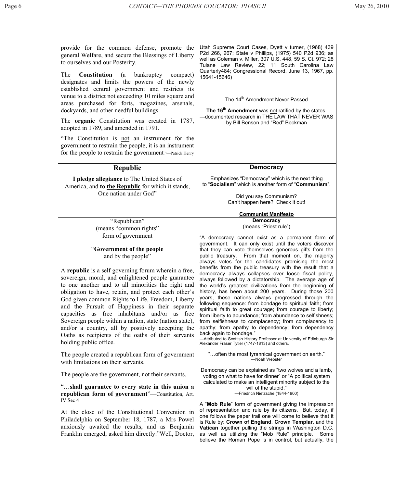| provide for the common defense, promote the<br>general Welfare, and secure the Blessings of Liberty<br>to ourselves and our Posterity.<br>The<br><b>Constitution</b><br>(a<br>bankruptcy<br>compact)<br>designates and limits the powers of the newly<br>established central government and restricts its<br>venue to a district not exceeding 10 miles square and<br>areas purchased for forts, magazines, arsenals,<br>dockyards, and other needful buildings.<br>The <b>organic</b> Constitution was created in 1787,<br>adopted in 1789, and amended in 1791.<br>"The Constitution is not an instrument for the<br>government to restrain the people, it is an instrument<br>for the people to restrain the government."—Patrick Henry | Utah Supreme Court Cases, Dyett v turner, (1968) 439<br>P2d 266, 267; State v Phillips, (1975) 540 P2d 936; as<br>well as Coleman v. Miller, 307 U.S. 448, 59 S. Ct. 972; 28<br>Tulane Law Review, 22; 11 South Carolina Law<br>Quarterly484; Congressional Record, June 13, 1967, pp.<br>15641-15646)<br>The 14 <sup>th</sup> Amendment Never Passed<br>The 16 <sup>th</sup> Amendment was not ratified by the states.<br>-documented research in THE LAW THAT NEVER WAS<br>by Bill Benson and "Red" Beckman                                                                                                                                                                                                                                                                                                      |
|--------------------------------------------------------------------------------------------------------------------------------------------------------------------------------------------------------------------------------------------------------------------------------------------------------------------------------------------------------------------------------------------------------------------------------------------------------------------------------------------------------------------------------------------------------------------------------------------------------------------------------------------------------------------------------------------------------------------------------------------|--------------------------------------------------------------------------------------------------------------------------------------------------------------------------------------------------------------------------------------------------------------------------------------------------------------------------------------------------------------------------------------------------------------------------------------------------------------------------------------------------------------------------------------------------------------------------------------------------------------------------------------------------------------------------------------------------------------------------------------------------------------------------------------------------------------------|
| <b>Republic</b>                                                                                                                                                                                                                                                                                                                                                                                                                                                                                                                                                                                                                                                                                                                            | <b>Democracy</b>                                                                                                                                                                                                                                                                                                                                                                                                                                                                                                                                                                                                                                                                                                                                                                                                   |
| I pledge allegiance to The United States of<br>America, and to the Republic for which it stands,<br>One nation under God"                                                                                                                                                                                                                                                                                                                                                                                                                                                                                                                                                                                                                  | Emphasizes "Democracy" which is the next thing<br>to "Socialism" which is another form of "Communism".<br>Did you say Communism?<br>Can't happen here? Check it out!                                                                                                                                                                                                                                                                                                                                                                                                                                                                                                                                                                                                                                               |
| "Republican"                                                                                                                                                                                                                                                                                                                                                                                                                                                                                                                                                                                                                                                                                                                               | <b>Communist Manifesto</b><br><b>Democracy</b>                                                                                                                                                                                                                                                                                                                                                                                                                                                                                                                                                                                                                                                                                                                                                                     |
|                                                                                                                                                                                                                                                                                                                                                                                                                                                                                                                                                                                                                                                                                                                                            | (means "Priest rule")                                                                                                                                                                                                                                                                                                                                                                                                                                                                                                                                                                                                                                                                                                                                                                                              |
| (means "common rights"                                                                                                                                                                                                                                                                                                                                                                                                                                                                                                                                                                                                                                                                                                                     |                                                                                                                                                                                                                                                                                                                                                                                                                                                                                                                                                                                                                                                                                                                                                                                                                    |
| form of government<br>"Government of the people<br>and by the people"                                                                                                                                                                                                                                                                                                                                                                                                                                                                                                                                                                                                                                                                      | "A democracy cannot exist as a permanent form of<br>government. It can only exist until the voters discover<br>that they can vote themselves generous gifts from the<br>public treasury. From that moment on, the majority<br>always votes for the candidates promising the most                                                                                                                                                                                                                                                                                                                                                                                                                                                                                                                                   |
| A republic is a self governing forum wherein a free,<br>sovereign, moral, and enlightened people guarantee<br>to one another and to all minorities the right and<br>obligation to have, retain, and protect each other's<br>God given common Rights to Life, Freedom, Liberty<br>and the Pursuit of Happiness in their separate<br>capacities as free inhabitants and/or as free<br>Sovereign people within a nation, state (nation state),<br>and/or a country, all by positively accepting the<br>Oaths as recipients of the oaths of their servants<br>holding public office.                                                                                                                                                           | benefits from the public treasury with the result that a<br>democracy always collapses over loose fiscal policy,<br>always followed by a dictatorship. The average age of<br>the world's greatest civilizations from the beginning of<br>history, has been about 200 years. During those 200<br>years, these nations always progressed through the<br>following sequence: from bondage to spiritual faith; from<br>spiritual faith to great courage; from courage to liberty;<br>from liberty to abundance; from abundance to selfishness;<br>from selfishness to complacency; from complacency to<br>apathy; from apathy to dependency; from dependency<br>back again to bondage."<br>-Attributed to Scottish History Professor at University of Edinburgh Sir<br>Alexander Fraser Tytler (1747-1813) and others. |
| The people created a republican form of government<br>with limitations on their servants.                                                                                                                                                                                                                                                                                                                                                                                                                                                                                                                                                                                                                                                  | " often the most tyrannical government on earth."<br>-Noah Webster                                                                                                                                                                                                                                                                                                                                                                                                                                                                                                                                                                                                                                                                                                                                                 |
| The people are the government, not their servants.                                                                                                                                                                                                                                                                                                                                                                                                                                                                                                                                                                                                                                                                                         | Democracy can be explained as "two wolves and a lamb,<br>voting on what to have for dinner" or "A political system                                                                                                                                                                                                                                                                                                                                                                                                                                                                                                                                                                                                                                                                                                 |
| "shall guarantee to every state in this union a<br>republican form of government"-Constitution, Art.<br>IV Sec 4                                                                                                                                                                                                                                                                                                                                                                                                                                                                                                                                                                                                                           | calculated to make an intelligent minority subject to the<br>will of the stupid."<br>-Friedrich Nietzsche (1844-1900)                                                                                                                                                                                                                                                                                                                                                                                                                                                                                                                                                                                                                                                                                              |
| At the close of the Constitutional Convention in<br>Philadelphia on September 18, 1787, a Mrs Powel<br>anxiously awaited the results, and as Benjamin                                                                                                                                                                                                                                                                                                                                                                                                                                                                                                                                                                                      | A "Mob Rule" form of government giving the impression<br>of representation and rule by its citizens. But, today, if<br>one follows the paper trail one will come to believe that it<br>is Rule by: Crown of England, Crown Templar, and the<br>Vatican together pulling the strings in Washington D.C.<br>as well as utilizing the "Mob Rule" principle.<br>Some                                                                                                                                                                                                                                                                                                                                                                                                                                                   |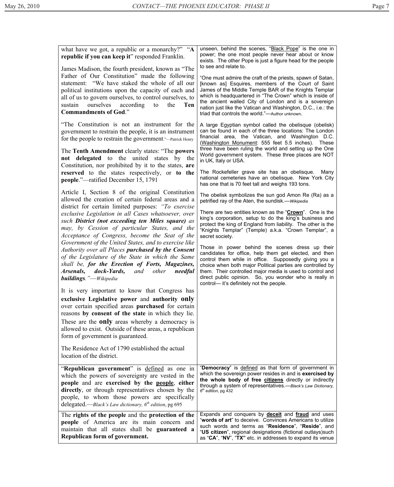| what have we got, a republic or a monarchy?" "A<br>republic if you can keep it" responded Franklin.<br>James Madison, the fourth president, known as "The<br>Father of Our Constitution" made the following<br>statement: "We have staked the whole of all our<br>political institutions upon the capacity of each and<br>all of us to govern ourselves, to control ourselves, to<br>ourselves<br>according<br>Ten<br>sustain<br>to<br>the<br><b>Commandments of God."</b>                                                                                                                                                                                                                                                                                                                                                                                                                                                                                                                                                                                                                                                                                                                                                                                                                                                                                                                                                                                                                                                                                                          | unseen, behind the scenes, "Black Pope" is the one in<br>power; the one most people never hear about or know<br>exists. The other Pope is just a figure head for the people<br>to see and relate to.<br>"One must admire the craft of the priests, spawn of Satan,<br>[known as] Esquires, members of the Court of Saint<br>James of the Middle Temple BAR of the Knights Templar<br>which is headquartered in "The Crown" which is inside of<br>the ancient walled City of London and is a sovereign<br>nation just like the Vatican and Washington, D.C., i.e.: the<br>triad that controls the world."-Author unknown.                                                                                                                                                                                                                                                                                                                                                                                                                                                                                                                                                                                                                                                                                                         |
|-------------------------------------------------------------------------------------------------------------------------------------------------------------------------------------------------------------------------------------------------------------------------------------------------------------------------------------------------------------------------------------------------------------------------------------------------------------------------------------------------------------------------------------------------------------------------------------------------------------------------------------------------------------------------------------------------------------------------------------------------------------------------------------------------------------------------------------------------------------------------------------------------------------------------------------------------------------------------------------------------------------------------------------------------------------------------------------------------------------------------------------------------------------------------------------------------------------------------------------------------------------------------------------------------------------------------------------------------------------------------------------------------------------------------------------------------------------------------------------------------------------------------------------------------------------------------------------|----------------------------------------------------------------------------------------------------------------------------------------------------------------------------------------------------------------------------------------------------------------------------------------------------------------------------------------------------------------------------------------------------------------------------------------------------------------------------------------------------------------------------------------------------------------------------------------------------------------------------------------------------------------------------------------------------------------------------------------------------------------------------------------------------------------------------------------------------------------------------------------------------------------------------------------------------------------------------------------------------------------------------------------------------------------------------------------------------------------------------------------------------------------------------------------------------------------------------------------------------------------------------------------------------------------------------------|
| "The Constitution is not an instrument for the<br>government to restrain the people, it is an instrument<br>for the people to restrain the government."—Patrick Henry<br>The Tenth Amendment clearly states: "The powers<br>not delegated to the united states by the<br>Constitution, nor prohibited by it to the states, are<br>reserved to the states respectively, or to the<br>people."—ratified December 15, 1791<br>Article I, Section 8 of the original Constitution<br>allowed the creation of certain federal areas and a<br>district for certain limited purposes: "To exercise<br>exclusive Legislation in all Cases whatsoever, over<br>such District (not exceeding ten Miles square) as<br>may, by Cession of particular States, and the<br>Acceptance of Congress, become the Seat of the<br>Government of the United States, and to exercise like<br>Authority over all Places purchased by the Consent<br>of the Legislature of the State in which the Same<br>shall be, for the Erection of Forts, Magazines,<br><b>Arsenals, dock-Yards,</b> and<br>other<br>needful<br><b>buildings.</b> "-Wikipedia<br>It is very important to know that Congress has<br>exclusive Legislative power and authority only<br>over certain specified areas purchased for certain<br>reasons by consent of the state in which they lie.<br>These are the <b>only</b> areas whereby a democracy is<br>allowed to exist. Outside of these areas, a republican<br>form of government is guaranteed.<br>The Residence Act of 1790 established the actual<br>location of the district. | A large Egyptian symbol called the obelisque (obelisk)<br>can be found in each of the three locations: The London<br>financial area, the Vatican, and Washington D.C.<br>(Washington Monument: 555 feet 5.5 inches). These<br>three have been ruling the world and setting up the One<br>World government system. These three places are NOT<br>in UK, Italy or USA.<br>The Rockefeller grave site has an obelisque.<br>Many<br>national cemeteries have an obelisque. New York City<br>has one that is 70 feet tall and weighs 193 tons.<br>The obelisk symbolizes the sun god Amon Re (Ra) as a<br>petrified ray of the Aten, the sundisk.-- Wikipedia<br>There are two entities known as the "Crown". One is the<br>king's corporation, setup to do the king's business and<br>protect the king of England from liability. The other is the<br>"Knights Templar" (Temple) a.k.a. "Crown Templar", a<br>secret society.<br>Those in power behind the scenes dress up their<br>candidates for office, help them get elected, and then<br>control them while in office. Supposedly giving you a<br>choice when both major Political parties are controlled by<br>them. Their controlled major media is used to control and<br>direct public opinion. So, you wonder who is really in<br>control- it's definitely not the people. |
| "Republican government" is defined as one in<br>which the powers of sovereignty are vested in the<br>people and are exercised by the people, either<br>directly, or through representatives chosen by the<br>people, to whom those powers are specifically<br>delegated.—Black's Law dictionary, $6th$ edition, pg 695                                                                                                                                                                                                                                                                                                                                                                                                                                                                                                                                                                                                                                                                                                                                                                                                                                                                                                                                                                                                                                                                                                                                                                                                                                                              | "Democracy" is defined as that form of government in<br>which the sovereign power resides in and is exercised by<br>the whole body of free citizens directly or indirectly<br>through a system of representatives.-Black's Law Dictionary,<br>$6th$ edition, pg 432                                                                                                                                                                                                                                                                                                                                                                                                                                                                                                                                                                                                                                                                                                                                                                                                                                                                                                                                                                                                                                                              |
| The rights of the people and the protection of the<br>people of America are its main concern and<br>maintain that all states shall be <b>guaranteed a</b><br>Republican form of government.                                                                                                                                                                                                                                                                                                                                                                                                                                                                                                                                                                                                                                                                                                                                                                                                                                                                                                                                                                                                                                                                                                                                                                                                                                                                                                                                                                                         | Expands and conquers by <b>deceit</b> and <b>fraud</b> and uses<br>"words of art" to deceive. Convinces Americans to utilize<br>such words and terms as "Residence", "Reside", and<br>"US citizen", regional designations (fictional outlays) such<br>as "CA", "NV", "TX" etc. in addresses to expand its venue                                                                                                                                                                                                                                                                                                                                                                                                                                                                                                                                                                                                                                                                                                                                                                                                                                                                                                                                                                                                                  |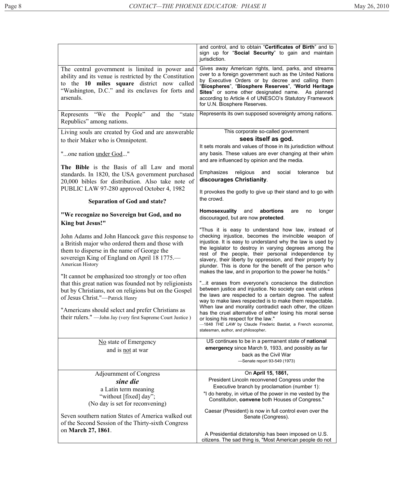|                                                                                                                                                                                                                                                                                                                                                                                                                                                                                                                                                         | and control, and to obtain "Certificates of Birth" and to<br>sign up for "Social Security" to gain and maintain<br>jurisdiction.                                                                                                                                                                                                                                                                                                                                                                                                                                                                                                                                                                                                                                                                                                                                                                                                                                                                    |
|---------------------------------------------------------------------------------------------------------------------------------------------------------------------------------------------------------------------------------------------------------------------------------------------------------------------------------------------------------------------------------------------------------------------------------------------------------------------------------------------------------------------------------------------------------|-----------------------------------------------------------------------------------------------------------------------------------------------------------------------------------------------------------------------------------------------------------------------------------------------------------------------------------------------------------------------------------------------------------------------------------------------------------------------------------------------------------------------------------------------------------------------------------------------------------------------------------------------------------------------------------------------------------------------------------------------------------------------------------------------------------------------------------------------------------------------------------------------------------------------------------------------------------------------------------------------------|
| The central government is limited in power and<br>ability and its venue is restricted by the Constitution<br>to the 10 miles square district now called<br>"Washington, D.C." and its enclaves for forts and<br>arsenals.                                                                                                                                                                                                                                                                                                                               | Gives away American rights, land, parks, and streams<br>over to a foreign government such as the United Nations<br>by Executive Orders or by decree and calling them<br>"Biospheres", "Biosphere Reserves", "World Heritage<br>Sites" or some other designated name. As planned<br>according to Article 4 of UNESCO's Statutory Framework<br>for U.N. Biosphere Reserves.                                                                                                                                                                                                                                                                                                                                                                                                                                                                                                                                                                                                                           |
| Represents "We the People" and the "state<br>Republics" among nations.                                                                                                                                                                                                                                                                                                                                                                                                                                                                                  | Represents its own supposed sovereignty among nations.                                                                                                                                                                                                                                                                                                                                                                                                                                                                                                                                                                                                                                                                                                                                                                                                                                                                                                                                              |
| Living souls are created by God and are answerable                                                                                                                                                                                                                                                                                                                                                                                                                                                                                                      | This corporate so-called government                                                                                                                                                                                                                                                                                                                                                                                                                                                                                                                                                                                                                                                                                                                                                                                                                                                                                                                                                                 |
| to their Maker who is Omnipotent.                                                                                                                                                                                                                                                                                                                                                                                                                                                                                                                       | sees itself as god.                                                                                                                                                                                                                                                                                                                                                                                                                                                                                                                                                                                                                                                                                                                                                                                                                                                                                                                                                                                 |
| "one nation under God"                                                                                                                                                                                                                                                                                                                                                                                                                                                                                                                                  | It sets morals and values of those in its jurisdiction without<br>any basis. These values are ever changing at their whim<br>and are influenced by opinion and the media.                                                                                                                                                                                                                                                                                                                                                                                                                                                                                                                                                                                                                                                                                                                                                                                                                           |
| The Bible is the Basis of all Law and moral                                                                                                                                                                                                                                                                                                                                                                                                                                                                                                             | Emphasizes<br>religious<br>social<br>tolerance<br>and<br>but                                                                                                                                                                                                                                                                                                                                                                                                                                                                                                                                                                                                                                                                                                                                                                                                                                                                                                                                        |
| standards. In 1820, the USA government purchased<br>20,000 bibles for distribution. Also take note of                                                                                                                                                                                                                                                                                                                                                                                                                                                   | discourages Christianity.                                                                                                                                                                                                                                                                                                                                                                                                                                                                                                                                                                                                                                                                                                                                                                                                                                                                                                                                                                           |
| PUBLIC LAW 97-280 approved October 4, 1982                                                                                                                                                                                                                                                                                                                                                                                                                                                                                                              |                                                                                                                                                                                                                                                                                                                                                                                                                                                                                                                                                                                                                                                                                                                                                                                                                                                                                                                                                                                                     |
|                                                                                                                                                                                                                                                                                                                                                                                                                                                                                                                                                         | It provokes the godly to give up their stand and to go with<br>the crowd.                                                                                                                                                                                                                                                                                                                                                                                                                                                                                                                                                                                                                                                                                                                                                                                                                                                                                                                           |
| <b>Separation of God and state?</b>                                                                                                                                                                                                                                                                                                                                                                                                                                                                                                                     |                                                                                                                                                                                                                                                                                                                                                                                                                                                                                                                                                                                                                                                                                                                                                                                                                                                                                                                                                                                                     |
| "We recognize no Sovereign but God, and no<br>King but Jesus!"                                                                                                                                                                                                                                                                                                                                                                                                                                                                                          | Homosexuality<br>abortions<br>and<br>longer<br>are<br>no<br>discouraged, but are now protected.                                                                                                                                                                                                                                                                                                                                                                                                                                                                                                                                                                                                                                                                                                                                                                                                                                                                                                     |
| John Adams and John Hancock gave this response to<br>a British major who ordered them and those with<br>them to disperse in the name of George the<br>sovereign King of England on April 18 1775.—<br>American History<br>"It cannot be emphasized too strongly or too often<br>that this great nation was founded not by religionists<br>but by Christians, not on religions but on the Gospel<br>of Jesus Christ."-Patrick Henry<br>"Americans should select and prefer Christians as<br>their rulers." — John Jay (very first Supreme Court Justice) | "Thus it is easy to understand how law, instead of<br>checking injustice, becomes the invincible weapon of<br>injustice. It is easy to understand why the law is used by<br>the legislator to destroy in varying degrees among the<br>rest of the people, their personal independence by<br>slavery, their liberty by oppression, and their property by<br>plunder. This is done for the benefit of the person who<br>makes the law, and in proportion to the power he holds."<br>"it erases from everyone's conscience the distinction<br>between justice and injustice. No society can exist unless<br>the laws are respected to a certain degree. The safest<br>way to make laws respected is to make them respectable.<br>When law and morality contradict each other, the citizen<br>has the cruel alternative of either losing his moral sense<br>or losing his respect for the law."<br>-1848 THE LAW by Claude Frederic Bastiat, a French economist,<br>statesman, author, and philosopher. |
| No state of Emergency                                                                                                                                                                                                                                                                                                                                                                                                                                                                                                                                   | US continues to be in a permanent state of national                                                                                                                                                                                                                                                                                                                                                                                                                                                                                                                                                                                                                                                                                                                                                                                                                                                                                                                                                 |
| and is not at war                                                                                                                                                                                                                                                                                                                                                                                                                                                                                                                                       | emergency since March 9, 1933, and possibly as far<br>back as the Civil War<br>-Senate report 93-549 (1973)                                                                                                                                                                                                                                                                                                                                                                                                                                                                                                                                                                                                                                                                                                                                                                                                                                                                                         |
| <b>Adjournment of Congress</b>                                                                                                                                                                                                                                                                                                                                                                                                                                                                                                                          | On April 15, 1861,                                                                                                                                                                                                                                                                                                                                                                                                                                                                                                                                                                                                                                                                                                                                                                                                                                                                                                                                                                                  |
| sine die                                                                                                                                                                                                                                                                                                                                                                                                                                                                                                                                                | President Lincoln reconvened Congress under the                                                                                                                                                                                                                                                                                                                                                                                                                                                                                                                                                                                                                                                                                                                                                                                                                                                                                                                                                     |
| a Latin term meaning                                                                                                                                                                                                                                                                                                                                                                                                                                                                                                                                    | Executive branch by proclamation (number 1):<br>"I do hereby, in virtue of the power in me vested by the                                                                                                                                                                                                                                                                                                                                                                                                                                                                                                                                                                                                                                                                                                                                                                                                                                                                                            |
| "without [fixed] day";                                                                                                                                                                                                                                                                                                                                                                                                                                                                                                                                  | Constitution, convene both Houses of Congress."                                                                                                                                                                                                                                                                                                                                                                                                                                                                                                                                                                                                                                                                                                                                                                                                                                                                                                                                                     |
| (No day is set for reconvening)                                                                                                                                                                                                                                                                                                                                                                                                                                                                                                                         | Caesar (President) is now in full control even over the                                                                                                                                                                                                                                                                                                                                                                                                                                                                                                                                                                                                                                                                                                                                                                                                                                                                                                                                             |
| Seven southern nation States of America walked out                                                                                                                                                                                                                                                                                                                                                                                                                                                                                                      | Senate (Congress).                                                                                                                                                                                                                                                                                                                                                                                                                                                                                                                                                                                                                                                                                                                                                                                                                                                                                                                                                                                  |
| of the Second Session of the Thirty-sixth Congress                                                                                                                                                                                                                                                                                                                                                                                                                                                                                                      |                                                                                                                                                                                                                                                                                                                                                                                                                                                                                                                                                                                                                                                                                                                                                                                                                                                                                                                                                                                                     |
| on March 27, 1861.                                                                                                                                                                                                                                                                                                                                                                                                                                                                                                                                      | A Presidential dictatorship has been imposed on U.S.                                                                                                                                                                                                                                                                                                                                                                                                                                                                                                                                                                                                                                                                                                                                                                                                                                                                                                                                                |
|                                                                                                                                                                                                                                                                                                                                                                                                                                                                                                                                                         | citizens. The sad thing is, "Most American people do not                                                                                                                                                                                                                                                                                                                                                                                                                                                                                                                                                                                                                                                                                                                                                                                                                                                                                                                                            |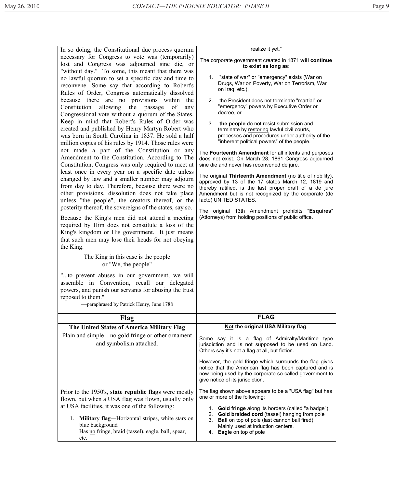|                                                                                                                                                                                                                                                                                                                                                                                                                                                                                                                                                                                                                                                                                                                                                                                                                                                                                                                                                                                                                                                                                                                                                                                                                                                                                                                                                                                                                                                                                                                                                                                                                                                                                                             | realize it yet."                                                                                                                                                                                                                                                                                                                                                                                                                                                                                                                                                                                                                                                                                                                                                                                                                                                                                                                                                                                                                                                 |
|-------------------------------------------------------------------------------------------------------------------------------------------------------------------------------------------------------------------------------------------------------------------------------------------------------------------------------------------------------------------------------------------------------------------------------------------------------------------------------------------------------------------------------------------------------------------------------------------------------------------------------------------------------------------------------------------------------------------------------------------------------------------------------------------------------------------------------------------------------------------------------------------------------------------------------------------------------------------------------------------------------------------------------------------------------------------------------------------------------------------------------------------------------------------------------------------------------------------------------------------------------------------------------------------------------------------------------------------------------------------------------------------------------------------------------------------------------------------------------------------------------------------------------------------------------------------------------------------------------------------------------------------------------------------------------------------------------------|------------------------------------------------------------------------------------------------------------------------------------------------------------------------------------------------------------------------------------------------------------------------------------------------------------------------------------------------------------------------------------------------------------------------------------------------------------------------------------------------------------------------------------------------------------------------------------------------------------------------------------------------------------------------------------------------------------------------------------------------------------------------------------------------------------------------------------------------------------------------------------------------------------------------------------------------------------------------------------------------------------------------------------------------------------------|
| In so doing, the Constitutional due process quorum<br>necessary for Congress to vote was (temporarily)<br>lost and Congress was adjourned sine die, or<br>"without day." To some, this meant that there was<br>no lawful quorum to set a specific day and time to<br>reconvene. Some say that according to Robert's<br>Rules of Order, Congress automatically dissolved<br>because there are no provisions within the<br>allowing<br>the<br>Constitution<br>of<br>passage<br>any<br>Congressional vote without a quorum of the States.<br>Keep in mind that Robert's Rules of Order was<br>created and published by Henry Martyn Robert who<br>was born in South Carolina in 1837. He sold a half<br>million copies of his rules by 1914. Those rules were<br>not made a part of the Constitution or any<br>Amendment to the Constitution. According to The<br>Constitution, Congress was only required to meet at<br>least once in every year on a specific date unless<br>changed by law and a smaller number may adjourn<br>from day to day. Therefore, because there were no<br>other provisions, dissolution does not take place<br>unless "the people", the creators thereof, or the<br>posterity thereof, the sovereigns of the states, say so.<br>Because the King's men did not attend a meeting<br>required by Him does not constitute a loss of the<br>King's kingdom or His government. It just means<br>that such men may lose their heads for not obeying<br>the King.<br>The King in this case is the people<br>or "We, the people"<br>to prevent abuses in our government, we will<br>assemble in Convention, recall our delegated<br>powers, and punish our servants for abusing the trust | The corporate government created in 1871 will continue<br>to exist as long as:<br>1. "state of war" or "emergency" exists (War on<br>Drugs, War on Poverty, War on Terrorism, War<br>on Iraq, etc.),<br>the President does not terminate "martial" or<br>2.<br>"emergency" powers by Executive Order or<br>decree, or<br>3.<br>the people do not resist submission and<br>terminate by restoring lawful civil courts,<br>processes and procedures under authority of the<br>"inherent political powers" of the people.<br>The Fourteenth Amendment for all intents and purposes<br>does not exist. On March 28, 1861 Congress adjourned<br>sine die and never has reconvened de jure.<br>The original Thirteenth Amendment (no title of nobility),<br>approved by 13 of the 17 states March 12, 1819 and<br>thereby ratified, is the last proper draft of a de jure<br>Amendment but is not recognized by the corporate (de<br>facto) UNITED STATES.<br>The original 13th Amendment prohibits "Esquires"<br>(Attorneys) from holding positions of public office. |
| reposed to them."<br>-paraphrased by Patrick Henry, June 1788                                                                                                                                                                                                                                                                                                                                                                                                                                                                                                                                                                                                                                                                                                                                                                                                                                                                                                                                                                                                                                                                                                                                                                                                                                                                                                                                                                                                                                                                                                                                                                                                                                               |                                                                                                                                                                                                                                                                                                                                                                                                                                                                                                                                                                                                                                                                                                                                                                                                                                                                                                                                                                                                                                                                  |
|                                                                                                                                                                                                                                                                                                                                                                                                                                                                                                                                                                                                                                                                                                                                                                                                                                                                                                                                                                                                                                                                                                                                                                                                                                                                                                                                                                                                                                                                                                                                                                                                                                                                                                             |                                                                                                                                                                                                                                                                                                                                                                                                                                                                                                                                                                                                                                                                                                                                                                                                                                                                                                                                                                                                                                                                  |
| Flag                                                                                                                                                                                                                                                                                                                                                                                                                                                                                                                                                                                                                                                                                                                                                                                                                                                                                                                                                                                                                                                                                                                                                                                                                                                                                                                                                                                                                                                                                                                                                                                                                                                                                                        | <b>FLAG</b>                                                                                                                                                                                                                                                                                                                                                                                                                                                                                                                                                                                                                                                                                                                                                                                                                                                                                                                                                                                                                                                      |
| The United States of America Military Flag                                                                                                                                                                                                                                                                                                                                                                                                                                                                                                                                                                                                                                                                                                                                                                                                                                                                                                                                                                                                                                                                                                                                                                                                                                                                                                                                                                                                                                                                                                                                                                                                                                                                  | Not the original USA Military flag.                                                                                                                                                                                                                                                                                                                                                                                                                                                                                                                                                                                                                                                                                                                                                                                                                                                                                                                                                                                                                              |
| Plain and simple—no gold fringe or other ornament<br>and symbolism attached.                                                                                                                                                                                                                                                                                                                                                                                                                                                                                                                                                                                                                                                                                                                                                                                                                                                                                                                                                                                                                                                                                                                                                                                                                                                                                                                                                                                                                                                                                                                                                                                                                                | Some say it is a flag of Admiralty/Maritime type<br>jurisdiction and is not supposed to be used on Land.<br>Others say it's not a flag at all, but fiction.                                                                                                                                                                                                                                                                                                                                                                                                                                                                                                                                                                                                                                                                                                                                                                                                                                                                                                      |
|                                                                                                                                                                                                                                                                                                                                                                                                                                                                                                                                                                                                                                                                                                                                                                                                                                                                                                                                                                                                                                                                                                                                                                                                                                                                                                                                                                                                                                                                                                                                                                                                                                                                                                             | However, the gold fringe which surrounds the flag gives<br>notice that the American flag has been captured and is<br>now being used by the corporate so-called government to<br>give notice of its jurisdiction.                                                                                                                                                                                                                                                                                                                                                                                                                                                                                                                                                                                                                                                                                                                                                                                                                                                 |
| Prior to the 1950's, state republic flags were mostly<br>flown, but when a USA flag was flown, usually only<br>at USA facilities, it was one of the following:<br>Military flag-Horizontal stripes, white stars on<br>1.<br>blue background<br>Has no fringe, braid (tassel), eagle, ball, spear,<br>etc.                                                                                                                                                                                                                                                                                                                                                                                                                                                                                                                                                                                                                                                                                                                                                                                                                                                                                                                                                                                                                                                                                                                                                                                                                                                                                                                                                                                                   | The flag shown above appears to be a "USA flag" but has<br>one or more of the following:<br>1. Gold fringe along its borders (called "a badge")<br>2. Gold braided cord (tassel) hanging from pole<br><b>Ball</b> on top of pole (last cannon ball fired)<br>3.<br>Mainly used at induction centers.<br>Eagle on top of pole<br>4.                                                                                                                                                                                                                                                                                                                                                                                                                                                                                                                                                                                                                                                                                                                               |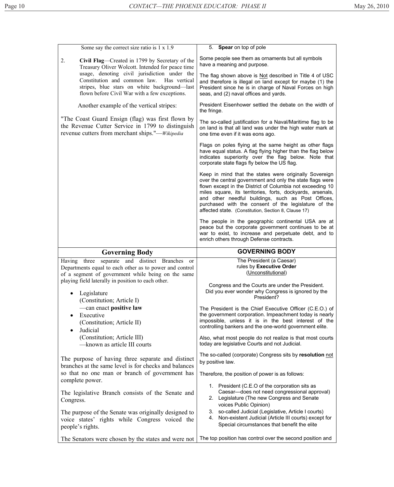| Some say the correct size ratio is 1 x 1.9                                                                                                                                                    | 5. Spear on top of pole                                                                                                                                                                                                                                                                                                                                                                                              |
|-----------------------------------------------------------------------------------------------------------------------------------------------------------------------------------------------|----------------------------------------------------------------------------------------------------------------------------------------------------------------------------------------------------------------------------------------------------------------------------------------------------------------------------------------------------------------------------------------------------------------------|
| Civil Flag—Created in 1799 by Secretary of the<br>2.<br>Treasury Oliver Wolcott. Intended for peace time                                                                                      | Some people see them as ornaments but all symbols<br>have a meaning and purpose.                                                                                                                                                                                                                                                                                                                                     |
| usage, denoting civil jurisdiction under the<br>Constitution and common law.<br>Has vertical<br>stripes, blue stars on white background-last<br>flown before Civil War with a few exceptions. | The flag shown above is Not described in Title 4 of USC<br>and therefore is illegal on land except for maybe (1) the<br>President since he is in charge of Naval Forces on high<br>seas, and (2) naval offices and yards.                                                                                                                                                                                            |
| Another example of the vertical stripes:                                                                                                                                                      | President Eisenhower settled the debate on the width of<br>the fringe.                                                                                                                                                                                                                                                                                                                                               |
| "The Coast Guard Ensign (flag) was first flown by<br>the Revenue Cutter Service in 1799 to distinguish<br>revenue cutters from merchant ships."— <i>Wikipedia</i>                             | The so-called justification for a Naval/Maritime flag to be<br>on land is that all land was under the high water mark at<br>one time even if it was eons ago.                                                                                                                                                                                                                                                        |
|                                                                                                                                                                                               | Flags on poles flying at the same height as other flags<br>have equal status. A flag flying higher than the flag below<br>indicates superiority over the flag below. Note that<br>corporate state flags fly below the US flag.                                                                                                                                                                                       |
|                                                                                                                                                                                               | Keep in mind that the states were originally Sovereign<br>over the central government and only the state flags were<br>flown except in the District of Columbia not exceeding 10<br>miles square, its territories, forts, dockyards, arsenals,<br>and other needful buildings, such as Post Offices,<br>purchased with the consent of the legislature of the<br>affected state. (Constitution, Section 8, Clause 17) |
|                                                                                                                                                                                               | The people in the geographic continental USA are at<br>peace but the corporate government continues to be at<br>war to exist, to increase and perpetuate debt, and to                                                                                                                                                                                                                                                |
|                                                                                                                                                                                               | enrich others through Defense contracts.                                                                                                                                                                                                                                                                                                                                                                             |
| <b>Governing Body</b>                                                                                                                                                                         | <b>GOVERNING BODY</b>                                                                                                                                                                                                                                                                                                                                                                                                |
| separate and distinct Branches<br>Having three<br><sub>or</sub><br>Departments equal to each other as to power and control<br>of a segment of government while being on the same              | The President (a Caesar)<br>rules by Executive Order<br>(Unconstitutional)                                                                                                                                                                                                                                                                                                                                           |
| playing field laterally in position to each other.<br>Legislature<br>$\bullet$<br>(Constitution; Article I)                                                                                   | Congress and the Courts are under the President.<br>Did you ever wonder why Congress is ignored by the<br>President?                                                                                                                                                                                                                                                                                                 |
| -can enact positive law<br>Executive<br>$\bullet$<br>(Constitution; Article II)<br>$\bullet$                                                                                                  | The President is the Chief Executive Officer (C.E.O.) of<br>the government corporation. Impeachment today is nearly<br>impossible, unless it is in the best interest of the<br>controlling bankers and the one-world government elite.                                                                                                                                                                               |
| Judicial<br>(Constitution; Article III)<br>-known as article III courts                                                                                                                       | Also, what most people do not realize is that most courts<br>today are legislative Courts and not Judicial.                                                                                                                                                                                                                                                                                                          |
| The purpose of having three separate and distinct                                                                                                                                             | The so-called (corporate) Congress sits by resolution not<br>by positive law.                                                                                                                                                                                                                                                                                                                                        |
| branches at the same level is for checks and balances<br>so that no one man or branch of government has<br>complete power.                                                                    | Therefore, the position of power is as follows:                                                                                                                                                                                                                                                                                                                                                                      |
| The legislative Branch consists of the Senate and<br>Congress.                                                                                                                                | 1. President (C.E.O of the corporation sits as<br>Caesar-does not need congressional approval)<br>2. Legislature (The new Congress and Senate<br>voices Public Opinion)                                                                                                                                                                                                                                              |
| The purpose of the Senate was originally designed to<br>voice states' rights while Congress voiced the<br>people's rights.                                                                    | 3. so-called Judicial (Legislative, Article I courts)<br>Non-existent Judicial (Article III courts) except for<br>4.<br>Special circumstances that benefit the elite                                                                                                                                                                                                                                                 |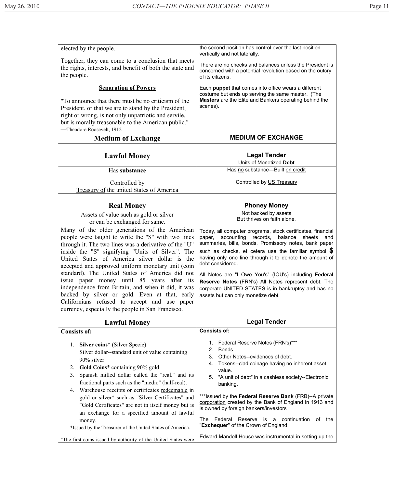| elected by the people.                                                                                                                                                                                                                                                                                                                                                                                                                                                                                                                                                                                                                                                                                                              | the second position has control over the last position<br>vertically and not laterally.                                                                                                                                                                                                                                                                                                                                                                                                                                                                                                                                      |
|-------------------------------------------------------------------------------------------------------------------------------------------------------------------------------------------------------------------------------------------------------------------------------------------------------------------------------------------------------------------------------------------------------------------------------------------------------------------------------------------------------------------------------------------------------------------------------------------------------------------------------------------------------------------------------------------------------------------------------------|------------------------------------------------------------------------------------------------------------------------------------------------------------------------------------------------------------------------------------------------------------------------------------------------------------------------------------------------------------------------------------------------------------------------------------------------------------------------------------------------------------------------------------------------------------------------------------------------------------------------------|
| Together, they can come to a conclusion that meets<br>the rights, interests, and benefit of both the state and<br>the people.                                                                                                                                                                                                                                                                                                                                                                                                                                                                                                                                                                                                       | There are no checks and balances unless the President is<br>concerned with a potential revolution based on the outcry<br>of its citizens.                                                                                                                                                                                                                                                                                                                                                                                                                                                                                    |
| <b>Separation of Powers</b>                                                                                                                                                                                                                                                                                                                                                                                                                                                                                                                                                                                                                                                                                                         | Each puppet that comes into office wears a different                                                                                                                                                                                                                                                                                                                                                                                                                                                                                                                                                                         |
| "To announce that there must be no criticism of the<br>President, or that we are to stand by the President,<br>right or wrong, is not only unpatriotic and servile,<br>but is morally treasonable to the American public."<br>-Theodore Roosevelt, 1912                                                                                                                                                                                                                                                                                                                                                                                                                                                                             | costume but ends up serving the same master. (The<br>Masters are the Elite and Bankers operating behind the<br>scenes).                                                                                                                                                                                                                                                                                                                                                                                                                                                                                                      |
| <b>Medium of Exchange</b>                                                                                                                                                                                                                                                                                                                                                                                                                                                                                                                                                                                                                                                                                                           | <b>MEDIUM OF EXCHANGE</b>                                                                                                                                                                                                                                                                                                                                                                                                                                                                                                                                                                                                    |
| <b>Lawful Money</b>                                                                                                                                                                                                                                                                                                                                                                                                                                                                                                                                                                                                                                                                                                                 | <b>Legal Tender</b><br>Units of Monetized Debt                                                                                                                                                                                                                                                                                                                                                                                                                                                                                                                                                                               |
| Has substance                                                                                                                                                                                                                                                                                                                                                                                                                                                                                                                                                                                                                                                                                                                       | Has no substance-Built on credit                                                                                                                                                                                                                                                                                                                                                                                                                                                                                                                                                                                             |
| Controlled by<br>Treasury of the united States of America                                                                                                                                                                                                                                                                                                                                                                                                                                                                                                                                                                                                                                                                           | Controlled by US Treasury                                                                                                                                                                                                                                                                                                                                                                                                                                                                                                                                                                                                    |
| <b>Real Money</b><br>Assets of value such as gold or silver<br>or can be exchanged for same.<br>Many of the older generations of the American<br>people were taught to write the "S" with two lines<br>through it. The two lines was a derivative of the "U"<br>inside the "S" signifying "Units of Silver". The<br>United States of America silver dollar is the<br>accepted and approved uniform monetary unit (coin<br>standard). The United States of America did not<br>issue paper money until 85 years after its<br>independence from Britain, and when it did, it was<br>backed by silver or gold. Even at that, early<br>Californians refused to accept and use paper<br>currency, especially the people in San Francisco. | <b>Phoney Money</b><br>Not backed by assets<br>But thrives on faith alone.<br>Today, all computer programs, stock certificates, financial<br>accounting records,<br>balance<br>paper,<br>sheets<br>and<br>summaries, bills, bonds, Promissory notes, bank paper<br>such as checks, et cetera use the familiar symbol $\sqrt{\$}$<br>having only one line through it to denote the amount of<br>debt considered.<br>All Notes are "I Owe You's" (IOU's) including Federal<br>Reserve Notes (FRN's) All Notes represent debt. The<br>corporate UNITED STATES is in bankruptcy and has no<br>assets but can only monetize debt. |
|                                                                                                                                                                                                                                                                                                                                                                                                                                                                                                                                                                                                                                                                                                                                     |                                                                                                                                                                                                                                                                                                                                                                                                                                                                                                                                                                                                                              |
| <b>Lawful Money</b>                                                                                                                                                                                                                                                                                                                                                                                                                                                                                                                                                                                                                                                                                                                 | <b>Legal Tender</b>                                                                                                                                                                                                                                                                                                                                                                                                                                                                                                                                                                                                          |
| <b>Consists of:</b>                                                                                                                                                                                                                                                                                                                                                                                                                                                                                                                                                                                                                                                                                                                 | <b>Consists of:</b>                                                                                                                                                                                                                                                                                                                                                                                                                                                                                                                                                                                                          |
| 1. Silver coins* (Silver Specie)<br>Silver dollar--standard unit of value containing<br>90% silver<br>Gold Coins* containing 90% gold<br>2.<br>Spanish milled dollar called the "real." and its<br>3.<br>fractional parts such as the "medio" (half-real).<br>4. Warehouse receipts or certificates redeemable in<br>gold or silver* such as "Silver Certificates" and<br>"Gold Certificates" are not in itself money but is<br>an exchange for a specified amount of lawful<br>money.<br>*Issued by the Treasurer of the United States of America.                                                                                                                                                                                 | 1. Federal Reserve Notes (FRN's)***<br>2.<br><b>Bonds</b><br>Other Notes--evidences of debt.<br>3.<br>Tokens--clad coinage having no inherent asset<br>4.<br>value.<br>"A unit of debt" in a cashless society--Electronic<br>5.<br>banking.<br>*** Issued by the Federal Reserve Bank (FRB)--A private<br>corporation created by the Bank of England in 1913 and<br>is owned by foreign bankers/investors<br>The<br>Federal<br>Reserve<br>is a continuation of<br>the<br>"Exchequer" of the Crown of England.<br><b>Edward Mandell House was instrumental in setting up the</b>                                              |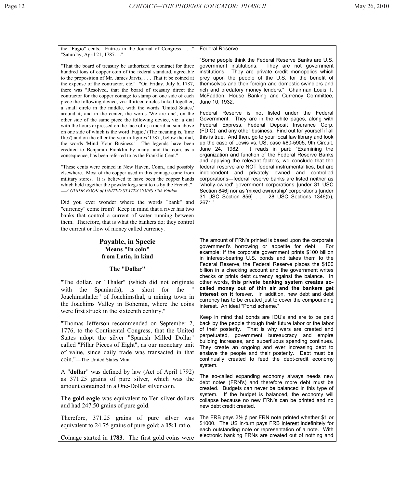| the "Fugio" cents. Entries in the Journal of Congress"<br>"Saturday, April 21, 1787"<br>"That the board of treasury be authorized to contract for three<br>hundred tons of copper coin of the federal standard, agreeable<br>to the proposition of Mr. James Jarvis,  That it be coined at<br>the expense of the contractor, etc." "On Friday, July 6, 1787,<br>there was "Resolved, that the board of treasury direct the<br>contractor for the copper coinage to stamp on one side of each<br>piece the following device, viz: thirteen circles linked together,<br>a small circle in the middle, with the words 'United States,'<br>around it; and in the center, the words 'We are one'; on the<br>other side of the same piece the following device, viz: a dial<br>with the hours expressed on the face of it; a meridian sun above<br>on one side of which is the word 'Fugio,' (The meaning is, 'time<br>flies') and on the other the year in figures '1787', below the dial,<br>the words 'Mind Your Business.' The legends have been<br>credited to Benjamin Franklin by many, and the coin, as a<br>consequence, has been referred to as the Franklin Cent."<br>"These cents were coined in New Haven, Conn., and possibly<br>elsewhere. Most of the copper used in this coinage came from<br>military stores. It is believed to have been the copper bands<br>which held together the powder kegs sent to us by the French."<br>-A GUIDE BOOK of UNITED STATES COINS 35th Edition<br>Did you ever wonder where the words "bank" and<br>"currency" come from? Keep in mind that a river has two<br>banks that control a current of water running between<br>them. Therefore, that is what the bankers do; they control<br>the current or flow of money called currency. | Federal Reserve.<br>"Some people think the Federal Reserve Banks are U.S.<br>government institutions.<br>They are not government<br>They are private credit monopolies which<br>institutions.<br>prey upon the people of the U.S. for the benefit of<br>themselves and their foreign and domestic swindlers and<br>rich and predatory money lenders." Chairman Louis T.<br>McFadden, House Banking and Currency Committee,<br>June 10, 1932.<br>Federal Reserve is not listed under the Federal<br>Government. They are in the white pages, along with<br>Federal Express, Federal Deposit Insurance Corp.<br>(FDIC), and any other business. Find out for yourself if all<br>this is true. And then, go to your local law library and look<br>up the case of Lewis vs. US, case #80-5905, 9th Circuit,<br>June 24, 1982. It reads in part: "Examining the<br>organization and function of the Federal Reserve Banks<br>and applying the relevant factors, we conclude that the<br>federal reserve are NOT federal instrumentalities, but are<br>independent and privately owned and<br>controlled<br>corporations-federal reserve banks are listed neither as<br>'wholly-owned' government corporations [under 31 USC<br>Section 846] nor as 'mixed ownership' corporations [under<br>31 USC Section 856] 28 USC Sections 1346(b),<br>2671." |
|------------------------------------------------------------------------------------------------------------------------------------------------------------------------------------------------------------------------------------------------------------------------------------------------------------------------------------------------------------------------------------------------------------------------------------------------------------------------------------------------------------------------------------------------------------------------------------------------------------------------------------------------------------------------------------------------------------------------------------------------------------------------------------------------------------------------------------------------------------------------------------------------------------------------------------------------------------------------------------------------------------------------------------------------------------------------------------------------------------------------------------------------------------------------------------------------------------------------------------------------------------------------------------------------------------------------------------------------------------------------------------------------------------------------------------------------------------------------------------------------------------------------------------------------------------------------------------------------------------------------------------------------------------------------------------------------------------------------------------------------------------------------------------|-----------------------------------------------------------------------------------------------------------------------------------------------------------------------------------------------------------------------------------------------------------------------------------------------------------------------------------------------------------------------------------------------------------------------------------------------------------------------------------------------------------------------------------------------------------------------------------------------------------------------------------------------------------------------------------------------------------------------------------------------------------------------------------------------------------------------------------------------------------------------------------------------------------------------------------------------------------------------------------------------------------------------------------------------------------------------------------------------------------------------------------------------------------------------------------------------------------------------------------------------------------------------------------------------------------------------------------------------|
| Payable, in Specie<br>Means "In coin"<br>from Latin, in kind<br>The "Dollar"<br>"The dollar, or "Thaler" (which did not originate<br>for<br>the<br>with the Spaniards),<br>short<br>is<br>Joachimsthaler" of Joachimsthal, a mining town in<br>the Joachims Valley in Bohemia, where the coins                                                                                                                                                                                                                                                                                                                                                                                                                                                                                                                                                                                                                                                                                                                                                                                                                                                                                                                                                                                                                                                                                                                                                                                                                                                                                                                                                                                                                                                                                     | The amount of FRN's printed is based upon the corporate<br>government's borrowing or appetite for debt.<br>For<br>example: If the corporate government prints \$100 billion<br>in interest-bearing U.S. bonds and takes them to the<br>Federal Reserve, the Federal Reserve places the \$100<br>billion in a checking account and the government writes<br>checks or prints debt currency against the balance. In<br>other words, this private banking system creates so-<br>called money out of thin air and the bankers get<br>interest on it forever. In addition, new debt and debt<br>currency has to be created just to cover the compounding<br>interest. An ideal "Ponzi scheme."                                                                                                                                                                                                                                                                                                                                                                                                                                                                                                                                                                                                                                                     |
| were first struck in the sixteenth century."<br>"Thomas Jefferson recommended on September 2,<br>1776, to the Continental Congress, that the United<br>States adopt the silver "Spanish Milled Dollar"<br>called "Pillar Pieces of Eight", as our monetary unit<br>of value, since daily trade was transacted in that<br>coin."-The United States Mint                                                                                                                                                                                                                                                                                                                                                                                                                                                                                                                                                                                                                                                                                                                                                                                                                                                                                                                                                                                                                                                                                                                                                                                                                                                                                                                                                                                                                             | Keep in mind that bonds are IOU's and are to be paid<br>back by the people through their future labor or the labor<br>of their posterity. That is why wars are created and<br>perpetuated, government bureaucracy and empire<br>building increases, and superfluous spending continues.<br>They create an ongoing and ever increasing debt to<br>enslave the people and their posterity. Debt must be<br>continually created to feed the debt-credit economy                                                                                                                                                                                                                                                                                                                                                                                                                                                                                                                                                                                                                                                                                                                                                                                                                                                                                  |

A "**dollar**" was defined by law (Act of April 1792) as 371.25 grains of pure silver, which was the amount contained in a One-Dollar silver coin.

The **gold eagle** was equivalent to Ten silver dollars and had 247.50 grains of pure gold.

Therefore, 371.25 grains of pure silver was equivalent to 24.75 grains of pure gold; a **15:1** ratio.

Coinage started in **1783**. The first gold coins were

system.

The so-called expanding economy always needs new debt notes (FRN's) and therefore more debt must be created. Budgets can never be balanced in this type of system. If the budget is balanced, the economy will collapse because no new FRN's can be printed and no new debt credit created.

The FRB pays  $2\frac{1}{2}$  ¢ per FRN note printed whether \$1 or \$1000. The US in-turn pays FRB interest indefinitely for each outstanding note or representation of a note. With electronic banking FRNs are created out of nothing and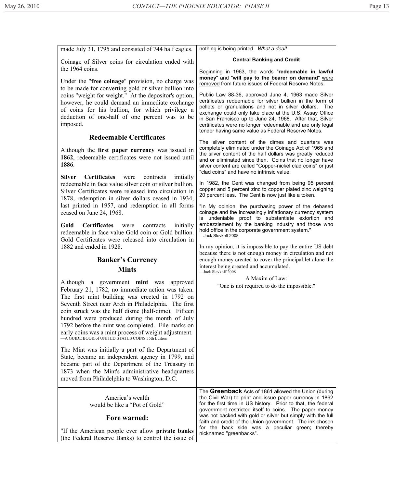| made July 31, 1795 and consisted of 744 half eagles.                                                                                                                                                                                                                                                                                                                                                                                                                             | nothing is being printed. What a deal!                                                                                                                                                                                                                                                                                                                                                                                  |
|----------------------------------------------------------------------------------------------------------------------------------------------------------------------------------------------------------------------------------------------------------------------------------------------------------------------------------------------------------------------------------------------------------------------------------------------------------------------------------|-------------------------------------------------------------------------------------------------------------------------------------------------------------------------------------------------------------------------------------------------------------------------------------------------------------------------------------------------------------------------------------------------------------------------|
| Coinage of Silver coins for circulation ended with                                                                                                                                                                                                                                                                                                                                                                                                                               | <b>Central Banking and Credit</b>                                                                                                                                                                                                                                                                                                                                                                                       |
| the 1964 coins.<br>Under the "free coinage" provision, no charge was<br>to be made for converting gold or silver bullion into                                                                                                                                                                                                                                                                                                                                                    | Beginning in 1963, the words "redeemable in lawful<br>money" and "will pay to the bearer on demand" were<br>removed from future issues of Federal Reserve Notes.                                                                                                                                                                                                                                                        |
| coins "weight for weight." At the depositor's option,<br>however, he could demand an immediate exchange<br>of coins for his bullion, for which privilege a<br>deduction of one-half of one percent was to be<br>imposed.                                                                                                                                                                                                                                                         | Public Law 88-36, approved June 4, 1963 made Silver<br>certificates redeemable for silver bullion in the form of<br>pellets or granulations and not in silver dollars.<br>The<br>exchange could only take place at the U.S. Assay Office<br>in San Francisco up to June 24, 1968. After that, Silver<br>certificates were no longer redeemable and are only legal<br>tender having same value as Federal Reserve Notes. |
| <b>Redeemable Certificates</b>                                                                                                                                                                                                                                                                                                                                                                                                                                                   | The silver content of the dimes and quarters was                                                                                                                                                                                                                                                                                                                                                                        |
| Although the first paper currency was issued in<br>1862, redeemable certificates were not issued until<br>1886.                                                                                                                                                                                                                                                                                                                                                                  | completely eliminated under the Coinage Act of 1965 and<br>the silver content of the half dollars was greatly reduced<br>and or eliminated since then. Coins that no longer have<br>silver content are called "Copper-nickel clad coins" or just<br>"clad coins" and have no intrinsic value.                                                                                                                           |
| Silver Certificates were<br>contracts initially<br>redeemable in face value silver coin or silver bullion.<br>Silver Certificates were released into circulation in<br>1878, redemption in silver dollars ceased in 1934,                                                                                                                                                                                                                                                        | In 1982, the Cent was changed from being 95 percent<br>copper and 5 percent zinc to copper plated zinc weighing<br>20 percent less. The Cent is now just like a token.                                                                                                                                                                                                                                                  |
| last printed in 1957, and redemption in all forms<br>ceased on June 24, 1968.                                                                                                                                                                                                                                                                                                                                                                                                    | "In My opinion, the purchasing power of the debased<br>coinage and the increasingly inflationary currency system                                                                                                                                                                                                                                                                                                        |
| Gold<br><b>Certificates</b> were<br>initially<br>contracts<br>redeemable in face value Gold coin or Gold bullion.<br>Gold Certificates were released into circulation in                                                                                                                                                                                                                                                                                                         | is undeniable proof to substantiate extortion and<br>embezzlement by the banking industry and those who<br>hold office in the corporate government system."<br>-Jack Slevkoff 2008                                                                                                                                                                                                                                      |
| 1882 and ended in 1928.                                                                                                                                                                                                                                                                                                                                                                                                                                                          | In my opinion, it is impossible to pay the entire US debt<br>because there is not enough money in circulation and not                                                                                                                                                                                                                                                                                                   |
| <b>Banker's Currency</b><br><b>Mints</b>                                                                                                                                                                                                                                                                                                                                                                                                                                         | enough money created to cover the principal let alone the<br>interest being created and accumulated.<br>-Jack Slevkoff 2008                                                                                                                                                                                                                                                                                             |
| Although a government mint was approved<br>February 21, 1782, no immediate action was taken.<br>The first mint building was erected in 1792 on<br>Seventh Street near Arch in Philadelphia. The first<br>coin struck was the half disme (half-dime). Fifteen<br>hundred were produced during the month of July<br>1792 before the mint was completed. File marks on<br>early coins was a mint process of weight adjustment.<br>-A GUIDE BOOK of UNITED STATES COINS 35th Edition | A Maxim of Law:<br>"One is not required to do the impossible."                                                                                                                                                                                                                                                                                                                                                          |
| The Mint was initially a part of the Department of<br>State, became an independent agency in 1799, and<br>became part of the Department of the Treasury in<br>1873 when the Mint's administrative headquarters<br>moved from Philadelphia to Washington, D.C.                                                                                                                                                                                                                    |                                                                                                                                                                                                                                                                                                                                                                                                                         |
| America's wealth<br>would be like a "Pot of Gold"<br><b>Fore warned:</b>                                                                                                                                                                                                                                                                                                                                                                                                         | The Greenback Acts of 1861 allowed the Union (during<br>the Civil War) to print and issue paper currency in 1862<br>for the first time in US history. Prior to that, the federal<br>government restricted itself to coins. The paper money<br>was not backed with gold or silver but simply with the full                                                                                                               |
| "If the American people ever allow private banks"<br>(the Federal Reserve Banks) to control the issue of                                                                                                                                                                                                                                                                                                                                                                         | faith and credit of the Union government. The ink chosen<br>for the back side was a peculiar green; thereby<br>nicknamed "greenbacks".                                                                                                                                                                                                                                                                                  |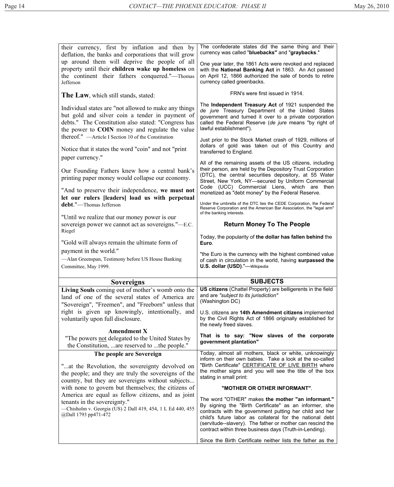| their currency, first by inflation and then by<br>deflation, the banks and corporations that will grow                                                                                                                                                                           | The confederate states did the same thing and their<br>currency was called "bluebacks" and "graybacks."                                                                                                                                                                                                |
|----------------------------------------------------------------------------------------------------------------------------------------------------------------------------------------------------------------------------------------------------------------------------------|--------------------------------------------------------------------------------------------------------------------------------------------------------------------------------------------------------------------------------------------------------------------------------------------------------|
| up around them will deprive the people of all<br>property until their children wake up homeless on<br>the continent their fathers conquered."—Thomas<br>Jefferson                                                                                                                | One year later, the 1861 Acts were revoked and replaced<br>with the National Banking Act in 1863. An Act passed<br>on April 12, 1866 authorized the sale of bonds to retire<br>currency called greenbacks.                                                                                             |
| The Law, which still stands, stated:                                                                                                                                                                                                                                             | FRN's were first issued in 1914.                                                                                                                                                                                                                                                                       |
| Individual states are "not allowed to make any things<br>but gold and silver coin a tender in payment of<br>debts." The Constitution also stated: "Congress has<br>the power to <b>COIN</b> money and regulate the value<br>thereof." - Article I Section 10 of the Constitution | The Independent Treasury Act of 1921 suspended the<br>de jure Treasury Department of the United States<br>government and turned it over to a private corporation<br>called the Federal Reserve (de jure means "by right of<br>lawful establishment").                                                  |
| Notice that it states the word "coin" and not "print<br>paper currency."                                                                                                                                                                                                         | Just prior to the Stock Market crash of 1929, millions of<br>dollars of gold was taken out of this Country and<br>transferred to England.                                                                                                                                                              |
| Our Founding Fathers knew how a central bank's<br>printing paper money would collapse our economy.                                                                                                                                                                               | All of the remaining assets of the US citizens, including<br>their person, are held by the Depository Trust Corporation<br>(DTC), the central securities depository, at 55 Water<br>Street, New York, NY-secured by Uniform Commercial                                                                 |
| "And to preserve their independence, we must not<br>let our rulers [leaders] load us with perpetual                                                                                                                                                                              | Code (UCC) Commercial Liens, which are then<br>monetized as "debt money" by the Federal Reserve.<br>Under the umbrella of the DTC lies the CEDE Corporation, the Federal                                                                                                                               |
| debt."-Thomas Jefferson                                                                                                                                                                                                                                                          | Reserve Corporation and the American Bar Association, the "legal arm"<br>of the banking interests.                                                                                                                                                                                                     |
| "Until we realize that our money power is our<br>sovereign power we cannot act as sovereigns."—E.C.<br>Riegel                                                                                                                                                                    | <b>Return Money To The People</b>                                                                                                                                                                                                                                                                      |
| "Gold will always remain the ultimate form of                                                                                                                                                                                                                                    | Today, the popularity of the dollar has fallen behind the<br>Euro.                                                                                                                                                                                                                                     |
|                                                                                                                                                                                                                                                                                  |                                                                                                                                                                                                                                                                                                        |
| payment in the world."                                                                                                                                                                                                                                                           |                                                                                                                                                                                                                                                                                                        |
| -Alan Greenspan, Testimony before US House Banking<br>Committee, May 1999.                                                                                                                                                                                                       | "the Euro is the currency with the highest combined value<br>of cash in circulation in the world, having surpassed the<br>U.S. dollar (USD)."-Wikipedia                                                                                                                                                |
|                                                                                                                                                                                                                                                                                  |                                                                                                                                                                                                                                                                                                        |
| <b>Sovereigns</b>                                                                                                                                                                                                                                                                | <b>SUBJECTS</b>                                                                                                                                                                                                                                                                                        |
| Living Souls coming out of mother's womb onto the<br>land of one of the several states of America are                                                                                                                                                                            | US citizens (Chattel Property) are belligerents in the field<br>and are "subject to its jurisdiction"<br>(Washington DC)                                                                                                                                                                               |
| "Sovereign", "Freemen", and "Freeborn" unless that<br>right is given up knowingly, intentionally, and<br>voluntarily upon full disclosure.                                                                                                                                       | U.S. citizens are 14th Amendment citizens implemented<br>by the Civil Rights Act of 1866 originally established for<br>the newly freed slaves.                                                                                                                                                         |
| <b>Amendment X</b><br>"The powers not delegated to the United States by                                                                                                                                                                                                          | That is to say: "Now slaves of the corporate<br>government plantation"                                                                                                                                                                                                                                 |
| the Constitution,  are reserved to  the people."                                                                                                                                                                                                                                 | Today, almost all mothers, black or white, unknowingly                                                                                                                                                                                                                                                 |
| The people are Sovereign<br>"at the Revolution, the sovereignty devolved on<br>the people; and they are truly the sovereigns of the<br>country, but they are sovereigns without subjects                                                                                         | inform on their own babies. Take a look at the so-called<br>"Birth Certificate" CERTIFICATE OF LIVE BIRTH where<br>the mother signs and you will see the title of the box<br>stating in small print:                                                                                                   |
| with none to govern but themselves; the citizens of                                                                                                                                                                                                                              | "MOTHER OR OTHER INFORMANT".                                                                                                                                                                                                                                                                           |
| America are equal as fellow citizens, and as joint<br>tenants in the sovereignty."                                                                                                                                                                                               | The word "OTHER" makes the mother "an informant."                                                                                                                                                                                                                                                      |
| -Chisholm v. Georgia (US) 2 Dall 419, 454, 1 L Ed 440, 455<br>@Dall 1793 pp471-472                                                                                                                                                                                               | By signing the "Birth Certificate" as an informer, she<br>contracts with the government putting her child and her<br>child's future labor as collateral for the national debt<br>(servitude--slavery). The father or mother can rescind the<br>contract within three business days (Truth-in-Lending). |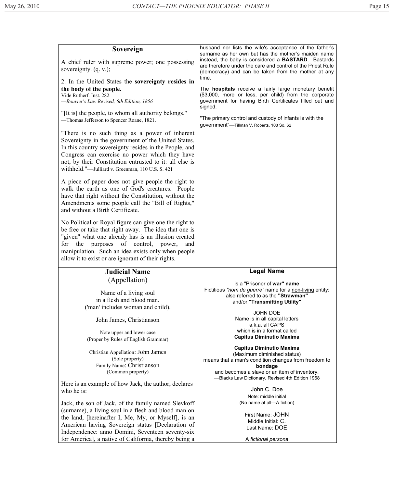| Sovereign<br>A chief ruler with supreme power; one possessing<br>sovereignty. $(q, v)$ ;                                                                                                                                                                                                                                                     | husband nor lists the wife's acceptance of the father's<br>surname as her own but has the mother's maiden name<br>instead, the baby is considered a <b>BASTARD</b> . Bastards<br>are therefore under the care and control of the Priest Rule<br>(democracy) and can be taken from the mother at any           |
|----------------------------------------------------------------------------------------------------------------------------------------------------------------------------------------------------------------------------------------------------------------------------------------------------------------------------------------------|---------------------------------------------------------------------------------------------------------------------------------------------------------------------------------------------------------------------------------------------------------------------------------------------------------------|
| 2. In the United States the sovereignty resides in<br>the body of the people.<br>Vide Rutherf. Inst. 282.<br>-Bouvier's Law Revised, 6th Edition, 1856<br>"[It is] the people, to whom all authority belongs."<br>-Thomas Jefferson to Spencer Roane, 1821.                                                                                  | time.<br>The <b>hospitals</b> receive a fairly large monetary benefit<br>(\$3,000, more or less, per child) from the corporate<br>government for having Birth Certificates filled out and<br>signed.<br>"The primary control and custody of infants is with the<br>government"-Tillman V. Roberts. 108 So. 62 |
| "There is no such thing as a power of inherent<br>Sovereignty in the government of the United States.<br>In this country sovereignty resides in the People, and<br>Congress can exercise no power which they have<br>not, by their Constitution entrusted to it: all else is<br>withheld."-Julliard v. Greenman, 110 U.S. S. 421             |                                                                                                                                                                                                                                                                                                               |
| A piece of paper does not give people the right to<br>walk the earth as one of God's creatures. People<br>have that right without the Constitution, without the<br>Amendments some people call the "Bill of Rights,"<br>and without a Birth Certificate.                                                                                     |                                                                                                                                                                                                                                                                                                               |
| No Political or Royal figure can give one the right to<br>be free or take that right away. The idea that one is<br>"given" what one already has is an illusion created<br>of control,<br>for<br>the<br>purposes<br>power,<br>and<br>manipulation. Such an idea exists only when people<br>allow it to exist or are ignorant of their rights. |                                                                                                                                                                                                                                                                                                               |
| <b>Judicial Name</b>                                                                                                                                                                                                                                                                                                                         | <b>Legal Name</b>                                                                                                                                                                                                                                                                                             |
| (Appellation)<br>Name of a living soul<br>in a flesh and blood man.<br>('man' includes woman and child).                                                                                                                                                                                                                                     | is a "Prisoner of war" name<br>Fictitious "nom de guerre" name for a non-living entity:<br>also referred to as the "Strawman"<br>and/or "Transmitting Utility"<br>JOHN DOE                                                                                                                                    |
| John James, Christianson                                                                                                                                                                                                                                                                                                                     | Name is in all capital letters<br>a.k.a. all CAPS                                                                                                                                                                                                                                                             |
| Note upper and lower case<br>(Proper by Rules of English Grammar)                                                                                                                                                                                                                                                                            | which is in a format called<br><b>Capitus Diminutio Maxima</b>                                                                                                                                                                                                                                                |
| Christian Appellation: John James<br>(Sole property)<br>Family Name: Christianson<br>(Common property)                                                                                                                                                                                                                                       | <b>Capitus Diminutio Maxima</b><br>(Maximum diminished status)<br>means that a man's condition changes from freedom to<br>bondage<br>and becomes a slave or an item of inventory.                                                                                                                             |
| Here is an example of how Jack, the author, declares<br>who he is:                                                                                                                                                                                                                                                                           | -Blacks Law Dictionary, Revised 4th Edition 1968<br>John C. Doe                                                                                                                                                                                                                                               |
| Jack, the son of Jack, of the family named Slevkoff<br>(surname), a living soul in a flesh and blood man on<br>the land, [hereinafter I, Me, My, or Myself], is an<br>American having Sovereign status [Declaration of                                                                                                                       | Note: middle initial<br>(No name at all-A fiction)<br>First Name: JOHN<br>Middle Initial: C.<br>Last Name: DOE                                                                                                                                                                                                |
| Independence: anno Domini, Seventeen seventy-six<br>for America], a native of California, thereby being a                                                                                                                                                                                                                                    | A fictional persona                                                                                                                                                                                                                                                                                           |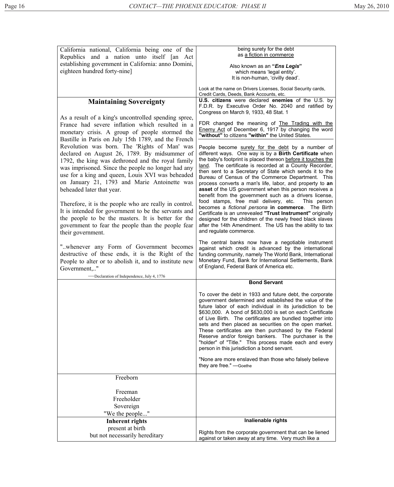| California national, California being one of the           | being surety for the debt                                                                                              |
|------------------------------------------------------------|------------------------------------------------------------------------------------------------------------------------|
| Republics and a nation unto itself [an Act                 | as a fiction in commerce                                                                                               |
| establishing government in California: anno Domini,        | Also known as an "Ens Legis"                                                                                           |
| eighteen hundred forty-nine]                               | which means 'legal entity'.                                                                                            |
|                                                            | It is non-human, 'civilly dead'.                                                                                       |
|                                                            | Look at the name on Drivers Licenses, Social Security cards,<br>Credit Cards, Deeds, Bank Accounts, etc.               |
| <b>Maintaining Sovereignty</b>                             | U.S. citizens were declared enemies of the U.S. by                                                                     |
|                                                            | F.D.R. by Executive Order No. 2040 and ratified by                                                                     |
| As a result of a king's uncontrolled spending spree,       | Congress on March 9, 1933, 48 Stat. 1                                                                                  |
| France had severe inflation which resulted in a            | FDR changed the meaning of The Trading with the                                                                        |
| monetary crisis. A group of people stormed the             | Enemy Act of December 6, 1917 by changing the word                                                                     |
| Bastille in Paris on July 15th 1789, and the French        | "without" to citizens "within" the United States.                                                                      |
| Revolution was born. The 'Rights of Man' was               | People become surety for the debt by a number of                                                                       |
| declared on August 26, 1789. By midsummer of               | different ways. One way is by a Birth Certificate when                                                                 |
| 1792, the king was dethroned and the royal family          | the baby's footprint is placed thereon before it touches the                                                           |
| was imprisoned. Since the people no longer had any         | land. The certificate is recorded at a County Recorder,                                                                |
| use for a king and queen, Louis XVI was beheaded           | then sent to a Secretary of State which sends it to the<br>Bureau of Census of the Commerce Department. This           |
| on January 21, 1793 and Marie Antoinette was               | process converts a man's life, labor, and property to an                                                               |
| beheaded later that year.                                  | asset of the US government when this person receives a                                                                 |
|                                                            | benefit from the government such as a drivers license,<br>food stamps, free mail delivery, etc.<br>This person         |
| Therefore, it is the people who are really in control.     | becomes a fictional persona in commerce. The Birth                                                                     |
| It is intended for government to be the servants and       | Certificate is an unrevealed "Trust Instrument" originally                                                             |
| the people to be the masters. It is better for the         | designed for the children of the newly freed black slaves                                                              |
| government to fear the people than the people fear         | after the 14th Amendment. The US has the ability to tax                                                                |
| their government.                                          | and regulate commerce.                                                                                                 |
|                                                            | The central banks now have a negotiable instrument                                                                     |
| " whenever any Form of Government becomes                  |                                                                                                                        |
|                                                            | against which credit is advanced by the international                                                                  |
| destructive of these ends, it is the Right of the          | funding community, namely The World Bank, International                                                                |
| People to alter or to abolish it, and to institute new     | Monetary Fund, Bank for International Settlements, Bank<br>of England, Federal Bank of America etc.                    |
| Government,"<br>-Declaration of Independence, July 4, 1776 |                                                                                                                        |
|                                                            | <b>Bond Servant</b>                                                                                                    |
|                                                            | To cover the debt in 1933 and future debt, the corporate                                                               |
|                                                            | government determined and established the value of the                                                                 |
|                                                            | future labor of each individual in its jurisdiction to be                                                              |
|                                                            | \$630,000. A bond of \$630,000 is set on each Certificate<br>of Live Birth. The certificates are bundled together into |
|                                                            | sets and then placed as securities on the open market.                                                                 |
|                                                            | These certificates are then purchased by the Federal                                                                   |
|                                                            | Reserve and/or foreign bankers. The purchaser is the                                                                   |
|                                                            | "holder" of "Title." This process made each and every<br>person in this jurisdiction a bond servant.                   |
|                                                            | "None are more enslaved than those who falsely believe<br>they are free." - Goethe                                     |
| Freeborn                                                   |                                                                                                                        |
|                                                            |                                                                                                                        |
| Freeman                                                    |                                                                                                                        |
| Freeholder                                                 |                                                                                                                        |
| Sovereign                                                  |                                                                                                                        |
| "We the people"                                            | Inalienable rights                                                                                                     |
| <b>Inherent rights</b>                                     |                                                                                                                        |
| present at birth<br>but not necessarily hereditary         | Rights from the corporate government that can be liened<br>against or taken away at any time. Very much like a         |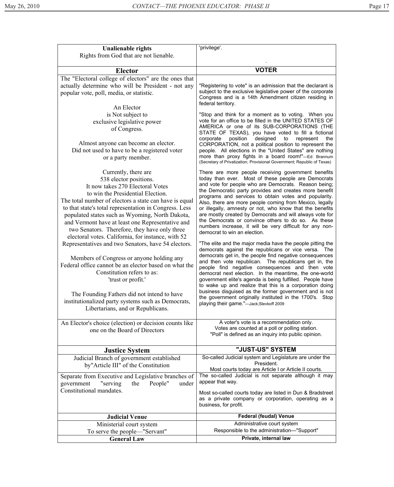| <b>Unalienable rights</b>                                                                                                                                                                                                                                                                                                                                                                                                                                                                                                                                                                                                                                                                                                                                                                                            | 'privilege'.                                                                                                                                                                                                                                                                                                                                                                                                                                                                                                                                                                                                                                                                                                                                                                                                                                                                                                                                                                                                                                                                                                                                                                                                                                                                |
|----------------------------------------------------------------------------------------------------------------------------------------------------------------------------------------------------------------------------------------------------------------------------------------------------------------------------------------------------------------------------------------------------------------------------------------------------------------------------------------------------------------------------------------------------------------------------------------------------------------------------------------------------------------------------------------------------------------------------------------------------------------------------------------------------------------------|-----------------------------------------------------------------------------------------------------------------------------------------------------------------------------------------------------------------------------------------------------------------------------------------------------------------------------------------------------------------------------------------------------------------------------------------------------------------------------------------------------------------------------------------------------------------------------------------------------------------------------------------------------------------------------------------------------------------------------------------------------------------------------------------------------------------------------------------------------------------------------------------------------------------------------------------------------------------------------------------------------------------------------------------------------------------------------------------------------------------------------------------------------------------------------------------------------------------------------------------------------------------------------|
| Rights from God that are not lienable.                                                                                                                                                                                                                                                                                                                                                                                                                                                                                                                                                                                                                                                                                                                                                                               |                                                                                                                                                                                                                                                                                                                                                                                                                                                                                                                                                                                                                                                                                                                                                                                                                                                                                                                                                                                                                                                                                                                                                                                                                                                                             |
| <b>Elector</b>                                                                                                                                                                                                                                                                                                                                                                                                                                                                                                                                                                                                                                                                                                                                                                                                       | <b>VOTER</b>                                                                                                                                                                                                                                                                                                                                                                                                                                                                                                                                                                                                                                                                                                                                                                                                                                                                                                                                                                                                                                                                                                                                                                                                                                                                |
| The "Electoral college of electors" are the ones that<br>actually determine who will be President - not any<br>popular vote, poll, media, or statistic.<br>An Elector                                                                                                                                                                                                                                                                                                                                                                                                                                                                                                                                                                                                                                                | "Registering to vote" is an admission that the declarant is<br>subject to the exclusive legislative power of the corporate<br>Congress and is a 14th Amendment citizen residing in<br>federal territory.                                                                                                                                                                                                                                                                                                                                                                                                                                                                                                                                                                                                                                                                                                                                                                                                                                                                                                                                                                                                                                                                    |
| is Not subject to<br>exclusive legislative power<br>of Congress.<br>Almost anyone can become an elector.<br>Did not used to have to be a registered voter<br>or a party member.                                                                                                                                                                                                                                                                                                                                                                                                                                                                                                                                                                                                                                      | "Stop and think for a moment as to voting. When you<br>vote for an office to be filled in the UNITED STATES OF<br>AMERICA or one of its SUB-CORPORATIONS (THE<br>STATE OF TEXAS), you have voted to fill a fictional<br>corporate<br>position<br>designed<br>to<br>represent<br>the<br>CORPORATION, not a political position to represent the<br>people. All elections in the "United States" are nothing<br>more than proxy fights in a board room!"-Ed: Brannum<br>(Secretary of Privatization; Provisional Government; Republic of Texas)                                                                                                                                                                                                                                                                                                                                                                                                                                                                                                                                                                                                                                                                                                                                |
| Currently, there are<br>538 elector positions.<br>It now takes 270 Electoral Votes<br>to win the Presidential Election.<br>The total number of electors a state can have is equal<br>to that state's total representation in Congress. Less<br>populated states such as Wyoming, North Dakota,<br>and Vermont have at least one Representative and<br>two Senators. Therefore, they have only three<br>electoral votes. California, for instance, with 52<br>Representatives and two Senators, have 54 electors.<br>Members of Congress or anyone holding any<br>Federal office cannot be an elector based on what the<br>Constitution refers to as:<br>'trust or profit.'<br>The Founding Fathers did not intend to have<br>institutionalized party systems such as Democrats,<br>Libertarians, and or Republicans. | There are more people receiving government benefits<br>today than ever. Most of these people are Democrats<br>and vote for people who are Democrats. Reason being;<br>the Democratic party provides and creates more benefit<br>programs and services to obtain votes and popularity.<br>Also, there are more people coming from Mexico, legally<br>or illegally, amnesty or not, who know that the benefits<br>are mostly created by Democrats and will always vote for<br>the Democrats or convince others to do so. As these<br>numbers increase, it will be very difficult for any non-<br>democrat to win an election.<br>"The elite and the major media have the people pitting the<br>democrats against the republicans or vice versa. The<br>democrats get in, the people find negative consequences<br>and then vote republican. The republicans get in, the<br>people find negative consequences and then vote<br>democrat next election. In the meantime, the one-world<br>government elite's agenda is being fulfilled. People have<br>to wake up and realize that this is a corporation doing<br>business disguised as the former government and is not<br>the government originally instituted in the 1700's. Stop<br>playing their game."-Jack;Slevkoff 2009 |
| An Elector's choice (election) or decision counts like<br>one on the Board of Directors                                                                                                                                                                                                                                                                                                                                                                                                                                                                                                                                                                                                                                                                                                                              | A voter's vote is a recommendation only.<br>Votes are counted at a poll or polling station.<br>"Poll" is defined as an inquiry into public opinion.                                                                                                                                                                                                                                                                                                                                                                                                                                                                                                                                                                                                                                                                                                                                                                                                                                                                                                                                                                                                                                                                                                                         |
| <b>Justice System</b>                                                                                                                                                                                                                                                                                                                                                                                                                                                                                                                                                                                                                                                                                                                                                                                                | "JUST-US" SYSTEM                                                                                                                                                                                                                                                                                                                                                                                                                                                                                                                                                                                                                                                                                                                                                                                                                                                                                                                                                                                                                                                                                                                                                                                                                                                            |
| Judicial Branch of government established<br>by"Article III" of the Constitution                                                                                                                                                                                                                                                                                                                                                                                                                                                                                                                                                                                                                                                                                                                                     | So-called Judicial system and Legislature are under the<br>President.<br>Most courts today are Article I or Article II courts.                                                                                                                                                                                                                                                                                                                                                                                                                                                                                                                                                                                                                                                                                                                                                                                                                                                                                                                                                                                                                                                                                                                                              |
| Separate from Executive and Legislative branches of<br>People"<br>"serving"<br>the<br>government<br>under<br>Constitutional mandates.                                                                                                                                                                                                                                                                                                                                                                                                                                                                                                                                                                                                                                                                                | The so-called Judicial is not separate although it may<br>appear that way.<br>Most so-called courts today are listed in Dun & Bradstreet<br>as a private company or corporation, operating as a<br>business, for profit.                                                                                                                                                                                                                                                                                                                                                                                                                                                                                                                                                                                                                                                                                                                                                                                                                                                                                                                                                                                                                                                    |
| <b>Judicial Venue</b>                                                                                                                                                                                                                                                                                                                                                                                                                                                                                                                                                                                                                                                                                                                                                                                                | <b>Federal (feudal) Venue</b>                                                                                                                                                                                                                                                                                                                                                                                                                                                                                                                                                                                                                                                                                                                                                                                                                                                                                                                                                                                                                                                                                                                                                                                                                                               |
| Ministerial court system                                                                                                                                                                                                                                                                                                                                                                                                                                                                                                                                                                                                                                                                                                                                                                                             | Administrative court system                                                                                                                                                                                                                                                                                                                                                                                                                                                                                                                                                                                                                                                                                                                                                                                                                                                                                                                                                                                                                                                                                                                                                                                                                                                 |
| To serve the people—"Servant"                                                                                                                                                                                                                                                                                                                                                                                                                                                                                                                                                                                                                                                                                                                                                                                        | Responsible to the administration-"Support"                                                                                                                                                                                                                                                                                                                                                                                                                                                                                                                                                                                                                                                                                                                                                                                                                                                                                                                                                                                                                                                                                                                                                                                                                                 |
| <b>General Law</b>                                                                                                                                                                                                                                                                                                                                                                                                                                                                                                                                                                                                                                                                                                                                                                                                   | Private, internal law                                                                                                                                                                                                                                                                                                                                                                                                                                                                                                                                                                                                                                                                                                                                                                                                                                                                                                                                                                                                                                                                                                                                                                                                                                                       |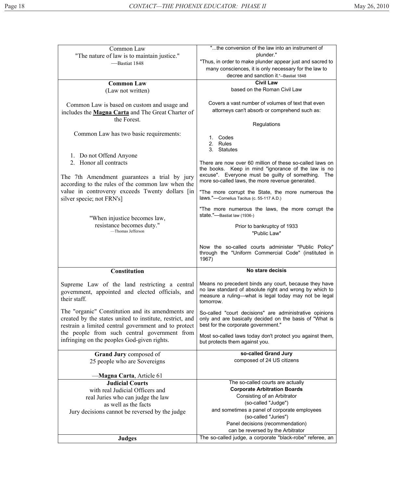| Common Law                                               | "the conversion of the law into an instrument of                                 |
|----------------------------------------------------------|----------------------------------------------------------------------------------|
| "The nature of law is to maintain justice."              | plunder."                                                                        |
| -Bastiat 1848                                            | "Thus, in order to make plunder appear just and sacred to                        |
|                                                          | many consciences, it is only necessary for the law to                            |
|                                                          | decree and sanction it."--Bastiat 1848                                           |
| <b>Common Law</b>                                        | <b>Civil Law</b>                                                                 |
| (Law not written)                                        | based on the Roman Civil Law                                                     |
|                                                          |                                                                                  |
| Common Law is based on custom and usage and              | Covers a vast number of volumes of text that even                                |
| includes the Magna Carta and The Great Charter of        | attorneys can't absorb or comprehend such as:                                    |
| the Forest.                                              |                                                                                  |
|                                                          | Regulations                                                                      |
| Common Law has two basic requirements:                   | 1. Codes                                                                         |
|                                                          | 2. Rules                                                                         |
|                                                          | 3. Statutes                                                                      |
| 1. Do not Offend Anyone                                  |                                                                                  |
| 2. Honor all contracts                                   | There are now over 60 million of these so-called laws on                         |
|                                                          | the books. Keep in mind "ignorance of the law is no                              |
| The 7th Amendment guarantees a trial by jury             | excuse". Everyone must be guilty of something. The                               |
| according to the rules of the common law when the        | more so-called laws, the more revenue generated.                                 |
| value in controversy exceeds Twenty dollars [in          | "The more corrupt the State, the more numerous the                               |
| silver specie; not FRN's]                                | laws."-Cornelius Tacitus (c. 55-117 A.D.)                                        |
|                                                          |                                                                                  |
|                                                          | "The more numerous the laws, the more corrupt the<br>state."-Bastiat law (1936-) |
| "When injustice becomes law,                             |                                                                                  |
| resistance becomes duty."<br>-Thomas Jefferson           | Prior to bankruptcy of 1933                                                      |
|                                                          | "Public Law"                                                                     |
|                                                          |                                                                                  |
|                                                          |                                                                                  |
|                                                          | Now the so-called courts administer "Public Policy"                              |
|                                                          | through the "Uniform Commercial Code" (instituted in                             |
|                                                          | 1967)                                                                            |
| <b>Constitution</b>                                      | No stare decisis                                                                 |
|                                                          |                                                                                  |
| Supreme Law of the land restricting a central            | Means no precedent binds any court, because they have                            |
| government, appointed and elected officials, and         | no law standard of absolute right and wrong by which to                          |
| their staff.                                             | measure a ruling—what is legal today may not be legal<br>tomorrow.               |
|                                                          |                                                                                  |
| The "organic" Constitution and its amendments are        | So-called "court decisions" are administrative opinions                          |
| created by the states united to institute, restrict, and | only and are basically decided on the basis of "What is                          |
| restrain a limited central government and to protect     | best for the corporate government."                                              |
| the people from such central government from             | Most so-called laws today don't protect you against them,                        |
| infringing on the peoples God-given rights.              | but protects them against you.                                                   |
|                                                          |                                                                                  |
| <b>Grand Jury composed of</b>                            | so-called Grand Jury                                                             |
| 25 people who are Sovereigns                             | composed of 24 US citizens                                                       |
|                                                          |                                                                                  |
| —Magna Carta, Article 61                                 |                                                                                  |
| <b>Judicial Courts</b>                                   | The so-called courts are actually                                                |
| with real Judicial Officers and                          | <b>Corporate Arbitration Boards</b>                                              |
| real Juries who can judge the law                        | Consisting of an Arbitrator                                                      |
| as well as the facts                                     | (so-called "Judge")                                                              |
| Jury decisions cannot be reversed by the judge           | and sometimes a panel of corporate employees<br>(so-called "Juries")             |
|                                                          | Panel decisions (recommendation)                                                 |
|                                                          | can be reversed by the Arbitrator                                                |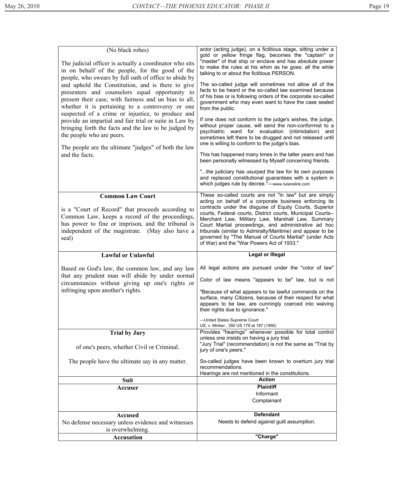| (No black robes)<br>The judicial officer is actually a coordinator who sits<br>in on behalf of the people, for the good of the<br>people, who swears by full oath of office to abide by<br>and uphold the Constitution, and is there to give<br>presenters and counselors equal opportunity to<br>present their case, with fairness and un bias to all,<br>whether it is pertaining to a controversy or one<br>suspected of a crime or injustice, to produce and<br>provide an impartial and fair trial or suite in Law by<br>bringing forth the facts and the law to be judged by<br>the people who are peers.<br>The people are the ultimate "judges" of both the law<br>and the facts. | actor (acting judge), on a fictitious stage, sitting under a<br>gold or yellow fringe flag, becomes the "captain" or<br>"master" of that ship or enclave and has absolute power<br>to make the rules at his whim as he goes; all the while<br>talking to or about the fictitious PERSON.<br>The so-called judge will sometimes not allow all of the<br>facts to be heard or the so-called law examined because<br>of his bias or is following orders of the corporate so-called<br>government who may even want to have the case sealed<br>from the public.<br>If one does not conform to the judge's wishes, the judge,<br>without proper cause, will send the non-conformist to a<br>psychiatric ward for evaluation (intimidation)<br>and<br>sometimes left there to be drugged and not released until<br>one is willing to conform to the judge's bias.<br>This has happened many times in the latter years and has<br>been personally witnessed by Myself concerning friends.<br>"the judiciary has usurped the law for its own purposes<br>and replaced constitutional guarantees with a system in<br>which judges rule by decree."-www.tulanelink.com |
|-------------------------------------------------------------------------------------------------------------------------------------------------------------------------------------------------------------------------------------------------------------------------------------------------------------------------------------------------------------------------------------------------------------------------------------------------------------------------------------------------------------------------------------------------------------------------------------------------------------------------------------------------------------------------------------------|--------------------------------------------------------------------------------------------------------------------------------------------------------------------------------------------------------------------------------------------------------------------------------------------------------------------------------------------------------------------------------------------------------------------------------------------------------------------------------------------------------------------------------------------------------------------------------------------------------------------------------------------------------------------------------------------------------------------------------------------------------------------------------------------------------------------------------------------------------------------------------------------------------------------------------------------------------------------------------------------------------------------------------------------------------------------------------------------------------------------------------------------------------------|
|                                                                                                                                                                                                                                                                                                                                                                                                                                                                                                                                                                                                                                                                                           |                                                                                                                                                                                                                                                                                                                                                                                                                                                                                                                                                                                                                                                                                                                                                                                                                                                                                                                                                                                                                                                                                                                                                              |
| <b>Common Law Court</b><br>is a "Court of Record" that proceeds according to<br>Common Law, keeps a record of the proceedings,<br>has power to fine or imprison, and the tribunal is<br>independent of the magistrate. (May also have a<br>seal)                                                                                                                                                                                                                                                                                                                                                                                                                                          | These so-called courts are not "in law" but are simply<br>acting on behalf of a corporate business enforcing its<br>contracts under the disguise of Equity Courts, Superior<br>courts, Federal courts, District courts, Municipal Courts--<br>Merchant Law, Military Law, Marshall Law, Summary<br>Court Martial proceedings, and administrative ad hoc<br>tribunals (similar to Admiralty/Maritime) and appear to be<br>governed by "The Manual of Courts Martial" (under Acts<br>of War) and the "War Powers Act of 1933."                                                                                                                                                                                                                                                                                                                                                                                                                                                                                                                                                                                                                                 |
|                                                                                                                                                                                                                                                                                                                                                                                                                                                                                                                                                                                                                                                                                           |                                                                                                                                                                                                                                                                                                                                                                                                                                                                                                                                                                                                                                                                                                                                                                                                                                                                                                                                                                                                                                                                                                                                                              |
|                                                                                                                                                                                                                                                                                                                                                                                                                                                                                                                                                                                                                                                                                           |                                                                                                                                                                                                                                                                                                                                                                                                                                                                                                                                                                                                                                                                                                                                                                                                                                                                                                                                                                                                                                                                                                                                                              |
| <b>Lawful or Unlawful</b>                                                                                                                                                                                                                                                                                                                                                                                                                                                                                                                                                                                                                                                                 | <b>Legal or Illegal</b>                                                                                                                                                                                                                                                                                                                                                                                                                                                                                                                                                                                                                                                                                                                                                                                                                                                                                                                                                                                                                                                                                                                                      |
| Based on God's law, the common law, and any law<br>that any prudent man will abide by under normal<br>circumstances without giving up one's rights or<br>infringing upon another's rights.                                                                                                                                                                                                                                                                                                                                                                                                                                                                                                | All legal actions are pursued under the "color of law"<br>Color of law means "appears to be" law, but is not<br>"Because of what appears to be lawful commands on the<br>surface, many Citizens, because of their respect for what<br>appears to be law, are cunningly coerced into waiving<br>their rights due to ignorance."<br>-United States Supreme Court                                                                                                                                                                                                                                                                                                                                                                                                                                                                                                                                                                                                                                                                                                                                                                                               |
|                                                                                                                                                                                                                                                                                                                                                                                                                                                                                                                                                                                                                                                                                           | US. v. Minker, 350 US 179 at 187 (1956)                                                                                                                                                                                                                                                                                                                                                                                                                                                                                                                                                                                                                                                                                                                                                                                                                                                                                                                                                                                                                                                                                                                      |
| <b>Trial by Jury</b><br>of one's peers, whether Civil or Criminal.                                                                                                                                                                                                                                                                                                                                                                                                                                                                                                                                                                                                                        | Provides "hearings" whenever possible for total control<br>unless one insists on having a jury trial.<br>"Jury Trial" (recommendation) is not the same as "Trial by<br>jury of one's peers."                                                                                                                                                                                                                                                                                                                                                                                                                                                                                                                                                                                                                                                                                                                                                                                                                                                                                                                                                                 |
| The people have the ultimate say in any matter.                                                                                                                                                                                                                                                                                                                                                                                                                                                                                                                                                                                                                                           | So-called judges have been known to overturn jury trial<br>recommendations.                                                                                                                                                                                                                                                                                                                                                                                                                                                                                                                                                                                                                                                                                                                                                                                                                                                                                                                                                                                                                                                                                  |
|                                                                                                                                                                                                                                                                                                                                                                                                                                                                                                                                                                                                                                                                                           | Hearings are not mentioned in the constitutions.                                                                                                                                                                                                                                                                                                                                                                                                                                                                                                                                                                                                                                                                                                                                                                                                                                                                                                                                                                                                                                                                                                             |
| <b>Suit</b>                                                                                                                                                                                                                                                                                                                                                                                                                                                                                                                                                                                                                                                                               | <b>Action</b>                                                                                                                                                                                                                                                                                                                                                                                                                                                                                                                                                                                                                                                                                                                                                                                                                                                                                                                                                                                                                                                                                                                                                |
| Accuser                                                                                                                                                                                                                                                                                                                                                                                                                                                                                                                                                                                                                                                                                   | <b>Plaintiff</b>                                                                                                                                                                                                                                                                                                                                                                                                                                                                                                                                                                                                                                                                                                                                                                                                                                                                                                                                                                                                                                                                                                                                             |
|                                                                                                                                                                                                                                                                                                                                                                                                                                                                                                                                                                                                                                                                                           | Informant<br>Complainant                                                                                                                                                                                                                                                                                                                                                                                                                                                                                                                                                                                                                                                                                                                                                                                                                                                                                                                                                                                                                                                                                                                                     |
|                                                                                                                                                                                                                                                                                                                                                                                                                                                                                                                                                                                                                                                                                           | <b>Defendant</b>                                                                                                                                                                                                                                                                                                                                                                                                                                                                                                                                                                                                                                                                                                                                                                                                                                                                                                                                                                                                                                                                                                                                             |
| <b>Accused</b>                                                                                                                                                                                                                                                                                                                                                                                                                                                                                                                                                                                                                                                                            |                                                                                                                                                                                                                                                                                                                                                                                                                                                                                                                                                                                                                                                                                                                                                                                                                                                                                                                                                                                                                                                                                                                                                              |
| No defense necessary unless evidence and witnesses                                                                                                                                                                                                                                                                                                                                                                                                                                                                                                                                                                                                                                        | Needs to defend against guilt assumption.                                                                                                                                                                                                                                                                                                                                                                                                                                                                                                                                                                                                                                                                                                                                                                                                                                                                                                                                                                                                                                                                                                                    |
| is overwhelming.<br><b>Accusation</b>                                                                                                                                                                                                                                                                                                                                                                                                                                                                                                                                                                                                                                                     | "Charge"                                                                                                                                                                                                                                                                                                                                                                                                                                                                                                                                                                                                                                                                                                                                                                                                                                                                                                                                                                                                                                                                                                                                                     |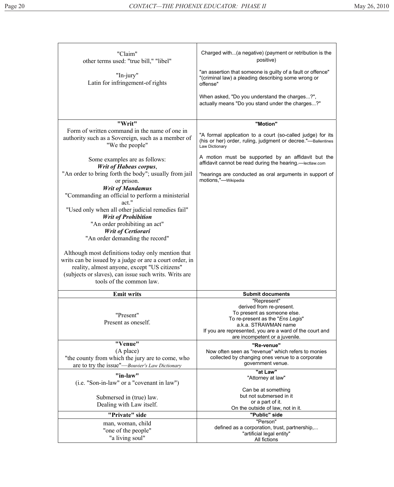| "Claim"<br>other terms used: "true bill," "libel"                                                                                                                                                                                                 | Charged with(a negative) (payment or retribution is the<br>positive)                                                                                                                                                            |
|---------------------------------------------------------------------------------------------------------------------------------------------------------------------------------------------------------------------------------------------------|---------------------------------------------------------------------------------------------------------------------------------------------------------------------------------------------------------------------------------|
| "In-jury"<br>Latin for infringement-of rights                                                                                                                                                                                                     | "an assertion that someone is guilty of a fault or offence"<br>"(criminal law) a pleading describing some wrong or<br>offense"                                                                                                  |
|                                                                                                                                                                                                                                                   | When asked, "Do you understand the charges?",<br>actually means "Do you stand under the charges?"                                                                                                                               |
| "Writ"                                                                                                                                                                                                                                            | "Motion"                                                                                                                                                                                                                        |
| Form of written command in the name of one in<br>authority such as a Sovereign, such as a member of<br>"We the people"                                                                                                                            | "A formal application to a court (so-called judge) for its<br>(his or her) order, ruling, judgment or decree."-Ballentines<br>Law Dictionary                                                                                    |
| Some examples are as follows:<br><b>Writ of Habeas corpus,</b>                                                                                                                                                                                    | A motion must be supported by an affidavit but the<br>affidavit cannot be read during the hearing.-lectlaw.com                                                                                                                  |
| "An order to bring forth the body"; usually from jail<br>or prison.                                                                                                                                                                               | "hearings are conducted as oral arguments in support of<br>motions,"-Wikipedia                                                                                                                                                  |
| <b>Writ of Mandamus</b><br>"Commanding an official to perform a ministerial<br>act."                                                                                                                                                              |                                                                                                                                                                                                                                 |
| "Used only when all other judicial remedies fail"<br><b>Writ of Prohibition</b><br>"An order prohibiting an act"                                                                                                                                  |                                                                                                                                                                                                                                 |
| Writ of Certiorari<br>"An order demanding the record"                                                                                                                                                                                             |                                                                                                                                                                                                                                 |
| Although most definitions today only mention that<br>writs can be issued by a judge or are a court order, in<br>reality, almost anyone, except "US citizens"<br>(subjects or slaves), can issue such writs. Writs are<br>tools of the common law. |                                                                                                                                                                                                                                 |
| <b>Emit writs</b>                                                                                                                                                                                                                                 | <b>Submit documents</b>                                                                                                                                                                                                         |
| "Present"<br>Present as oneself.                                                                                                                                                                                                                  | "Represent"<br>derived from re-present.<br>To present as someone else.<br>To re-present as the "Ens Legis"<br>a.k.a. STRAWMAN name<br>If you are represented, you are a ward of the court and<br>are incompetent or a juvenile. |
| "Venue"                                                                                                                                                                                                                                           | "Re-venue"                                                                                                                                                                                                                      |
| (A place)<br>"the county from which the jury are to come, who<br>are to try the issue"—Bouvier's Law Dictionary                                                                                                                                   | Now often seen as "revenue" which refers to monies<br>collected by changing ones venue to a corporate<br>government venue.                                                                                                      |
| "in-law"                                                                                                                                                                                                                                          | "at Law"<br>"Attorney at law"                                                                                                                                                                                                   |
| (i.e. "Son-in-law" or a "covenant in law")                                                                                                                                                                                                        |                                                                                                                                                                                                                                 |
| Submersed in (true) law.                                                                                                                                                                                                                          | Can be at something<br>but not submersed in it                                                                                                                                                                                  |
| Dealing with Law itself.                                                                                                                                                                                                                          | or a part of it.<br>On the outside of law, not in it.                                                                                                                                                                           |
| "Private" side                                                                                                                                                                                                                                    | "Public" side                                                                                                                                                                                                                   |
| man, woman, child<br>"one of the people"<br>"a living soul"                                                                                                                                                                                       | "Person"<br>defined as a corporation, trust, partnership,<br>"artificial legal entity"                                                                                                                                          |
|                                                                                                                                                                                                                                                   | All fictions                                                                                                                                                                                                                    |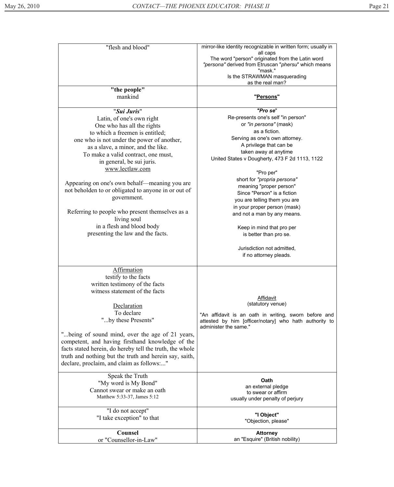| "flesh and blood"                                                                                                                                                                                                                                                                                                                                                                                                                                                                                                                | mirror-like identity recognizable in written form; usually in<br>all caps<br>The word "person" originated from the Latin word<br>"persona" derived from Etruscan "phersu" which means<br>"mask."<br>Is the STRAWMAN masquerading                                                                                                                                                                                                                                                  |
|----------------------------------------------------------------------------------------------------------------------------------------------------------------------------------------------------------------------------------------------------------------------------------------------------------------------------------------------------------------------------------------------------------------------------------------------------------------------------------------------------------------------------------|-----------------------------------------------------------------------------------------------------------------------------------------------------------------------------------------------------------------------------------------------------------------------------------------------------------------------------------------------------------------------------------------------------------------------------------------------------------------------------------|
|                                                                                                                                                                                                                                                                                                                                                                                                                                                                                                                                  | as the real man?                                                                                                                                                                                                                                                                                                                                                                                                                                                                  |
| "the people"<br>mankind                                                                                                                                                                                                                                                                                                                                                                                                                                                                                                          | " <u>Persons</u> "                                                                                                                                                                                                                                                                                                                                                                                                                                                                |
| "Sui Juris"                                                                                                                                                                                                                                                                                                                                                                                                                                                                                                                      | "Pro se"                                                                                                                                                                                                                                                                                                                                                                                                                                                                          |
| Latin, of one's own right<br>One who has all the rights<br>to which a freemen is entitled;<br>one who is not under the power of another,<br>as a slave, a minor, and the like.<br>To make a valid contract, one must,<br>in general, be sui juris.<br>www.lectlaw.com<br>Appearing on one's own behalf—meaning you are<br>not beholden to or obligated to anyone in or out of<br>government.<br>Referring to people who present themselves as a<br>living soul<br>in a flesh and blood body<br>presenting the law and the facts. | Re-presents one's self "in person"<br>or "in persona" (mask)<br>as a fiction.<br>Serving as one's own attorney.<br>A privilege that can be<br>taken away at anytime<br>United States v Dougherty, 473 F 2d 1113, 1122<br>"Pro per"<br>short for "propria persona"<br>meaning "proper person"<br>Since "Person" is a fiction<br>you are telling them you are<br>in your proper person (mask)<br>and not a man by any means.<br>Keep in mind that pro per<br>is better than pro se. |
|                                                                                                                                                                                                                                                                                                                                                                                                                                                                                                                                  | Jurisdiction not admitted,<br>if no attorney pleads.                                                                                                                                                                                                                                                                                                                                                                                                                              |
| Affirmation<br>testify to the facts<br>written testimony of the facts<br>witness statement of the facts<br>Declaration<br>To declare<br>"by these Presents"<br>"being of sound mind, over the age of 21 years,<br>competent, and having firsthand knowledge of the<br>facts stated herein, do hereby tell the truth, the whole<br>truth and nothing but the truth and herein say, saith,<br>declare, proclaim, and claim as follows"                                                                                             | Affidavit<br>(statutory venue)<br>"An affidavit is an oath in writing, sworn before and<br>attested by him [officer/notary] who hath authority to<br>administer the same."                                                                                                                                                                                                                                                                                                        |
| Speak the Truth<br>"My word is My Bond"<br>Cannot swear or make an oath<br>Matthew 5:33-37, James 5:12                                                                                                                                                                                                                                                                                                                                                                                                                           | Oath<br>an external pledge<br>to swear or affirm<br>usually under penalty of perjury                                                                                                                                                                                                                                                                                                                                                                                              |
| "I do not accept"<br>"I take exception" to that                                                                                                                                                                                                                                                                                                                                                                                                                                                                                  | "I Object"<br>"Objection, please"                                                                                                                                                                                                                                                                                                                                                                                                                                                 |
| Counsel<br>or "Counsellor-in-Law"                                                                                                                                                                                                                                                                                                                                                                                                                                                                                                | <b>Attorney</b><br>an "Esquire" (British nobility)                                                                                                                                                                                                                                                                                                                                                                                                                                |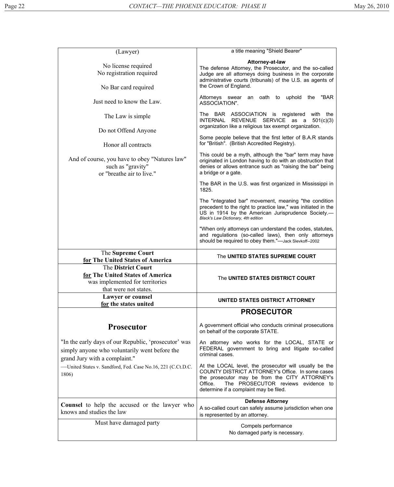| (Lawyer)                                                                                                           | a title meaning "Shield Bearer"                                                                                                                                                                                                                         |
|--------------------------------------------------------------------------------------------------------------------|---------------------------------------------------------------------------------------------------------------------------------------------------------------------------------------------------------------------------------------------------------|
| No license required<br>No registration required<br>No Bar card required                                            | Attorney-at-law<br>The defense Attorney, the Prosecutor, and the so-called<br>Judge are all attorneys doing business in the corporate<br>administrative courts (tribunals) of the U.S. as agents of<br>the Crown of England.                            |
| Just need to know the Law.                                                                                         | "BAR<br>Attorneys swear an oath to uphold the<br>ASSOCIATION".                                                                                                                                                                                          |
| The Law is simple.<br>Do not Offend Anyone                                                                         | The BAR ASSOCIATION is registered with the<br>INTERNAL REVENUE SERVICE as a 501(c)(3)<br>organization like a religious tax exempt organization.                                                                                                         |
| Honor all contracts                                                                                                | Some people believe that the first letter of B.A.R stands<br>for "British". (British Accredited Registry).                                                                                                                                              |
| And of course, you have to obey "Natures law"<br>such as "gravity"<br>or "breathe air to live."                    | This could be a myth, although the "bar" term may have<br>originated in London having to do with an obstruction that<br>denies or allows entrance such as "raising the bar" being<br>a bridge or a gate.                                                |
|                                                                                                                    | The BAR in the U.S. was first organized in Mississippi in<br>1825.                                                                                                                                                                                      |
|                                                                                                                    | The "integrated bar" movement, meaning "the condition<br>precedent to the right to practice law," was initiated in the<br>US in 1914 by the American Jurisprudence Society.-<br>Black's Law Dictionary, 4th edition                                     |
|                                                                                                                    | "When only attorneys can understand the codes, statutes,<br>and regulations (so-called laws), then only attorneys<br>should be required to obey them."-Jack Slevkoff--2002                                                                              |
| The Supreme Court<br>for The United States of America                                                              | The UNITED STATES SUPREME COURT                                                                                                                                                                                                                         |
| The District Court<br>for The United States of America<br>was implemented for territories<br>that were not states. | The UNITED STATES DISTRICT COURT                                                                                                                                                                                                                        |
| <b>Lawyer or counsel</b><br>for the states united                                                                  | UNITED STATES DISTRICT ATTORNEY                                                                                                                                                                                                                         |
|                                                                                                                    | <b>PROSECUTOR</b>                                                                                                                                                                                                                                       |
| <b>Prosecutor</b>                                                                                                  | A government official who conducts criminal prosecutions<br>on behalf of the corporate STATE.                                                                                                                                                           |
| "In the early days of our Republic, 'prosecutor' was                                                               | An attorney who works for the LOCAL, STATE or                                                                                                                                                                                                           |
| simply anyone who voluntarily went before the                                                                      | FEDERAL government to bring and litigate so-called<br>criminal cases.                                                                                                                                                                                   |
| grand Jury with a complaint."<br>-United States v. Sandford, Fed. Case No.16, 221 (C.Ct.D.C.<br>1806)              | At the LOCAL level, the prosecutor will usually be the<br>COUNTY DISTRICT ATTORNEY's Office. In some cases<br>the prosecutor may be from the CITY ATTORNEY's<br>Office.<br>The PROSECUTOR reviews evidence to<br>determine if a complaint may be filed. |
| <b>Counsel</b> to help the accused or the lawyer who<br>knows and studies the law                                  | <b>Defense Attorney</b><br>A so-called court can safely assume jurisdiction when one<br>is represented by an attorney.                                                                                                                                  |
| Must have damaged party                                                                                            | Compels performance<br>No damaged party is necessary.                                                                                                                                                                                                   |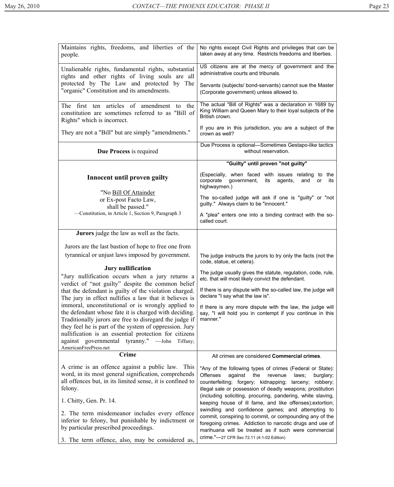| Maintains rights, freedoms, and liberties of the<br>people.                                                                                                                                                                                                                                                                                   | No rights except Civil Rights and privileges that can be<br>taken away at any time. Restricts freedoms and liberties.                                                                                                                                                                                                                                                                                                                       |
|-----------------------------------------------------------------------------------------------------------------------------------------------------------------------------------------------------------------------------------------------------------------------------------------------------------------------------------------------|---------------------------------------------------------------------------------------------------------------------------------------------------------------------------------------------------------------------------------------------------------------------------------------------------------------------------------------------------------------------------------------------------------------------------------------------|
| Unalienable rights, fundamental rights, substantial<br>rights and other rights of living souls are all                                                                                                                                                                                                                                        | US citizens are at the mercy of government and the<br>administrative courts and tribunals.                                                                                                                                                                                                                                                                                                                                                  |
| protected by The Law and protected by The<br>"organic" Constitution and its amendments.                                                                                                                                                                                                                                                       | Servants (subjects/ bond-servants) cannot sue the Master<br>(Corporate government) unless allowed to.                                                                                                                                                                                                                                                                                                                                       |
| The first ten articles of amendment<br>to the<br>constitution are sometimes referred to as "Bill of<br>Rights" which is incorrect.                                                                                                                                                                                                            | The actual "Bill of Rights" was a declaration in 1689 by<br>King William and Queen Mary to their loyal subjects of the<br>British crown.                                                                                                                                                                                                                                                                                                    |
| They are not a "Bill" but are simply "amendments."                                                                                                                                                                                                                                                                                            | If you are in this jurisdiction, you are a subject of the<br>crown as well?                                                                                                                                                                                                                                                                                                                                                                 |
| Due Process is required                                                                                                                                                                                                                                                                                                                       | Due Process is optional-Sometimes Gestapo-like tactics<br>without reservation.                                                                                                                                                                                                                                                                                                                                                              |
|                                                                                                                                                                                                                                                                                                                                               | "Guilty" until proven "not guilty"                                                                                                                                                                                                                                                                                                                                                                                                          |
| Innocent until proven guilty                                                                                                                                                                                                                                                                                                                  | (Especially, when faced with issues relating to<br>the<br>corporate<br>government,<br>agents,<br>its<br>and<br>or<br>its<br>highwaymen.)                                                                                                                                                                                                                                                                                                    |
| "No Bill Of Attainder<br>or Ex-post Facto Law,<br>shall be passed."                                                                                                                                                                                                                                                                           | The so-called judge will ask if one is "guilty" or "not<br>guilty." Always claim to be "innocent."                                                                                                                                                                                                                                                                                                                                          |
| -Constitution, in Article 1, Section 9, Paragraph 3                                                                                                                                                                                                                                                                                           | A "plea" enters one into a binding contract with the so-<br>called court.                                                                                                                                                                                                                                                                                                                                                                   |
| <b>Jurors</b> judge the law as well as the facts.                                                                                                                                                                                                                                                                                             |                                                                                                                                                                                                                                                                                                                                                                                                                                             |
| Jurors are the last bastion of hope to free one from                                                                                                                                                                                                                                                                                          |                                                                                                                                                                                                                                                                                                                                                                                                                                             |
| tyrannical or unjust laws imposed by government.                                                                                                                                                                                                                                                                                              | The judge instructs the jurors to try only the facts (not the<br>code, statue, et cetera).                                                                                                                                                                                                                                                                                                                                                  |
| Jury nullification<br>"Jury nullification occurs when a jury returns a                                                                                                                                                                                                                                                                        | The judge usually gives the statute, regulation, code, rule,<br>etc. that will most likely convict the defendant.                                                                                                                                                                                                                                                                                                                           |
| verdict of "not guilty" despite the common belief<br>that the defendant is guilty of the violation charged.<br>The jury in effect nullifies a law that it believes is                                                                                                                                                                         | If there is any dispute with the so-called law, the judge will<br>declare "I say what the law is".                                                                                                                                                                                                                                                                                                                                          |
| immoral, unconstitutional or is wrongly applied to<br>the defendant whose fate it is charged with deciding.<br>Traditionally jurors are free to disregard the judge if<br>they feel he is part of the system of oppression. Jury<br>nullification is an essential protection for citizens<br>against governmental tyranny." -John<br>Tiffany; | If there is any more dispute with the law, the judge will<br>say, "I will hold you in contempt if you continue in this<br>manner."                                                                                                                                                                                                                                                                                                          |
| AmericanFreePress.net                                                                                                                                                                                                                                                                                                                         |                                                                                                                                                                                                                                                                                                                                                                                                                                             |
| <b>Crime</b>                                                                                                                                                                                                                                                                                                                                  | All crimes are considered Commercial crimes.                                                                                                                                                                                                                                                                                                                                                                                                |
| A crime is an offence against a public law. This<br>word, in its most general signification, comprehends<br>all offences but, in its limited sense, it is confined to<br>felony.<br>1. Chitty, Gen. Pr. 14.                                                                                                                                   | "Any of the following types of crimes (Federal or State):<br><b>Offenses</b><br>against<br>the<br>revenue<br>laws;<br>burglary;<br>counterfeiting; forgery; kidnapping;<br>larceny; robbery;<br>illegal sale or possession of deadly weapons; prostitution<br>(including soliciting, procuring, pandering, white slaving,<br>keeping house of ill fame, and like offenses); extortion;<br>swindling and confidence games; and attempting to |
| 2. The term misdemeanor includes every offence<br>inferior to felony, but punishable by indictment or<br>by particular prescribed proceedings.<br>3. The term offence, also, may be considered as,                                                                                                                                            | commit, conspiring to commit, or compounding any of the<br>foregoing crimes. Addiction to narcotic drugs and use of<br>marihuana will be treated as if such were commercial<br>crime."-27 CFR Sec 72.11 (4-1-02 Edition)                                                                                                                                                                                                                    |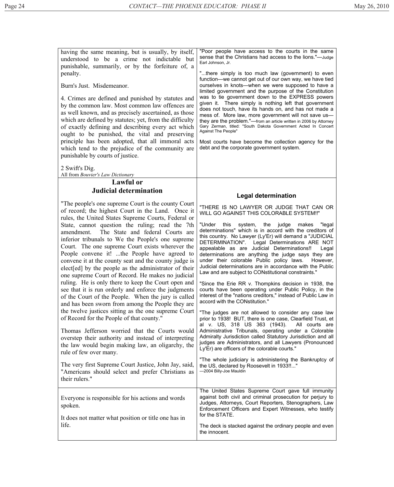having the same meaning, but is usually, by itself, understood to be a crime not indictable but punishable, summarily, or by the forfeiture of, a penalty. Burn's Just. Misdemeanor. 4. Crimes are defined and punished by statutes and by the common law. Most common law offences are as well known, and as precisely ascertained, as those which are defined by statutes; yet, from the difficulty of exactly defining and describing every act which ought to be punished, the vital and preserving principle has been adopted, that all immoral acts which tend to the prejudice of the community are punishable by courts of justice. 2 Swift's Dig. All from *Bouvier's Law Dictionary* "Poor people have access to the courts in the same sense that the Christians had access to the lions."—Judge Earl Johnson, Jr. "...there simply is too much law (government) to even function—we cannot get out of our own way, we have tied ourselves in knots—when we were supposed to have a limited government and the purpose of the Constitution was to tie government down to the EXPRESS powers given it. There simply is nothing left that government does not touch, have its hands on, and has not made a mess of. More law, more government will not save us they are the problem."—from an article written in 2006 by Attorney Gary Zerman, titled: "South Dakota Government Acted In Concert Against The People" Most courts have become the collection agency for the debt and the corporate government system. **Lawful or Judicial determination**  "The people's one supreme Court is the county Court of record; the highest Court in the Land. Once it rules, the United States Supreme Courts, Federal or State, cannot question the ruling; read the 7th amendment. The State and federal Courts are inferior tribunals to We the People's one supreme Court. The one supreme Court exists wherever the People convene it! ...the People have agreed to convene it at the county seat and the county judge is elect[ed] by the people as the administrator of their one supreme Court of Record. He makes no judicial ruling. He is only there to keep the Court open and see that it is run orderly and enforce the judgments of the Court of the People. When the jury is called and has been sworn from among the People they are the twelve justices sitting as the one supreme Court of Record for the People of that county." Thomas Jefferson worried that the Courts would overstep their authority and instead of interpreting the law would begin making law, an oligarchy, the rule of few over many. The very first Supreme Court Justice, John Jay, said, "Americans should select and prefer Christians as their rulers." **Legal determination**  "THERE IS NO LAWYER OR JUDGE THAT CAN OR WILL GO AGAINST THIS COLORABLE SYSTEM!!" "Under this system, the judge makes "legal determinations" which is in accord with the creditors of this country. No Lawyer (Ly'Er) will demand a "JUDICIAL DETERMINATION". Legal Determinations ARE NOT appealable as are Judicial Determinations!! Legal determinations are anything the judge says they are under their colorable Public policy laws. However, Judicial determinations are in accordance with the Public Law and are subject to CONstitutional constraints." "Since the Erie RR v. Thompkins decision in 1938, the courts have been operating under Public Policy, in the interest of the "nations creditors," instead of Public Law in accord with the CONstitution." "The judges are not allowed to consider any case law prior to 1938! BUT, there is one case, Clearfield Trust, et al v. US, 318 US 363 (1943). All courts are Administrative Tribunals, operating under a Colorable Admiralty Jurisdiction called Statutory Jurisdiction and all judges are Administrators, and all Lawyers (Pronounced Ly'Er) are officers of the colorable courts." "The whole judiciary is administering the Bankruptcy of the US, declared by Roosevelt in 1933!!..." —2004 Billy-Joe Mauldin Everyone is responsible for his actions and words spoken. It does not matter what position or title one has in life. The United States Supreme Court gave full immunity against both civil and criminal prosecution for perjury to Judges, Attorneys, Court Reporters, Stenographers, Law Enforcement Officers and Expert Witnesses, who testify for the STATE. The deck is stacked against the ordinary people and even the innocent.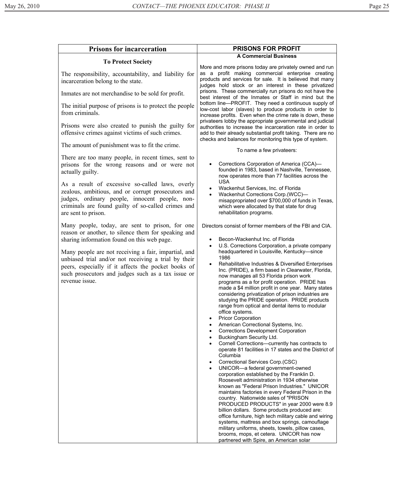| <b>Prisons for incarceration</b>                                                                                                                                                                                                            | <b>PRISONS FOR PROFIT</b>                                                                                                                                                                                                                                                                                                                                                                                                                                                                                                                                                                                                                                                                                                                                                                                                                                                                                                                                                                                                                                                                                                                                                                                                                                                                                                                                                                                                                                                                                                |
|---------------------------------------------------------------------------------------------------------------------------------------------------------------------------------------------------------------------------------------------|--------------------------------------------------------------------------------------------------------------------------------------------------------------------------------------------------------------------------------------------------------------------------------------------------------------------------------------------------------------------------------------------------------------------------------------------------------------------------------------------------------------------------------------------------------------------------------------------------------------------------------------------------------------------------------------------------------------------------------------------------------------------------------------------------------------------------------------------------------------------------------------------------------------------------------------------------------------------------------------------------------------------------------------------------------------------------------------------------------------------------------------------------------------------------------------------------------------------------------------------------------------------------------------------------------------------------------------------------------------------------------------------------------------------------------------------------------------------------------------------------------------------------|
| <b>To Protect Society</b>                                                                                                                                                                                                                   | <b>A Commercial Business</b>                                                                                                                                                                                                                                                                                                                                                                                                                                                                                                                                                                                                                                                                                                                                                                                                                                                                                                                                                                                                                                                                                                                                                                                                                                                                                                                                                                                                                                                                                             |
| The responsibility, accountability, and liability for<br>incarceration belong to the state.                                                                                                                                                 | More and more prisons today are privately owned and run<br>as a profit making commercial enterprise creating<br>products and services for sale. It is believed that many<br>judges hold stock or an interest in these privatized                                                                                                                                                                                                                                                                                                                                                                                                                                                                                                                                                                                                                                                                                                                                                                                                                                                                                                                                                                                                                                                                                                                                                                                                                                                                                         |
| Inmates are not merchandise to be sold for profit.                                                                                                                                                                                          | prisons. These commercially run prisons do not have the<br>best interest of the Inmates or Staff in mind but the                                                                                                                                                                                                                                                                                                                                                                                                                                                                                                                                                                                                                                                                                                                                                                                                                                                                                                                                                                                                                                                                                                                                                                                                                                                                                                                                                                                                         |
| The initial purpose of prisons is to protect the people<br>from criminals.                                                                                                                                                                  | bottom line-PROFIT. They need a continuous supply of<br>low-cost labor (slaves) to produce products in order to<br>increase profits. Even when the crime rate is down, these<br>privateers lobby the appropriate governmental and judicial                                                                                                                                                                                                                                                                                                                                                                                                                                                                                                                                                                                                                                                                                                                                                                                                                                                                                                                                                                                                                                                                                                                                                                                                                                                                               |
| Prisons were also created to punish the guilty for<br>offensive crimes against victims of such crimes.                                                                                                                                      | authorities to increase the incarceration rate in order to<br>add to their already substantial profit taking. There are no<br>checks and balances for monitoring this type of system.                                                                                                                                                                                                                                                                                                                                                                                                                                                                                                                                                                                                                                                                                                                                                                                                                                                                                                                                                                                                                                                                                                                                                                                                                                                                                                                                    |
| The amount of punishment was to fit the crime.                                                                                                                                                                                              | To name a few privateers:                                                                                                                                                                                                                                                                                                                                                                                                                                                                                                                                                                                                                                                                                                                                                                                                                                                                                                                                                                                                                                                                                                                                                                                                                                                                                                                                                                                                                                                                                                |
| There are too many people, in recent times, sent to<br>prisons for the wrong reasons and or were not<br>actually guilty.<br>As a result of excessive so-called laws, overly                                                                 | Corrections Corporation of America (CCA)-<br>founded in 1983, based in Nashville, Tennessee,<br>now operates more than 77 facilities across the<br><b>USA</b>                                                                                                                                                                                                                                                                                                                                                                                                                                                                                                                                                                                                                                                                                                                                                                                                                                                                                                                                                                                                                                                                                                                                                                                                                                                                                                                                                            |
| zealous, ambitious, and or corrupt prosecutors and<br>judges, ordinary people, innocent people, non-<br>criminals are found guilty of so-called crimes and<br>are sent to prison.                                                           | Wackenhut Services, Inc. of Florida<br>Wackenhut Corrections Corp.(WCC)-<br>$\bullet$<br>misappropriated over \$700,000 of funds in Texas,<br>which were allocated by that state for drug<br>rehabilitation programs.                                                                                                                                                                                                                                                                                                                                                                                                                                                                                                                                                                                                                                                                                                                                                                                                                                                                                                                                                                                                                                                                                                                                                                                                                                                                                                    |
| Many people, today, are sent to prison, for one<br>reason or another, to silence them for speaking and<br>sharing information found on this web page.                                                                                       | Directors consist of former members of the FBI and CIA.<br>Becon-Wackenhut Inc. of Florida<br>$\bullet$<br>U.S. Corrections Corporation, a private company<br>$\bullet$                                                                                                                                                                                                                                                                                                                                                                                                                                                                                                                                                                                                                                                                                                                                                                                                                                                                                                                                                                                                                                                                                                                                                                                                                                                                                                                                                  |
| Many people are not receiving a fair, impartial, and<br>unbiased trial and/or not receiving a trial by their<br>peers, especially if it affects the pocket books of<br>such prosecutors and judges such as a tax issue or<br>revenue issue. | headquartered in Louisville, Kentucky-since<br>1986<br>Rehabilitative Industries & Diversified Enterprises<br>Inc. (PRIDE), a firm based in Clearwater, Florida,<br>now manages all 53 Florida prison work<br>programs as a for profit operation. PRIDE has<br>made a \$4 million profit in one year. Many states<br>considering privatization of prison industries are<br>studying the PRIDE operation. PRIDE products<br>range from optical and dental items to modular<br>office systems.<br><b>Pricor Corporation</b><br>٠<br>American Correctional Systems, Inc.<br>$\bullet$<br><b>Corrections Development Corporation</b><br>$\bullet$<br>Buckingham Security Ltd.<br>$\bullet$<br>Cornell Corrections-currently has contracts to<br>$\bullet$<br>operate 81 facilities in 17 states and the District of<br>Columbia<br>Correctional Services Corp.(CSC)<br>$\bullet$<br>UNICOR-a federal government-owned<br>$\bullet$<br>corporation established by the Franklin D.<br>Roosevelt administration in 1934 otherwise<br>known as "Federal Prison Industries." UNICOR<br>maintains factories in every Federal Prison in the<br>country. Nationwide sales of "PRISON<br>PRODUCED PRODUCTS" in year 2000 were 8.9<br>billion dollars. Some products produced are:<br>office furniture, high tech military cable and wiring<br>systems, mattress and box springs, camouflage<br>military uniforms, sheets, towels, pillow cases,<br>brooms, mops, et cetera. UNICOR has now<br>partnered with Spire, an American solar |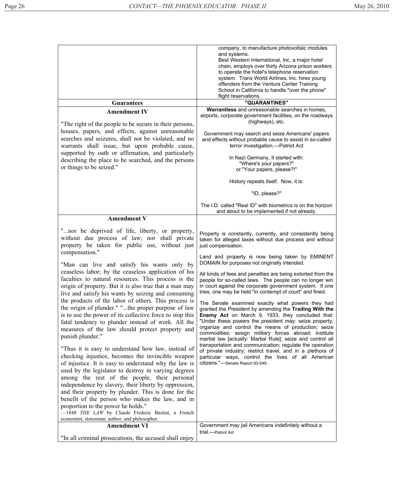|                                                                                                                                                                                                                                                                                                                                                                                                                                                                                                                                                                                                                                                                                                                                                                                                                                                                                                                                                                                                                                                                                                                                                                                                                                                                                                                                                           | company, to manufacture photovoltaic modules<br>and systems.<br>Best Western International, Inc, a major hotel<br>chain, employs over thirty Arizona prison workers<br>to operate the hotel's telephone reservation<br>system. Trans World Airlines, Inc. hires young<br>offenders from the Ventura Center Training<br>School in California to handle "over the phone"<br>flight reservations.                                                                                                                                                                                                                                                                                                                                                                                                                                                                                                                                                                                                                                                                                                                                 |
|-----------------------------------------------------------------------------------------------------------------------------------------------------------------------------------------------------------------------------------------------------------------------------------------------------------------------------------------------------------------------------------------------------------------------------------------------------------------------------------------------------------------------------------------------------------------------------------------------------------------------------------------------------------------------------------------------------------------------------------------------------------------------------------------------------------------------------------------------------------------------------------------------------------------------------------------------------------------------------------------------------------------------------------------------------------------------------------------------------------------------------------------------------------------------------------------------------------------------------------------------------------------------------------------------------------------------------------------------------------|--------------------------------------------------------------------------------------------------------------------------------------------------------------------------------------------------------------------------------------------------------------------------------------------------------------------------------------------------------------------------------------------------------------------------------------------------------------------------------------------------------------------------------------------------------------------------------------------------------------------------------------------------------------------------------------------------------------------------------------------------------------------------------------------------------------------------------------------------------------------------------------------------------------------------------------------------------------------------------------------------------------------------------------------------------------------------------------------------------------------------------|
| <b>Guarantees</b>                                                                                                                                                                                                                                                                                                                                                                                                                                                                                                                                                                                                                                                                                                                                                                                                                                                                                                                                                                                                                                                                                                                                                                                                                                                                                                                                         | "QUARANTINES"                                                                                                                                                                                                                                                                                                                                                                                                                                                                                                                                                                                                                                                                                                                                                                                                                                                                                                                                                                                                                                                                                                                  |
| <b>Amendment IV</b><br>"The right of the people to be secure in their persons,<br>houses, papers, and effects, against unreasonable<br>searches and seizures, shall not be violated, and no<br>warrants shall issue, but upon probable cause,<br>supported by oath or affirmation, and particularly<br>describing the place to be searched, and the persons<br>or things to be seized."                                                                                                                                                                                                                                                                                                                                                                                                                                                                                                                                                                                                                                                                                                                                                                                                                                                                                                                                                                   | Warrantless and unreasonable searches in homes,<br>airports, corporate government facilities, on the roadways<br>(highways), etc.<br>Government may search and seize Americans' papers<br>and effects without probable cause to assist in so-called<br>terror investigation.-Patriot Act<br>In Nazi Germany, It started with:<br>"Where's your papers?"<br>or "Your papers, please?!"<br>History repeats itself. Now, it is:                                                                                                                                                                                                                                                                                                                                                                                                                                                                                                                                                                                                                                                                                                   |
|                                                                                                                                                                                                                                                                                                                                                                                                                                                                                                                                                                                                                                                                                                                                                                                                                                                                                                                                                                                                                                                                                                                                                                                                                                                                                                                                                           | "ID, please?"<br>The I.D. called "Real ID" with biometrics is on the horizon                                                                                                                                                                                                                                                                                                                                                                                                                                                                                                                                                                                                                                                                                                                                                                                                                                                                                                                                                                                                                                                   |
|                                                                                                                                                                                                                                                                                                                                                                                                                                                                                                                                                                                                                                                                                                                                                                                                                                                                                                                                                                                                                                                                                                                                                                                                                                                                                                                                                           | and about to be implemented if not already.                                                                                                                                                                                                                                                                                                                                                                                                                                                                                                                                                                                                                                                                                                                                                                                                                                                                                                                                                                                                                                                                                    |
| <b>Amendment V</b>                                                                                                                                                                                                                                                                                                                                                                                                                                                                                                                                                                                                                                                                                                                                                                                                                                                                                                                                                                                                                                                                                                                                                                                                                                                                                                                                        |                                                                                                                                                                                                                                                                                                                                                                                                                                                                                                                                                                                                                                                                                                                                                                                                                                                                                                                                                                                                                                                                                                                                |
| "nor be deprived of life, liberty, or property,<br>without due process of law; nor shall private<br>property be taken for public use, without just<br>compensation."<br>"Man can live and satisfy his wants only by<br>ceaseless labor; by the ceaseless application of his<br>faculties to natural resources. This process is the<br>origin of property. But it is also true that a man may<br>live and satisfy his wants by seizing and consuming<br>the products of the labor of others. This process is<br>the origin of plunder." "the proper purpose of law<br>is to use the power of its collective force to stop this<br>fatal tendency to plunder instead of work. All the<br>measures of the law should protect property and<br>punish plunder."<br>"Thus it is easy to understand how law, instead of<br>checking injustice, becomes the invincible weapon<br>of injustice. It is easy to understand why the law is<br>used by the legislator to destroy in varying degrees<br>among the rest of the people, their personal<br>independence by slavery, their liberty by oppression,<br>and their property by plunder. This is done for the<br>benefit of the person who makes the law, and in<br>proportion to the power he holds."<br>$-1848$ THE LAW by Claude Frederic Bastiat, a French<br>economist, statesman, author, and philosopher. | Property is constantly, currently, and consistently being<br>taken for alleged taxes without due process and without<br>just compensation.<br>Land and property is now being taken by EMINENT<br>DOMAIN for purposes not originally intended.<br>All kinds of fees and penalties are being extorted from the<br>people for so-called laws. The people can no longer win<br>in court against the corporate government system. If one<br>tries, one may be held "in contempt of court" and fined.<br>The Senate examined exactly what powers they had<br>granted the President by amending the Trading With the<br>Enemy Act on March 9, 1933, they concluded that:<br>"Under these powers the president may: seize property;<br>organize and control the means of production; seize<br>commodities; assign military forces abroad; institute<br>martial law [actually: Martial Rule]; seize and control all<br>transportation and communication; regulate the operation<br>of private industry; restrict travel, and in a plethora of<br>particular ways, control the lives of all American<br>citizens."-Senate Report 93-549. |
| <b>Amendment VI</b>                                                                                                                                                                                                                                                                                                                                                                                                                                                                                                                                                                                                                                                                                                                                                                                                                                                                                                                                                                                                                                                                                                                                                                                                                                                                                                                                       | Government may jail Americans indefinitely without a<br>trial.-Patriot Act                                                                                                                                                                                                                                                                                                                                                                                                                                                                                                                                                                                                                                                                                                                                                                                                                                                                                                                                                                                                                                                     |
| "In all criminal prosecutions, the accused shall enjoy                                                                                                                                                                                                                                                                                                                                                                                                                                                                                                                                                                                                                                                                                                                                                                                                                                                                                                                                                                                                                                                                                                                                                                                                                                                                                                    |                                                                                                                                                                                                                                                                                                                                                                                                                                                                                                                                                                                                                                                                                                                                                                                                                                                                                                                                                                                                                                                                                                                                |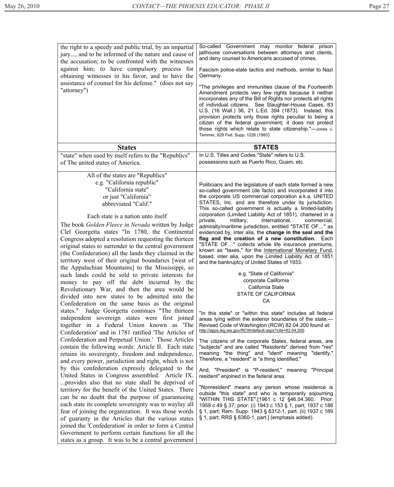| the right to a speedy and public trial, by an impartial<br>jury, and to be informed of the nature and cause of<br>the accusation; to be confronted with the witnesses<br>against him; to have compulsory process for<br>obtaining witnesses in his favor, and to have the<br>assistance of counsel for his defense." (does not say<br>"attorney")                                                                                                                                                                                                                                                                                                                                                                                                                                                                                                                                                                                                                                                                                                                                                                                                                                                                                                                                                                                                                                                                                                                                                                                                                                                                                                                                                                                                                                                                                                   | So-called Government may monitor federal<br>prison<br>jailhouse conversations between attorneys and clients,<br>and deny counsel to Americans accused of crimes.<br>Fascism police-state tactics and methods, similar to Nazi<br>Germany.<br>"The privileges and immunities clause of the Fourteenth<br>Amendment protects very few rights because it neither<br>incorporates any of the Bill of Rights nor protects all rights<br>of individual citizens. See Slaughter-House Cases, 83<br>U.S. (16 Wall.) 36, 21 L.Ed. 394 (1873). Instead, this<br>provision protects only those rights peculiar to being a<br>citizen of the federal government; it does not protect<br>those rights which relate to state citizenship."-Jones v.<br>Temmer, 829 Fed. Supp. 1226 (1993)                                                                                                                                                                                                                                                                                                                                                                                                                                                                                                                                                                                                                                                                                                                                                                                                                                                                                                                                                                                                                                                                                                                            |
|-----------------------------------------------------------------------------------------------------------------------------------------------------------------------------------------------------------------------------------------------------------------------------------------------------------------------------------------------------------------------------------------------------------------------------------------------------------------------------------------------------------------------------------------------------------------------------------------------------------------------------------------------------------------------------------------------------------------------------------------------------------------------------------------------------------------------------------------------------------------------------------------------------------------------------------------------------------------------------------------------------------------------------------------------------------------------------------------------------------------------------------------------------------------------------------------------------------------------------------------------------------------------------------------------------------------------------------------------------------------------------------------------------------------------------------------------------------------------------------------------------------------------------------------------------------------------------------------------------------------------------------------------------------------------------------------------------------------------------------------------------------------------------------------------------------------------------------------------------|--------------------------------------------------------------------------------------------------------------------------------------------------------------------------------------------------------------------------------------------------------------------------------------------------------------------------------------------------------------------------------------------------------------------------------------------------------------------------------------------------------------------------------------------------------------------------------------------------------------------------------------------------------------------------------------------------------------------------------------------------------------------------------------------------------------------------------------------------------------------------------------------------------------------------------------------------------------------------------------------------------------------------------------------------------------------------------------------------------------------------------------------------------------------------------------------------------------------------------------------------------------------------------------------------------------------------------------------------------------------------------------------------------------------------------------------------------------------------------------------------------------------------------------------------------------------------------------------------------------------------------------------------------------------------------------------------------------------------------------------------------------------------------------------------------------------------------------------------------------------------------------------------------|
| <b>States</b>                                                                                                                                                                                                                                                                                                                                                                                                                                                                                                                                                                                                                                                                                                                                                                                                                                                                                                                                                                                                                                                                                                                                                                                                                                                                                                                                                                                                                                                                                                                                                                                                                                                                                                                                                                                                                                       | <b>STATES</b>                                                                                                                                                                                                                                                                                                                                                                                                                                                                                                                                                                                                                                                                                                                                                                                                                                                                                                                                                                                                                                                                                                                                                                                                                                                                                                                                                                                                                                                                                                                                                                                                                                                                                                                                                                                                                                                                                          |
|                                                                                                                                                                                                                                                                                                                                                                                                                                                                                                                                                                                                                                                                                                                                                                                                                                                                                                                                                                                                                                                                                                                                                                                                                                                                                                                                                                                                                                                                                                                                                                                                                                                                                                                                                                                                                                                     | In U.S. Titles and Codes "State" refers to U.S.                                                                                                                                                                                                                                                                                                                                                                                                                                                                                                                                                                                                                                                                                                                                                                                                                                                                                                                                                                                                                                                                                                                                                                                                                                                                                                                                                                                                                                                                                                                                                                                                                                                                                                                                                                                                                                                        |
| "state" when used by itself refers to the "Republics"<br>of The united states of America.                                                                                                                                                                                                                                                                                                                                                                                                                                                                                                                                                                                                                                                                                                                                                                                                                                                                                                                                                                                                                                                                                                                                                                                                                                                                                                                                                                                                                                                                                                                                                                                                                                                                                                                                                           | possessions such as Puerto Rico, Guam, etc.                                                                                                                                                                                                                                                                                                                                                                                                                                                                                                                                                                                                                                                                                                                                                                                                                                                                                                                                                                                                                                                                                                                                                                                                                                                                                                                                                                                                                                                                                                                                                                                                                                                                                                                                                                                                                                                            |
| All of the states are "Republics"<br>e.g. "California republic"<br>"California state"<br>or just "California"<br>abbreviated "Calif."<br>Each state is a nation unto itself<br>The book <i>Golden Fleece in Nevada</i> written by Judge<br>Clel Georgetta states "In 1780, the Continental<br>Congress adopted a resolution requesting the thirteen<br>original states to surrender to the central government<br>(the Confederation) all the lands they claimed in the<br>territory west of their original boundaries [west of<br>the Appalachian Mountains to the Mississippi, so<br>such lands could be sold to private interests for<br>money to pay off the debt incurred by the<br>Revolutionary War, and then the area would be<br>divided into new states to be admitted into the<br>Confederation on the same basis as the original<br>states." Judge Georgetta continues "The thirteen<br>independent sovereign states were first joined<br>together in a Federal Union known as 'The<br>Confederation' and in 1781 ratified 'The Articles of<br>Confederation and Perpetual Union.' Those Articles<br>contain the following words: Article II. Each state<br>retains its sovereignty, freedom and independence,<br>and every power, jurisdiction and right, which is not<br>by this confederation expressly delegated to the<br>United States in Congress assembled. Article IX.<br>provides also that no state shall be deprived of<br>territory for the benefit of the United States. There<br>can be no doubt that the purpose of guaranteeing<br>each state its complete sovereignty was to waylay all<br>fear of joining the organization. It was those words<br>of guaranty in the Articles that the various states<br>joined the 'Confederation' in order to form a Central<br>Government to perform certain functions for all the | Politicians and the legislature of each state formed a new<br>so-called government (de facto) and incorporated it into<br>the corporate US commercial corporation a.k.a. UNITED<br>STATES, Inc. and are therefore under its jurisdiction.<br>This so-called government is actually a limited-liability<br>corporation (Limited Liability Act of 1851), chartered in a<br>private,<br>military,<br>international,<br>commercial,<br>admiralty/maritime jurisdiction, entitled "STATE OF" as<br>evidenced by, inter alia, the change in the seal and the<br>flag and the creation of a new constitution. Each<br>"STATE OF" collects whole life insurance premiums,<br>known as "taxes," for the International Monetary Fund,<br>based, inter alia, upon the Limited Liability Act of 1851<br>and the bankruptcy of United States of 1933.<br>e.g. "State of California"<br>corporate California<br>California State<br><b>STATE OF CALIFORNIA</b><br>CA<br>"In this state" or "within this state" includes all federal<br>areas lying within the exterior boundaries of the state.-<br>Revised Code of Washington (RCW) 82.04.200 found at:<br>http://apps.leg.wa.gov/RCW/default.aspx?cite=82.04.200<br>The citizens of the corporate States, federal areas, are<br>"subjects" and are called "Residents" derived from "res"<br>meaning "the thing" and "ident" meaning "identify."<br>Therefore, a "resident" is "a thing identified."<br>And, "President" is "P-resident," meaning "Principal<br>resident" enjoined in the federal area.<br>"Nonresident" means any person whose residence is<br>outside "this state" and who is temporarily sojourning<br>"WITHIN THIS STATE".[1961 c 12 §46.04.360. Prior:<br>1959 c 49 § 37; prior: (i) 1943 c 153 § 1, part; 1937 c 188<br>§ 1, part; Rem. Supp. 1943 § 6312-1, part. (ii) 1937 c 189<br>$\S$ 1, part; RRS $\S$ 6360-1, part.] (emphasis added). |
| states as a group. It was to be a central government                                                                                                                                                                                                                                                                                                                                                                                                                                                                                                                                                                                                                                                                                                                                                                                                                                                                                                                                                                                                                                                                                                                                                                                                                                                                                                                                                                                                                                                                                                                                                                                                                                                                                                                                                                                                |                                                                                                                                                                                                                                                                                                                                                                                                                                                                                                                                                                                                                                                                                                                                                                                                                                                                                                                                                                                                                                                                                                                                                                                                                                                                                                                                                                                                                                                                                                                                                                                                                                                                                                                                                                                                                                                                                                        |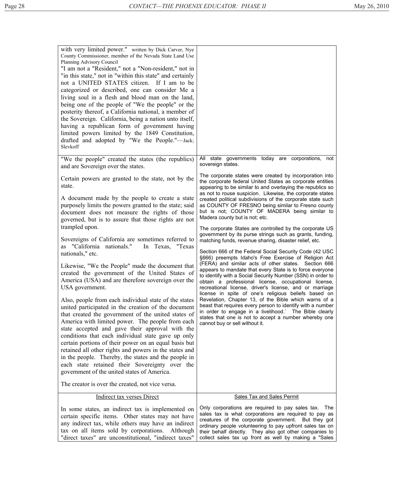| with very limited power." written by Dick Carver, Nye<br>County Commissioner, member of the Nevada State Land Use<br>Planning Advisory Council<br>"I am not a "Resident," not a "Non-resident," not in<br>"in this state," not in "within this state" and certainly<br>not a UNITED STATES citizen. If I am to be<br>categorized or described, one can consider Me a<br>living soul in a flesh and blood man on the land,<br>being one of the people of "We the people" or the<br>posterity thereof, a California national, a member of<br>the Sovereign. California, being a nation unto itself,<br>having a republican form of government having<br>limited powers limited by the 1849 Constitution,<br>drafted and adopted by "We the People."—Jack;<br>Slevkoff |                                                                                                                                                                                                                                                                                                                                  |
|---------------------------------------------------------------------------------------------------------------------------------------------------------------------------------------------------------------------------------------------------------------------------------------------------------------------------------------------------------------------------------------------------------------------------------------------------------------------------------------------------------------------------------------------------------------------------------------------------------------------------------------------------------------------------------------------------------------------------------------------------------------------|----------------------------------------------------------------------------------------------------------------------------------------------------------------------------------------------------------------------------------------------------------------------------------------------------------------------------------|
| "We the people" created the states (the republics)<br>and are Sovereign over the states.                                                                                                                                                                                                                                                                                                                                                                                                                                                                                                                                                                                                                                                                            | All state governments today are corporations, not<br>sovereign states.                                                                                                                                                                                                                                                           |
| Certain powers are granted to the state, not by the<br>state.                                                                                                                                                                                                                                                                                                                                                                                                                                                                                                                                                                                                                                                                                                       | The corporate states were created by incorporation into<br>the corporate federal United States as corporate entities<br>appearing to be similar to and overlaying the republics so                                                                                                                                               |
| A document made by the people to create a state<br>purposely limits the powers granted to the state; said<br>document does not measure the rights of those<br>governed, but is to assure that those rights are not<br>trampled upon.                                                                                                                                                                                                                                                                                                                                                                                                                                                                                                                                | as not to rouse suspicion. Likewise, the corporate states<br>created political subdivisions of the corporate state such<br>as COUNTY OF FRESNO being similar to Fresno county<br>but is not; COUNTY OF MADERA being similar to<br>Madera county but is not; etc.                                                                 |
| Sovereigns of California are sometimes referred to<br>as "California nationals."<br>In Texas, "Texas<br>nationals," etc.                                                                                                                                                                                                                                                                                                                                                                                                                                                                                                                                                                                                                                            | The corporate States are controlled by the corporate US<br>government by its purse strings such as grants, funding,<br>matching funds, revenue sharing, disaster relief, etc.<br>Section 666 of the Federal Social Security Code (42 USC<br>§666) preempts Idaho's Free Exercise of Religion Act                                 |
| Likewise, "We the People" made the document that<br>created the government of the United States of<br>America (USA) and are therefore sovereign over the<br>USA government.                                                                                                                                                                                                                                                                                                                                                                                                                                                                                                                                                                                         | (FERA) and similar acts of other states. Section 666<br>appears to mandate that every State is to force everyone<br>to identify with a Social Security Number (SSN) in order to<br>obtain a professional license, occupational license,<br>recreational license, driver's license, and or marriage                               |
| Also, people from each individual state of the states<br>united participated in the creation of the document<br>that created the government of the united states of<br>America with limited power. The people from each<br>state accepted and gave their approval with the<br>conditions that each individual state gave up only<br>certain portions of their power on an equal basis but<br>retained all other rights and powers in the states and<br>in the people. Thereby, the states and the people in<br>each state retained their Sovereignty over the<br>government of the united states of America.                                                                                                                                                        | license in spite of one's religious beliefs based on<br>Revelation, Chapter 13, of the Bible which warns of a<br>beast that requires every person to identify with a number<br>in order to engage in a livelihood.` The Bible clearly<br>states that one is not to accept a number whereby one<br>cannot buy or sell without it. |
| The creator is over the created, not vice versa.                                                                                                                                                                                                                                                                                                                                                                                                                                                                                                                                                                                                                                                                                                                    |                                                                                                                                                                                                                                                                                                                                  |
| <b>Indirect tax verses Direct</b>                                                                                                                                                                                                                                                                                                                                                                                                                                                                                                                                                                                                                                                                                                                                   | <b>Sales Tax and Sales Permit</b><br>Only corporations are required to pay sales tax. The                                                                                                                                                                                                                                        |
| In some states, an indirect tax is implemented on<br>certain specific items. Other states may not have<br>any indirect tax, while others may have an indirect<br>tax on all items sold by corporations. Although<br>"direct taxes" are unconstitutional, "indirect taxes"                                                                                                                                                                                                                                                                                                                                                                                                                                                                                           | sales tax is what corporations are required to pay as<br>creatures of the corporate government. But they got<br>ordinary people volunteering to pay upfront sales tax on<br>their behalf directly. They also got other companies to<br>collect sales tax up front as well by making a "Sales                                     |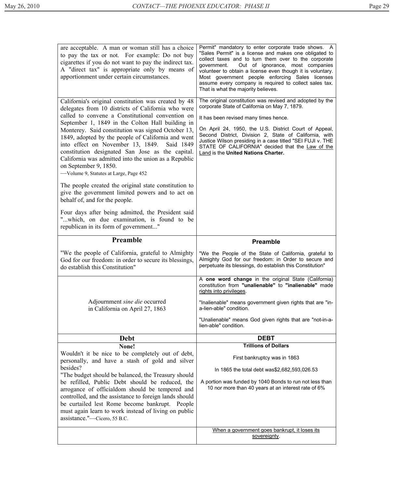| are acceptable. A man or woman still has a choice<br>to pay the tax or not. For example: Do not buy                                                                                                                                                                                                                                                           | Permit" mandatory to enter corporate trade shows. A<br>"Sales Permit" is a license and makes one obligated to<br>collect taxes and to turn them over to the corporate                                                                                                    |
|---------------------------------------------------------------------------------------------------------------------------------------------------------------------------------------------------------------------------------------------------------------------------------------------------------------------------------------------------------------|--------------------------------------------------------------------------------------------------------------------------------------------------------------------------------------------------------------------------------------------------------------------------|
| cigarettes if you do not want to pay the indirect tax.<br>A "direct tax" is appropriate only by means of<br>apportionment under certain circumstances.                                                                                                                                                                                                        | Out of ignorance, most companies<br>government.<br>volunteer to obtain a license even though it is voluntary.<br>Most government people enforcing Sales licenses<br>assume every company is required to collect sales tax.<br>That is what the majority believes.        |
| California's original constitution was created by 48<br>delegates from 10 districts of California who were                                                                                                                                                                                                                                                    | The original constitution was revised and adopted by the<br>corporate State of California on May 7, 1879.                                                                                                                                                                |
| called to convene a Constitutional convention on<br>September 1, 1849 in the Colton Hall building in                                                                                                                                                                                                                                                          | It has been revised many times hence.                                                                                                                                                                                                                                    |
| Monterey. Said constitution was signed October 13,<br>1849, adopted by the people of California and went<br>into effect on November 13, 1849. Said 1849<br>constitution designated San Jose as the capital.<br>California was admitted into the union as a Republic<br>on September 9, 1850.                                                                  | On April 24, 1950, the U.S. District Court of Appeal,<br>Second District, Division 2, State of California, with<br>Justice Wilson presiding in a case titled "SEI FUJI v. THE<br>STATE OF CALIFORNIA" decided that the Law of the<br>Land is the United Nations Charter. |
| -Volume 9, Statutes at Large, Page 452                                                                                                                                                                                                                                                                                                                        |                                                                                                                                                                                                                                                                          |
| The people created the original state constitution to<br>give the government limited powers and to act on<br>behalf of, and for the people.                                                                                                                                                                                                                   |                                                                                                                                                                                                                                                                          |
| Four days after being admitted, the President said<br>"which, on due examination, is found to be<br>republican in its form of government"                                                                                                                                                                                                                     |                                                                                                                                                                                                                                                                          |
| Preamble                                                                                                                                                                                                                                                                                                                                                      | <b>Preamble</b>                                                                                                                                                                                                                                                          |
| "We the people of California, grateful to Almighty<br>God for our freedom: in order to secure its blessings,<br>do establish this Constitution"                                                                                                                                                                                                               | "We the People of the State of California, grateful to<br>Almighty God for our freedom: in Order to secure and<br>perpetuate its blessings, do establish this Constitution"                                                                                              |
|                                                                                                                                                                                                                                                                                                                                                               | A one word change in the original State (California)<br>constitution from "unalienable" to "inalienable" made<br>rights into privileges.                                                                                                                                 |
| Adjournment <i>sine die</i> occurred<br>in California on April 27, 1863                                                                                                                                                                                                                                                                                       | "Inalienable" means government given rights that are "in-<br>a-lien-able" condition.                                                                                                                                                                                     |
|                                                                                                                                                                                                                                                                                                                                                               | "Unalienable" means God given rights that are "not-in-a-<br>lien-able" condition.                                                                                                                                                                                        |
| <b>Debt</b>                                                                                                                                                                                                                                                                                                                                                   | <b>DEBT</b>                                                                                                                                                                                                                                                              |
| None!                                                                                                                                                                                                                                                                                                                                                         | <b>Trillions of Dollars</b>                                                                                                                                                                                                                                              |
| Wouldn't it be nice to be completely out of debt,<br>personally, and have a stash of gold and silver                                                                                                                                                                                                                                                          | First bankruptcy was in 1863                                                                                                                                                                                                                                             |
| besides?                                                                                                                                                                                                                                                                                                                                                      | In 1865 the total debt was\$2,682,593,026.53                                                                                                                                                                                                                             |
| "The budget should be balanced, the Treasury should<br>be refilled, Public Debt should be reduced, the<br>arrogance of officialdom should be tempered and<br>controlled, and the assistance to foreign lands should<br>be curtailed lest Rome become bankrupt. People<br>must again learn to work instead of living on public<br>assistance."-Cicero, 55 B.C. | A portion was funded by 1040 Bonds to run not less than<br>10 nor more than 40 years at an interest rate of 6%                                                                                                                                                           |
|                                                                                                                                                                                                                                                                                                                                                               | When a government goes bankrupt, it loses its<br>sovereignty.                                                                                                                                                                                                            |
|                                                                                                                                                                                                                                                                                                                                                               |                                                                                                                                                                                                                                                                          |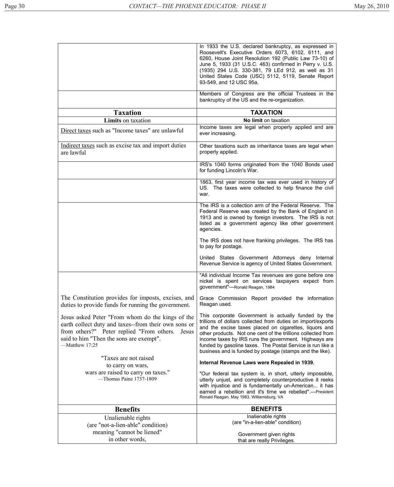|                                                                                                                                                                                                                             | In 1933 the U.S. declared bankruptcy, as expressed in<br>Roosevelt's Executive Orders 6073, 6102, 6111, and<br>6260, House Joint Resolution 192 (Public Law 73-10) of<br>June 5, 1933 (31 U.S.C. 463) confirmed in Perry v. U.S.<br>(1935) 294 U.S. 330-381, 79 LEd 912, as well as 31<br>United States Code (USC) 5112, 5119, Senate Report<br>93-549, and 12 USC 95a.                                                          |
|-----------------------------------------------------------------------------------------------------------------------------------------------------------------------------------------------------------------------------|----------------------------------------------------------------------------------------------------------------------------------------------------------------------------------------------------------------------------------------------------------------------------------------------------------------------------------------------------------------------------------------------------------------------------------|
|                                                                                                                                                                                                                             | Members of Congress are the official Trustees in the<br>bankruptcy of the US and the re-organization.                                                                                                                                                                                                                                                                                                                            |
| <b>Taxation</b>                                                                                                                                                                                                             | <b>TAXATION</b>                                                                                                                                                                                                                                                                                                                                                                                                                  |
| Limits on taxation                                                                                                                                                                                                          | No limit on taxation                                                                                                                                                                                                                                                                                                                                                                                                             |
| Direct taxes such as "Income taxes" are unlawful                                                                                                                                                                            | Income taxes are legal when properly applied and are<br>ever increasing.                                                                                                                                                                                                                                                                                                                                                         |
| Indirect taxes such as excise tax and import duties<br>are lawful                                                                                                                                                           | Other taxations such as inheritance taxes are legal when<br>properly applied.                                                                                                                                                                                                                                                                                                                                                    |
|                                                                                                                                                                                                                             | IRS's 1040 forms originated from the 1040 Bonds used<br>for funding Lincoln's War.                                                                                                                                                                                                                                                                                                                                               |
|                                                                                                                                                                                                                             | 1863, first year income tax was ever used in history of<br>US. The taxes were collected to help finance the civil<br>war.                                                                                                                                                                                                                                                                                                        |
|                                                                                                                                                                                                                             | The IRS is a collection arm of the Federal Reserve. The<br>Federal Reserve was created by the Bank of England in<br>1913 and is owned by foreign investors. The IRS is not<br>listed as a government agency like other government<br>agencies.                                                                                                                                                                                   |
|                                                                                                                                                                                                                             | The IRS does not have franking privileges. The IRS has<br>to pay for postage.                                                                                                                                                                                                                                                                                                                                                    |
|                                                                                                                                                                                                                             | United States Government Attorneys deny Internal<br>Revenue Service is agency of United States Government.                                                                                                                                                                                                                                                                                                                       |
|                                                                                                                                                                                                                             | "All individual Income Tax revenues are gone before one<br>nickel is spent on services taxpayers expect from<br>government"-Ronald Reagan, 1984                                                                                                                                                                                                                                                                                  |
| The Constitution provides for imposts, excises, and<br>duties to provide funds for running the government.                                                                                                                  | Grace Commission Report provided the information<br>Reagan used.                                                                                                                                                                                                                                                                                                                                                                 |
| Jesus asked Peter "From whom do the kings of the<br>earth collect duty and taxes--from their own sons or<br>from others?" Peter replied "From others.<br>Jesus<br>said to him "Then the sons are exempt".<br>-Matthew 17:25 | This corporate Government is actually funded by the<br>trillions of dollars collected from duties on import/exports<br>and the excise taxes placed on cigarettes, liquors and<br>other products. Not one cent of the trillions collected from<br>income taxes by IRS runs the government. Highways are<br>funded by gasoline taxes. The Postal Service is run like a<br>business and is funded by postage (stamps and the like). |
| "Taxes are not raised<br>to carry on wars,                                                                                                                                                                                  | Internal Revenue Laws were Repealed in 1939.                                                                                                                                                                                                                                                                                                                                                                                     |
| wars are raised to carry on taxes."<br>-Thomas Paine 1737-1809                                                                                                                                                              | "Our federal tax system is, in short, utterly impossible,<br>utterly unjust, and completely counterproductive it reeks<br>with injustice and is fundamentally un-American it has<br>earned a rebellion and it's time we rebelled".--President<br>Ronald Reagan, May 1983, Williamsburg, VA                                                                                                                                       |
| <b>Benefits</b>                                                                                                                                                                                                             | <b>BENEFITS</b>                                                                                                                                                                                                                                                                                                                                                                                                                  |
| Unalienable rights                                                                                                                                                                                                          | Inalienable rights                                                                                                                                                                                                                                                                                                                                                                                                               |
| (are "not-a-lien-able" condition)                                                                                                                                                                                           | (are "in-a-lien-able" condition)                                                                                                                                                                                                                                                                                                                                                                                                 |
| meaning "cannot be liened"                                                                                                                                                                                                  | Government given rights                                                                                                                                                                                                                                                                                                                                                                                                          |
| in other words,                                                                                                                                                                                                             | that are really Privileges.                                                                                                                                                                                                                                                                                                                                                                                                      |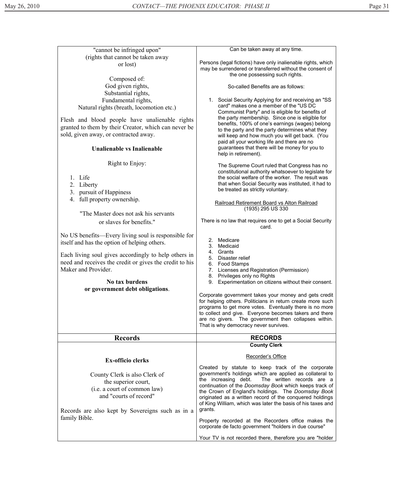| "cannot be infringed upon"                                                                                                                                                                                                                | Can be taken away at any time.                                                                                                                                                                                                                                                                                                                                                                                           |
|-------------------------------------------------------------------------------------------------------------------------------------------------------------------------------------------------------------------------------------------|--------------------------------------------------------------------------------------------------------------------------------------------------------------------------------------------------------------------------------------------------------------------------------------------------------------------------------------------------------------------------------------------------------------------------|
| (rights that cannot be taken away<br>or lost)                                                                                                                                                                                             | Persons (legal fictions) have only inalienable rights, which<br>may be surrendered or transferred without the consent of<br>the one possessing such rights.                                                                                                                                                                                                                                                              |
| Composed of:<br>God given rights,                                                                                                                                                                                                         | So-called Benefits are as follows:                                                                                                                                                                                                                                                                                                                                                                                       |
| Substantial rights,<br>Fundamental rights,<br>Natural rights (breath, locomotion etc.)<br>Flesh and blood people have unalienable rights<br>granted to them by their Creator, which can never be<br>sold, given away, or contracted away. | 1. Social Security Applying for and receiving an "SS<br>card" makes one a member of the "US DC<br>Communist Party" and is eligible for benefits of<br>the party membership. Since one is eligible for<br>benefits, 100% of one's earnings (wages) belong<br>to the party and the party determines what they<br>will keep and how much you will get back. (You<br>paid all your working life and there are no             |
| Unalienable vs Inalienable                                                                                                                                                                                                                | guarantees that there will be money for you to<br>help in retirement).                                                                                                                                                                                                                                                                                                                                                   |
| Right to Enjoy:<br>1. Life<br>2. Liberty<br>3. pursuit of Happiness<br>4. full property ownership.                                                                                                                                        | The Supreme Court ruled that Congress has no<br>constitutional authority whatsoever to legislate for<br>the social welfare of the worker. The result was<br>that when Social Security was instituted, it had to<br>be treated as strictly voluntary.                                                                                                                                                                     |
|                                                                                                                                                                                                                                           | Railroad Retirement Board vs Alton Railroad                                                                                                                                                                                                                                                                                                                                                                              |
| "The Master does not ask his servants<br>or slaves for benefits."                                                                                                                                                                         | (1935) 295 US 330<br>There is no law that requires one to get a Social Security<br>card.                                                                                                                                                                                                                                                                                                                                 |
| No US benefits—Every living soul is responsible for<br>itself and has the option of helping others.                                                                                                                                       | Medicare<br>2.<br>3. Medicaid                                                                                                                                                                                                                                                                                                                                                                                            |
| Each living soul gives accordingly to help others in<br>need and receives the credit or gives the credit to his<br>Maker and Provider.                                                                                                    | 4. Grants<br>Disaster relief<br>5.<br>6. Food Stamps<br>7.<br>Licenses and Registration (Permission)                                                                                                                                                                                                                                                                                                                     |
| No tax burdens<br>or government debt obligations.                                                                                                                                                                                         | 8. Privileges only no Rights<br>Experimentation on citizens without their consent.<br>9.                                                                                                                                                                                                                                                                                                                                 |
|                                                                                                                                                                                                                                           | Corporate government takes your money and gets credit<br>for helping others. Politicians in return create more such<br>programs to get more votes. Eventually there is no more<br>to collect and give. Everyone becomes takers and there<br>are no givers. The government then collapses within.<br>That is why democracy never survives.                                                                                |
| <b>Records</b>                                                                                                                                                                                                                            | <b>RECORDS</b>                                                                                                                                                                                                                                                                                                                                                                                                           |
|                                                                                                                                                                                                                                           | <b>County Clerk</b>                                                                                                                                                                                                                                                                                                                                                                                                      |
| <b>Ex-officio clerks</b>                                                                                                                                                                                                                  | Recorder's Office                                                                                                                                                                                                                                                                                                                                                                                                        |
| County Clerk is also Clerk of<br>the superior court,<br>(i.e. a court of common law)<br>and "courts of record"<br>Records are also kept by Sovereigns such as in a<br>family Bible.                                                       | Created by statute to keep track of the corporate<br>government's holdings which are applied as collateral to<br>the increasing debt.<br>The written records are a<br>continuation of the Doomsday Book which keeps track of<br>the Crown of England's holdings. The Doomsday Book<br>originated as a written record of the conquered holdings<br>of King William, which was later the basis of his taxes and<br>grants. |
|                                                                                                                                                                                                                                           | Property recorded at the Recorders office makes the<br>corporate de facto government "holders in due course"                                                                                                                                                                                                                                                                                                             |
|                                                                                                                                                                                                                                           | Your TV is not recorded there, therefore you are "holder                                                                                                                                                                                                                                                                                                                                                                 |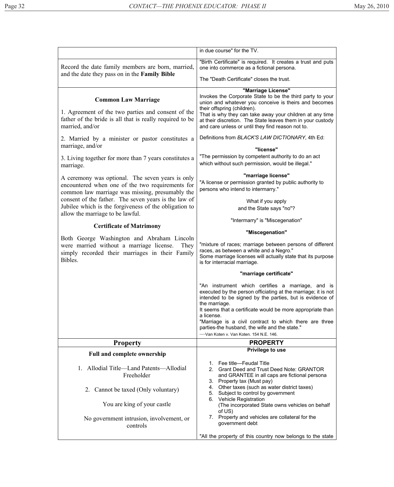|                                                                                                                                              | in due course" for the TV.                                                                                                                                                                                                                                                                        |
|----------------------------------------------------------------------------------------------------------------------------------------------|---------------------------------------------------------------------------------------------------------------------------------------------------------------------------------------------------------------------------------------------------------------------------------------------------|
| Record the date family members are born, married,                                                                                            | "Birth Certificate" is required. It creates a trust and puts<br>one into commerce as a fictional persona.                                                                                                                                                                                         |
| and the date they pass on in the <b>Family Bible</b>                                                                                         | The "Death Certificate" closes the trust.                                                                                                                                                                                                                                                         |
| <b>Common Law Marriage</b><br>1. Agreement of the two parties and consent of the<br>father of the bride is all that is really required to be | "Marriage License"<br>Invokes the Corporate State to be the third party to your<br>union and whatever you conceive is theirs and becomes<br>their offspring (children).<br>That is why they can take away your children at any time<br>at their discretion. The State leaves them in your custody |
| married, and/or                                                                                                                              | and care unless or until they find reason not to.                                                                                                                                                                                                                                                 |
| 2. Married by a minister or pastor constitutes a<br>marriage, and/or                                                                         | Definitions from BLACK'S LAW DICTIONARY, 4th Ed:<br>"license"                                                                                                                                                                                                                                     |
| 3. Living together for more than 7 years constitutes a                                                                                       | "The permission by competent authority to do an act<br>which without such permission, would be illegal."                                                                                                                                                                                          |
| marriage.                                                                                                                                    |                                                                                                                                                                                                                                                                                                   |
| A ceremony was optional. The seven years is only                                                                                             | "marriage license"<br>"A license or permission granted by public authority to                                                                                                                                                                                                                     |
| encountered when one of the two requirements for<br>common law marriage was missing, presumably the                                          | persons who intend to intermarry."                                                                                                                                                                                                                                                                |
| consent of the father. The seven years is the law of<br>Jubilee which is the forgiveness of the obligation to                                | What if you apply                                                                                                                                                                                                                                                                                 |
| allow the marriage to be lawful.                                                                                                             | and the State says "no"?<br>"Intermarry" is "Miscegenation"                                                                                                                                                                                                                                       |
| <b>Certificate of Matrimony</b>                                                                                                              |                                                                                                                                                                                                                                                                                                   |
| Both George Washington and Abraham Lincoln                                                                                                   | "Miscegenation"                                                                                                                                                                                                                                                                                   |
| were married without a marriage license.<br>They<br>simply recorded their marriages in their Family<br>Bibles.                               | "mixture of races; marriage between persons of different<br>races, as between a white and a Negro."<br>Some marriage licenses will actually state that its purpose<br>is for interracial marriage.                                                                                                |
|                                                                                                                                              | "marriage certificate"                                                                                                                                                                                                                                                                            |
|                                                                                                                                              | "An instrument which certifies a marriage, and is<br>executed by the person officiating at the marriage; it is not<br>intended to be signed by the parties, but is evidence of<br>the marriage.                                                                                                   |
|                                                                                                                                              | It seems that a certificate would be more appropriate than<br>a license.                                                                                                                                                                                                                          |
|                                                                                                                                              | "Marriage is a civil contract to which there are three<br>parties-the husband, the wife and the state."<br>-Van Koten v. Van Koten. 154 N.E. 146.                                                                                                                                                 |
| <b>Property</b>                                                                                                                              | <b>PROPERTY</b>                                                                                                                                                                                                                                                                                   |
| <b>Full and complete ownership</b>                                                                                                           | Privilege to use                                                                                                                                                                                                                                                                                  |
| Allodial Title—Land Patents—Allodial<br>$\mathbf{1}$ .<br>Freeholder                                                                         | 1. Fee title-Feudal Title<br>2. Grant Deed and Trust Deed Note: GRANTOR<br>and GRANTEE in all caps are fictional persona<br>3. Property tax (Must pay)                                                                                                                                            |
| 2. Cannot be taxed (Only voluntary)                                                                                                          | Other taxes (such as water district taxes)<br>4.<br>Subject to control by government<br>5.                                                                                                                                                                                                        |
| You are king of your castle                                                                                                                  | 6. Vehicle Registration<br>(The incorporated State owns vehicles on behalf<br>of US)                                                                                                                                                                                                              |
| No government intrusion, involvement, or<br>controls                                                                                         | 7. Property and vehicles are collateral for the<br>government debt                                                                                                                                                                                                                                |
|                                                                                                                                              | "All the property of this country now belongs to the state                                                                                                                                                                                                                                        |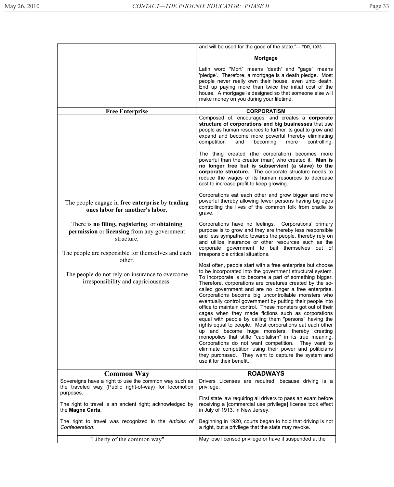|                                                                                                                                                                            | and will be used for the good of the state."-FDR, 1933                                                                                                                                                                                                                                                                                                                                                                                                                                                                                                                                                                                                                                                                                                                                                                                                                                                                                                                                        |
|----------------------------------------------------------------------------------------------------------------------------------------------------------------------------|-----------------------------------------------------------------------------------------------------------------------------------------------------------------------------------------------------------------------------------------------------------------------------------------------------------------------------------------------------------------------------------------------------------------------------------------------------------------------------------------------------------------------------------------------------------------------------------------------------------------------------------------------------------------------------------------------------------------------------------------------------------------------------------------------------------------------------------------------------------------------------------------------------------------------------------------------------------------------------------------------|
|                                                                                                                                                                            | Mortgage                                                                                                                                                                                                                                                                                                                                                                                                                                                                                                                                                                                                                                                                                                                                                                                                                                                                                                                                                                                      |
|                                                                                                                                                                            | Latin word "Mort" means 'death' and "gage" means<br>'pledge'. Therefore, a mortgage is a death pledge. Most<br>people never really own their house, even unto death.<br>End up paying more than twice the initial cost of the<br>house. A mortgage is designed so that someone else will<br>make money on you during your lifetime.                                                                                                                                                                                                                                                                                                                                                                                                                                                                                                                                                                                                                                                           |
| <b>Free Enterprise</b>                                                                                                                                                     | <b>CORPORATISM</b>                                                                                                                                                                                                                                                                                                                                                                                                                                                                                                                                                                                                                                                                                                                                                                                                                                                                                                                                                                            |
|                                                                                                                                                                            | Composed of, encourages, and creates a corporate<br>structure of corporations and big businesses that use<br>people as human resources to further its goal to grow and<br>expand and become more powerful thereby eliminating<br>competition<br>becoming<br>controlling.<br>and<br>more<br>The thing created (the corporation) becomes more                                                                                                                                                                                                                                                                                                                                                                                                                                                                                                                                                                                                                                                   |
|                                                                                                                                                                            | powerful than the creator (man) who created it. Man is<br>no longer free but is subservient (a slave) to the<br>corporate structure. The corporate structure needs to<br>reduce the wages of its human resources to decrease<br>cost to increase profit to keep growing.                                                                                                                                                                                                                                                                                                                                                                                                                                                                                                                                                                                                                                                                                                                      |
| The people engage in free enterprise by trading<br>ones labor for another's labor.                                                                                         | Corporations eat each other and grow bigger and more<br>powerful thereby allowing fewer persons having big egos<br>controlling the lives of the common folk from cradle to<br>grave.                                                                                                                                                                                                                                                                                                                                                                                                                                                                                                                                                                                                                                                                                                                                                                                                          |
| There is no filing, registering, or obtaining<br>permission or licensing from any government<br>structure.<br>The people are responsible for themselves and each<br>other. | Corporations have no feelings. Corporations' primary<br>purpose is to grow and they are thereby less responsible<br>and less sympathetic towards the people, thereby rely on<br>and utilize insurance or other resources such as the<br>corporate government to bail themselves out of<br>irresponsible critical situations.                                                                                                                                                                                                                                                                                                                                                                                                                                                                                                                                                                                                                                                                  |
| The people do not rely on insurance to overcome<br>irresponsibility and capriciousness.                                                                                    | Most often, people start with a free enterprise but choose<br>to be incorporated into the government structural system.<br>To incorporate is to become a part of something bigger.<br>Therefore, corporations are creatures created by the so-<br>called government and are no longer a free enterprise.<br>Corporations become big uncontrollable monsters who<br>eventually control government by putting their people into<br>office to maintain control. These monsters got out of their<br>cages when they made fictions such as corporations<br>equal with people by calling them "persons" having the<br>rights equal to people. Most corporations eat each other<br>up and become huge monsters, thereby creating<br>monopolies that stifle "capitalism" in its true meaning.<br>Corporations do not want competition.<br>They want to<br>eliminate competition using their power and politicians<br>they purchased. They want to capture the system and<br>use it for their benefit. |
| <b>Common Way</b>                                                                                                                                                          | <b>ROADWAYS</b>                                                                                                                                                                                                                                                                                                                                                                                                                                                                                                                                                                                                                                                                                                                                                                                                                                                                                                                                                                               |
| Sovereigns have a right to use the common way such as<br>the traveled way (Public right-of-way) for locomotion<br>purposes.                                                | Drivers Licenses are required, because driving is a<br>privilege.<br>First state law requiring all drivers to pass an exam before                                                                                                                                                                                                                                                                                                                                                                                                                                                                                                                                                                                                                                                                                                                                                                                                                                                             |
| The right to travel is an ancient right; acknowledged by<br>the Magna Carta.                                                                                               | receiving a [commercial use privilege] license took effect<br>in July of 1913, in New Jersey.                                                                                                                                                                                                                                                                                                                                                                                                                                                                                                                                                                                                                                                                                                                                                                                                                                                                                                 |
| The right to travel was recognized in the Articles of<br>Confederation.                                                                                                    | Beginning in 1920, courts began to hold that driving is not<br>a right, but a privilege that the state may revoke.                                                                                                                                                                                                                                                                                                                                                                                                                                                                                                                                                                                                                                                                                                                                                                                                                                                                            |
| "Liberty of the common way"                                                                                                                                                | May lose licensed privilege or have it suspended at the                                                                                                                                                                                                                                                                                                                                                                                                                                                                                                                                                                                                                                                                                                                                                                                                                                                                                                                                       |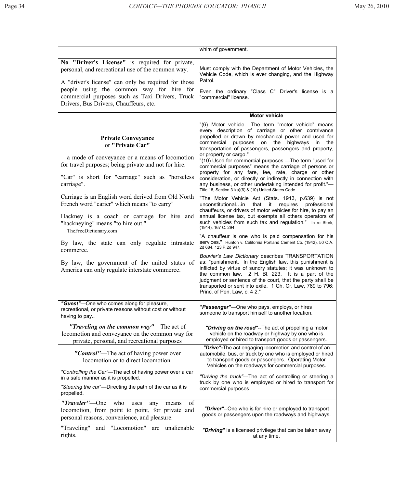|                                                                                                                                                                                                                                                                                                     | whim of government.                                                                                                                                                                                                                                                                                                                                                                                                           |
|-----------------------------------------------------------------------------------------------------------------------------------------------------------------------------------------------------------------------------------------------------------------------------------------------------|-------------------------------------------------------------------------------------------------------------------------------------------------------------------------------------------------------------------------------------------------------------------------------------------------------------------------------------------------------------------------------------------------------------------------------|
| No "Driver's License" is required for private,<br>personal, and recreational use of the common way.<br>A "driver's license" can only be required for those<br>people using the common way for hire for<br>commercial purposes such as Taxi Drivers, Truck<br>Drivers, Bus Drivers, Chauffeurs, etc. | Must comply with the Department of Motor Vehicles, the<br>Vehicle Code, which is ever changing, and the Highway<br>Patrol.<br>Even the ordinary "Class C" Driver's license is a<br>"commercial" license.                                                                                                                                                                                                                      |
|                                                                                                                                                                                                                                                                                                     | <b>Motor vehicle</b>                                                                                                                                                                                                                                                                                                                                                                                                          |
| <b>Private Conveyance</b><br>or "Private Car"<br>—a mode of conveyance or a means of locomotion<br>for travel purposes; being private and not for hire.                                                                                                                                             | "(6) Motor vehicle.—The term "motor vehicle" means<br>every description of carriage or other contrivance<br>propelled or drawn by mechanical power and used for<br>commercial purposes on<br>the highways<br>in<br>the<br>transportation of passengers, passengers and property,<br>or property or cargo."<br>"(10) Used for commercial purposes.—The term "used for<br>commercial purposes" means the carriage of persons or |
| "Car" is short for "carriage" such as "horseless"<br>carriage".                                                                                                                                                                                                                                     | property for any fare, fee, rate, charge or other<br>consideration, or directly or indirectly in connection with<br>any business, or other undertaking intended for profit."-<br>Title 18, Section 31(a)(6) & (10) United States Code                                                                                                                                                                                         |
| Carriage is an English word derived from Old North<br>French word "carier" which means "to carry"<br>Hackney is a coach or carriage for hire and<br>"hackneying" means "to hire out."<br>-TheFreeDictionary.com                                                                                     | "The Motor Vehicle Act (Stats. 1913, p.639) is not<br>unconstitutionalin<br>that it<br>requires<br>professional<br>chauffeurs, or drivers of motor vehicles for hire, to pay an<br>annual license tax, but exempts all others operators of<br>such vehicles from such tax and regulation." In re Stork,<br>(1914), 167 C. 294.                                                                                                |
| By law, the state can only regulate intrastate<br>commerce.                                                                                                                                                                                                                                         | "A chauffeur is one who is paid compensation for his<br>Services." Hunton v. California Portland Cement Co. (1942), 50 C.A.<br>2d 684, 123 P.2d 947.                                                                                                                                                                                                                                                                          |
| By law, the government of the united states of<br>America can only regulate interstate commerce.                                                                                                                                                                                                    | Bouvier's Law Dictionary describes TRANSPORTATION<br>as: "punishment. In the English law, this punishment is<br>inflicted by virtue of sundry statutes; it was unknown to<br>the common law. 2 H. Bl. 223. It is a part of the<br>judgment or sentence of the court, that the party shall be<br>transported or sent into exile. 1 Ch. Cr. Law, 789 to 796:<br>Princ. of Pen. Law, c. 4 2."                                    |
| "Guest"-One who comes along for pleasure,<br>recreational, or private reasons without cost or without<br>having to pay                                                                                                                                                                              | "Passenger"-One who pays, employs, or hires<br>someone to transport himself to another location.                                                                                                                                                                                                                                                                                                                              |
| "Traveling on the common way"—The act of<br>locomotion and conveyance on the common way for<br>private, personal, and recreational purposes                                                                                                                                                         | "Driving on the road"--The act of propelling a motor<br>vehicle on the roadway or highway by one who is<br>employed or hired to transport goods or passengers.                                                                                                                                                                                                                                                                |
| "Control"-The act of having power over<br>locomotion or to direct locomotion.                                                                                                                                                                                                                       | "Drive"-The act engaging locomotion and control of an<br>automobile, bus, or truck by one who is employed or hired<br>to transport goods or passengers. Operating Motor<br>Vehicles on the roadways for commercial purposes.                                                                                                                                                                                                  |
| "Controlling the Car"-The act of having power over a car<br>in a safe manner as it is propelled.                                                                                                                                                                                                    | "Driving the truck"—The act of controlling or steering a                                                                                                                                                                                                                                                                                                                                                                      |
| "Steering the car"—Directing the path of the car as it is<br>propelled.                                                                                                                                                                                                                             | truck by one who is employed or hired to transport for<br>commercial purposes.                                                                                                                                                                                                                                                                                                                                                |
| of<br>"Traveler"—One who<br>uses<br>means<br>any<br>locomotion, from point to point, for private and<br>personal reasons, convenience, and pleasure.                                                                                                                                                | "Driver"--One who is for hire or employed to transport<br>goods or passengers upon the roadways and highways.                                                                                                                                                                                                                                                                                                                 |
| "Traveling"<br>and "Locomotion"<br>are unalienable<br>rights.                                                                                                                                                                                                                                       | "Driving" is a licensed privilege that can be taken away<br>at any time.                                                                                                                                                                                                                                                                                                                                                      |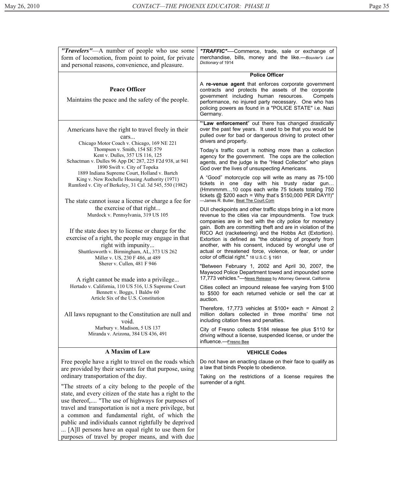| "Travelers"—A number of people who use some<br>form of locomotion, from point to point, for private<br>and personal reasons, convenience, and pleasure.                                                           | "TRAFFIC"----Commerce, trade, sale or exchange of<br>merchandise, bills, money and the like.--Bouvier's Law<br>Dictionary of 1914                                                                                                                                                           |
|-------------------------------------------------------------------------------------------------------------------------------------------------------------------------------------------------------------------|---------------------------------------------------------------------------------------------------------------------------------------------------------------------------------------------------------------------------------------------------------------------------------------------|
|                                                                                                                                                                                                                   | <b>Police Officer</b>                                                                                                                                                                                                                                                                       |
| <b>Peace Officer</b><br>Maintains the peace and the safety of the people.                                                                                                                                         | A re-venue agent that enforces corporate government<br>contracts and protects the assets of the corporate<br>government including human resources.<br>Compels<br>performance, no injured party necessary. One who has<br>policing powers as found in a "POLICE STATE" i.e. Nazi<br>Germany. |
| Americans have the right to travel freely in their<br>cars<br>Chicago Motor Coach v. Chicago, 169 NE 221                                                                                                          | ""Law enforcement" out there has changed drastically<br>over the past few years. It used to be that you would be<br>pulled over for bad or dangerous driving to protect other<br>drivers and property.                                                                                      |
| Thompson v. Smith, 154 SE 579<br>Kent v. Dulles, 357 US 116, 125<br>Schactman v. Dulles 96 App DC 287, 225 F2d 938, at 941<br>1890 Swift v. City of Topeka                                                        | Today's traffic court is nothing more than a collection<br>agency for the government. The cops are the collection<br>agents, and the judge is the "Head Collector" who plays<br>God over the lives of unsuspecting Americans.                                                               |
| 1889 Indiana Supreme Court, Holland v. Bartch<br>King v. New Rochelle Housing Authority (1971)<br>Rumford v. City of Berkeley, 31 Cal. 3d 545, 550 (1982)<br>The state cannot issue a license or charge a fee for | A "Good" motorcycle cop will write as many as 75-100<br>tickets in one day with his trusty radar gun<br>(Hmmmmm10 cops each write 75 tickets totaling 750<br>tickets $@$ \$200 each = Why that's \$150,000 PER DAY!!)"<br>-James R. Butler, Beat The Court.Com                              |
| the exercise of that right<br>Murdock v. Pennsylvania, 319 US 105<br>If the state does try to license or charge for the                                                                                           | DUI checkpoints and other traffic stops bring in a lot more<br>revenue to the cities via car impoundments. Tow truck<br>companies are in bed with the city police for monetary<br>gain. Both are committing theft and are in violation of the                                               |
| exercise of a right, the people may engage in that<br>right with impunity<br>Shuttlesworth v. Birmingham, AL, 373 US 262<br>Miller v. US, 230 F 486, at 489                                                       | RICO Act (racketeering) and the Hobbs Act (Extortion).<br>Extortion is defined as "the obtaining of property from<br>another, with his consent, induced by wrongful use of<br>actual or threatened force, violence, or fear, or under<br>color of official right." 18 U.S.C. § 1951         |
| Sherer v. Cullen, 481 F 946<br>A right cannot be made into a privilege                                                                                                                                            | "Between February 1, 2002 and April 30, 2007, the<br>Maywood Police Department towed and impounded some<br>17,773 vehicles."-News Release by Attorney General, California                                                                                                                   |
| Hertado v. California, 110 US 516, U.S Supreme Court<br>Bennett v. Boggs, 1 Baldw 60<br>Article Six of the U.S. Constitution                                                                                      | Cities collect an impound release fee varying from \$100<br>to \$500 for each returned vehicle or sell the car at<br>auction.                                                                                                                                                               |
| All laws repugnant to the Constitution are null and<br>void.                                                                                                                                                      | Therefore, 17,773 vehicles at $$100+$ each = Almost 2<br>million dollars collected in three months' time not<br>including citation fines and penalties.                                                                                                                                     |
| Marbury v. Madison, 5 US 137<br>Miranda v. Arizona, 384 US 436, 491                                                                                                                                               | City of Fresno collects \$184 release fee plus \$110 for<br>driving without a license, suspended license, or under the<br>influence.--Fresno Bee                                                                                                                                            |
| A Maxim of Law                                                                                                                                                                                                    | <b>VEHICLE Codes</b>                                                                                                                                                                                                                                                                        |
| Free people have a right to travel on the roads which<br>are provided by their servants for that purpose, using                                                                                                   | Do not have an enacting clause on their face to qualify as<br>a law that binds People to obedience.                                                                                                                                                                                         |
| ordinary transportation of the day.                                                                                                                                                                               | Taking on the restrictions of a license requires the                                                                                                                                                                                                                                        |
| "The streets of a city belong to the people of the<br>state, and every citizen of the state has a right to the<br>use thereof, "The use of highways for purposes of                                               | surrender of a right.                                                                                                                                                                                                                                                                       |
| travel and transportation is not a mere privilege, but<br>a common and fundamental right, of which the<br>public and individuals cannot rightfully be deprived                                                    |                                                                                                                                                                                                                                                                                             |
| [A] l persons have an equal right to use them for<br>purposes of travel by proper means, and with due                                                                                                             |                                                                                                                                                                                                                                                                                             |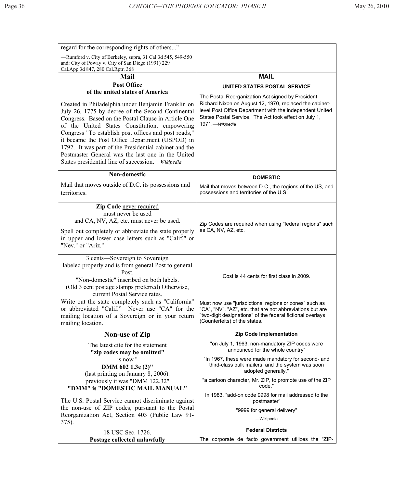| regard for the corresponding rights of others"                                                                                                                                                                                                                                                                                                                                                                                                                                                                                   |                                                                                                                                                                                                                                                        |
|----------------------------------------------------------------------------------------------------------------------------------------------------------------------------------------------------------------------------------------------------------------------------------------------------------------------------------------------------------------------------------------------------------------------------------------------------------------------------------------------------------------------------------|--------------------------------------------------------------------------------------------------------------------------------------------------------------------------------------------------------------------------------------------------------|
| -Rumford v. City of Berkeley, supra, 31 Cal.3d 545, 549-550<br>and: City of Poway v. City of San Diego (1991) 229<br>Cal.App.3d 847, 280 Cal.Rptr. 368                                                                                                                                                                                                                                                                                                                                                                           |                                                                                                                                                                                                                                                        |
| <b>Mail</b>                                                                                                                                                                                                                                                                                                                                                                                                                                                                                                                      | <b>MAIL</b>                                                                                                                                                                                                                                            |
| <b>Post Office</b>                                                                                                                                                                                                                                                                                                                                                                                                                                                                                                               | UNITED STATES POSTAL SERVICE                                                                                                                                                                                                                           |
| of the united states of America<br>Created in Philadelphia under Benjamin Franklin on<br>July 26, 1775 by decree of the Second Continental<br>Congress. Based on the Postal Clause in Article One<br>of the United States Constitution, empowering<br>Congress "To establish post offices and post roads,"<br>it became the Post Office Department (USPOD) in<br>1792. It was part of the Presidential cabinet and the<br>Postmaster General was the last one in the United<br>States presidential line of succession.—Wikipedia | The Postal Reorganization Act signed by President<br>Richard Nixon on August 12, 1970, replaced the cabinet-<br>level Post Office Department with the independent United<br>States Postal Service. The Act took effect on July 1,<br>1971. - Wikipedia |
| <b>Non-domestic</b>                                                                                                                                                                                                                                                                                                                                                                                                                                                                                                              | <b>DOMESTIC</b>                                                                                                                                                                                                                                        |
| Mail that moves outside of D.C. its possessions and<br>territories.                                                                                                                                                                                                                                                                                                                                                                                                                                                              | Mail that moves between D.C., the regions of the US, and<br>possessions and territories of the U.S.                                                                                                                                                    |
| <b>Zip Code</b> never required<br>must never be used<br>and CA, NV, AZ, etc. must never be used.<br>Spell out completely or abbreviate the state properly<br>in upper and lower case letters such as "Calif." or<br>"Nev." or "Ariz."                                                                                                                                                                                                                                                                                            | Zip Codes are required when using "federal regions" such<br>as CA, NV, AZ, etc.                                                                                                                                                                        |
| 3 cents-Sovereign to Sovereign<br>labeled properly and is from general Post to general<br>Post.<br>"Non-domestic" inscribed on both labels.<br>(Old 3 cent postage stamps preferred) Otherwise,<br>current Postal Service rates.                                                                                                                                                                                                                                                                                                 | Cost is 44 cents for first class in 2009.                                                                                                                                                                                                              |
| Write out the state completely such as "California"<br>or abbreviated "Calif." Never use "CA" for the<br>mailing location of a Sovereign or in your return<br>mailing location.                                                                                                                                                                                                                                                                                                                                                  | Must now use "jurisdictional regions or zones" such as<br>"CA", "NV", "AZ", etc. that are not abbreviations but are<br>"two-digit designations" of the federal fictional overlays<br>(Counterfeits) of the states.                                     |
| <b>Non-use of Zip</b>                                                                                                                                                                                                                                                                                                                                                                                                                                                                                                            | <b>Zip Code Implementation</b>                                                                                                                                                                                                                         |
| The latest cite for the statement<br>"zip codes may be omitted"                                                                                                                                                                                                                                                                                                                                                                                                                                                                  | "on July 1, 1963, non-mandatory ZIP codes were<br>announced for the whole country"                                                                                                                                                                     |
| is now"<br>DMM 602 1.3e (2)"<br>(last printing on January 8, 2006).                                                                                                                                                                                                                                                                                                                                                                                                                                                              | "In 1967, these were made mandatory for second- and<br>third-class bulk mailers, and the system was soon<br>adopted generally."                                                                                                                        |
| previously it was "DMM 122.32"<br>"DMM" is "DOMESTIC MAIL MANUAL"                                                                                                                                                                                                                                                                                                                                                                                                                                                                | "a cartoon character, Mr. ZIP, to promote use of the ZIP<br>code."                                                                                                                                                                                     |
| The U.S. Postal Service cannot discriminate against                                                                                                                                                                                                                                                                                                                                                                                                                                                                              | In 1983, "add-on code 9998 for mail addressed to the<br>postmaster"                                                                                                                                                                                    |
| the <u>non-use of ZIP codes</u> , pursuant to the Postal<br>Reorganization Act, Section 403 (Public Law 91-<br>375).                                                                                                                                                                                                                                                                                                                                                                                                             | "9999 for general delivery"<br>-Wikipedia                                                                                                                                                                                                              |
|                                                                                                                                                                                                                                                                                                                                                                                                                                                                                                                                  | <b>Federal Districts</b>                                                                                                                                                                                                                               |
| 18 USC Sec. 1726.<br>Postage collected unlawfully                                                                                                                                                                                                                                                                                                                                                                                                                                                                                | The corporate de facto government utilizes the "ZIP-                                                                                                                                                                                                   |
|                                                                                                                                                                                                                                                                                                                                                                                                                                                                                                                                  |                                                                                                                                                                                                                                                        |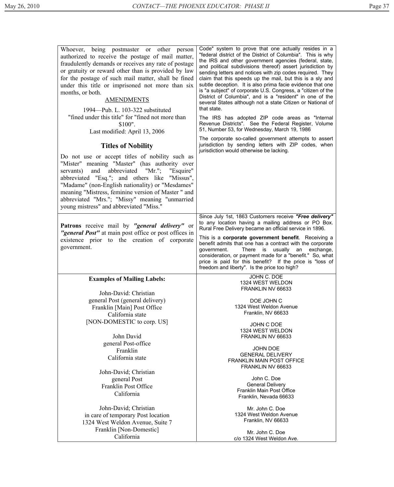| Whoever, being postmaster or other person<br>authorized to receive the postage of mail matter,<br>fraudulently demands or receives any rate of postage<br>or gratuity or reward other than is provided by law                                                                                                                                                                                             | Code" system to prove that one actually resides in a<br>"federal district of the District of Columbia". This is why                                                                                                                                                                                                                                                                                                                                                                                                                                                                                                                                                              |
|-----------------------------------------------------------------------------------------------------------------------------------------------------------------------------------------------------------------------------------------------------------------------------------------------------------------------------------------------------------------------------------------------------------|----------------------------------------------------------------------------------------------------------------------------------------------------------------------------------------------------------------------------------------------------------------------------------------------------------------------------------------------------------------------------------------------------------------------------------------------------------------------------------------------------------------------------------------------------------------------------------------------------------------------------------------------------------------------------------|
| for the postage of such mail matter, shall be fined<br>under this title or imprisoned not more than six<br>months, or both.<br><b>AMENDMENTS</b><br>1994—Pub. L. 103-322 substituted<br>"fined under this title" for "fined not more than<br>\$100".<br>Last modified: April 13, 2006                                                                                                                     | the IRS and other government agencies (federal, state,<br>and political subdivisions thereof) assert jurisdiction by<br>sending letters and notices with zip codes required. They<br>claim that this speeds up the mail, but this is a sly and<br>subtle deception. It is also prima facie evidence that one<br>is "a subject" of corporate U.S. Congress, a "citizen of the<br>District of Columbia", and is a "resident" in one of the<br>several States although not a state Citizen or National of<br>that state.<br>The IRS has adopted ZIP code areas as "Internal<br>Revenue Districts". See the Federal Register, Volume<br>51, Number 53, for Wednesday, March 19, 1986 |
| <b>Titles of Nobility</b>                                                                                                                                                                                                                                                                                                                                                                                 | The corporate so-called government attempts to assert<br>jurisdiction by sending letters with ZIP codes, when<br>jurisdiction would otherwise be lacking.                                                                                                                                                                                                                                                                                                                                                                                                                                                                                                                        |
| Do not use or accept titles of nobility such as<br>"Mister" meaning "Master" (has authority over<br>abbreviated "Mr."; "Esquire"<br>servants) and<br>abbreviated "Esq."; and others like "Missus",<br>"Madame" (non-English nationality) or "Mesdames"<br>meaning "Mistress, feminine version of Master" and<br>abbreviated "Mrs."; "Missy" meaning "unmarried<br>young mistress" and abbreviated "Miss." |                                                                                                                                                                                                                                                                                                                                                                                                                                                                                                                                                                                                                                                                                  |
| Patrons receive mail by "general delivery" or                                                                                                                                                                                                                                                                                                                                                             | Since July 1st, 1863 Customers receive "Free delivery"<br>to any location having a mailing address or PO Box.<br>Rural Free Delivery became an official service in 1896.                                                                                                                                                                                                                                                                                                                                                                                                                                                                                                         |
|                                                                                                                                                                                                                                                                                                                                                                                                           |                                                                                                                                                                                                                                                                                                                                                                                                                                                                                                                                                                                                                                                                                  |
| "general Post" at main post office or post offices in<br>existence prior to the creation of corporate<br>government.                                                                                                                                                                                                                                                                                      | This is a corporate government benefit. Receiving a<br>benefit admits that one has a contract with the corporate<br>government.<br>There is<br>usually an<br>exchange,<br>consideration, or payment made for a "benefit." So, what<br>price is paid for this benefit? If the price is "loss of<br>freedom and liberty". Is the price too high?                                                                                                                                                                                                                                                                                                                                   |
| <b>Examples of Mailing Labels:</b>                                                                                                                                                                                                                                                                                                                                                                        | <b>JOHN C. DOE</b>                                                                                                                                                                                                                                                                                                                                                                                                                                                                                                                                                                                                                                                               |
|                                                                                                                                                                                                                                                                                                                                                                                                           | 1324 WEST WELDON<br>FRANKLIN NV 66633                                                                                                                                                                                                                                                                                                                                                                                                                                                                                                                                                                                                                                            |
| John-David: Christian<br>general Post (general delivery)                                                                                                                                                                                                                                                                                                                                                  | DOE JOHN C                                                                                                                                                                                                                                                                                                                                                                                                                                                                                                                                                                                                                                                                       |
| Franklin [Main] Post Office                                                                                                                                                                                                                                                                                                                                                                               | 1324 West Weldon Avenue                                                                                                                                                                                                                                                                                                                                                                                                                                                                                                                                                                                                                                                          |
| California state                                                                                                                                                                                                                                                                                                                                                                                          | Franklin, NV 66633                                                                                                                                                                                                                                                                                                                                                                                                                                                                                                                                                                                                                                                               |
| [NON-DOMESTIC to corp. US]                                                                                                                                                                                                                                                                                                                                                                                | JOHN C DOE                                                                                                                                                                                                                                                                                                                                                                                                                                                                                                                                                                                                                                                                       |
|                                                                                                                                                                                                                                                                                                                                                                                                           | 1324 WEST WELDON                                                                                                                                                                                                                                                                                                                                                                                                                                                                                                                                                                                                                                                                 |
| John David                                                                                                                                                                                                                                                                                                                                                                                                | FRANKLIN NV 66633                                                                                                                                                                                                                                                                                                                                                                                                                                                                                                                                                                                                                                                                |
| general Post-office                                                                                                                                                                                                                                                                                                                                                                                       | <b>JOHN DOE</b>                                                                                                                                                                                                                                                                                                                                                                                                                                                                                                                                                                                                                                                                  |
| Franklin<br>California state                                                                                                                                                                                                                                                                                                                                                                              | <b>GENERAL DELIVERY</b>                                                                                                                                                                                                                                                                                                                                                                                                                                                                                                                                                                                                                                                          |
|                                                                                                                                                                                                                                                                                                                                                                                                           | <b>FRANKLIN MAIN POST OFFICE</b>                                                                                                                                                                                                                                                                                                                                                                                                                                                                                                                                                                                                                                                 |
| John-David; Christian                                                                                                                                                                                                                                                                                                                                                                                     | FRANKLIN NV 66633                                                                                                                                                                                                                                                                                                                                                                                                                                                                                                                                                                                                                                                                |
| general Post                                                                                                                                                                                                                                                                                                                                                                                              | John C. Doe                                                                                                                                                                                                                                                                                                                                                                                                                                                                                                                                                                                                                                                                      |
| Franklin Post Office                                                                                                                                                                                                                                                                                                                                                                                      | <b>General Delivery</b><br>Franklin Main Post Office                                                                                                                                                                                                                                                                                                                                                                                                                                                                                                                                                                                                                             |
| California                                                                                                                                                                                                                                                                                                                                                                                                | Franklin, Nevada 66633                                                                                                                                                                                                                                                                                                                                                                                                                                                                                                                                                                                                                                                           |
| John-David; Christian                                                                                                                                                                                                                                                                                                                                                                                     | Mr. John C. Doe                                                                                                                                                                                                                                                                                                                                                                                                                                                                                                                                                                                                                                                                  |
| in care of temporary Post location                                                                                                                                                                                                                                                                                                                                                                        | 1324 West Weldon Avenue                                                                                                                                                                                                                                                                                                                                                                                                                                                                                                                                                                                                                                                          |
| 1324 West Weldon Avenue, Suite 7                                                                                                                                                                                                                                                                                                                                                                          | Franklin, NV 66633                                                                                                                                                                                                                                                                                                                                                                                                                                                                                                                                                                                                                                                               |
| Franklin [Non-Domestic]<br>California                                                                                                                                                                                                                                                                                                                                                                     | Mr. John C. Doe                                                                                                                                                                                                                                                                                                                                                                                                                                                                                                                                                                                                                                                                  |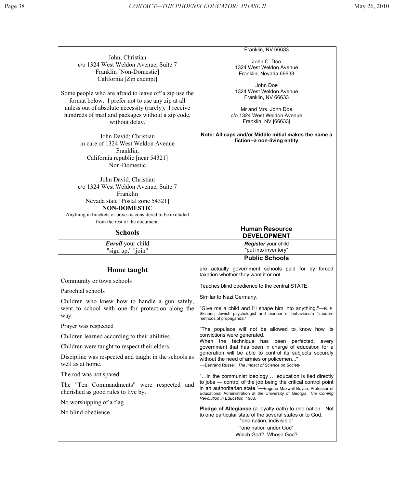| John; Christian<br>c/o 1324 West Weldon Avenue, Suite 7<br>Franklin [Non-Domestic]<br>California [Zip exempt]                                                                                                                                                                                                                                                        | Franklin, NV 66633<br>John C. Doe<br>1324 West Weldon Avenue<br>Franklin, Nevada 66633<br>John Doe                                                                                                     |
|----------------------------------------------------------------------------------------------------------------------------------------------------------------------------------------------------------------------------------------------------------------------------------------------------------------------------------------------------------------------|--------------------------------------------------------------------------------------------------------------------------------------------------------------------------------------------------------|
| Some people who are afraid to leave off a zip use the<br>format below. I prefer not to use any zip at all<br>unless out of absolute necessity (rarely). I receive<br>hundreds of mail and packages without a zip code,<br>without delay.                                                                                                                             | 1324 West Weldon Avenue<br>Franklin, NV 66633<br>Mr and Mrs. John Doe<br>c/o 1324 West Weldon Avenue<br>Franklin, NV [66633]                                                                           |
| John David; Christian<br>in care of 1324 West Weldon Avenue<br>Franklin,<br>California republic [near 54321]<br>Non-Domestic<br>John David, Christian<br>c/o 1324 West Weldon Avenue, Suite 7<br>Franklin<br>Nevada state [Postal zone 54321]<br><b>NON-DOMESTIC</b><br>Anything in brackets or boxes is considered to be excluded<br>from the rest of the document. | Note: All caps and/or Middle initial makes the name a<br>fiction--a non-living entity                                                                                                                  |
| <b>Schools</b>                                                                                                                                                                                                                                                                                                                                                       | <b>Human Resource</b><br><b>DEVELOPMENT</b>                                                                                                                                                            |
| <b>Enroll</b> your child<br>"sign up," "join"                                                                                                                                                                                                                                                                                                                        | Register your child<br>"put into inventory"                                                                                                                                                            |
|                                                                                                                                                                                                                                                                                                                                                                      | <b>Public Schools</b>                                                                                                                                                                                  |
| <b>Home taught</b><br>Community or town schools                                                                                                                                                                                                                                                                                                                      | are actually government schools paid for by forced<br>taxation whether they want it or not.                                                                                                            |
|                                                                                                                                                                                                                                                                                                                                                                      | Teaches blind obedience to the central STATE.                                                                                                                                                          |
| Parochial schools                                                                                                                                                                                                                                                                                                                                                    | Similar to Nazi Germany.                                                                                                                                                                               |
| Children who knew how to handle a gun safely,<br>went to school with one for protection along the<br>way.                                                                                                                                                                                                                                                            | "Give me a child and I'll shape him into anything."—B. F.<br>Skinner, Jewish psychologist and pioneer of behaviorism "modern<br>methods of propaganda."                                                |
| Prayer was respected                                                                                                                                                                                                                                                                                                                                                 | "The populace will not be allowed to know how its                                                                                                                                                      |
| Children learned according to their abilities.                                                                                                                                                                                                                                                                                                                       | convictions were generated.<br>When the technique has been perfected, every                                                                                                                            |
| Children were taught to respect their elders.                                                                                                                                                                                                                                                                                                                        | government that has been in charge of education for a                                                                                                                                                  |
| Discipline was respected and taught in the schools as<br>well as at home.                                                                                                                                                                                                                                                                                            | generation will be able to control its subjects securely<br>without the need of armies or policemen"<br>-Bertrand Russell, The Impact of Science on Society                                            |
| The rod was not spared.                                                                                                                                                                                                                                                                                                                                              | "in the communist ideology  education is tied directly                                                                                                                                                 |
| The "Ten Commandments" were respected and<br>cherished as good rules to live by.                                                                                                                                                                                                                                                                                     | to jobs - control of the job being the critical control point<br>in an authoritarian state."-Eugene Maxwell Boyce, Professor of<br>Educational Administration at the University of Georgia, The Coming |
| No worshipping of a flag                                                                                                                                                                                                                                                                                                                                             | Revolution in Education, 1983.                                                                                                                                                                         |
| No blind obedience                                                                                                                                                                                                                                                                                                                                                   | Pledge of Allegiance (a loyalty oath) to one nation. Not<br>to one particular state of the several states or to God.<br>"one nation, indivisible"<br>"one nation under God"                            |
|                                                                                                                                                                                                                                                                                                                                                                      | Which God? Whose God?                                                                                                                                                                                  |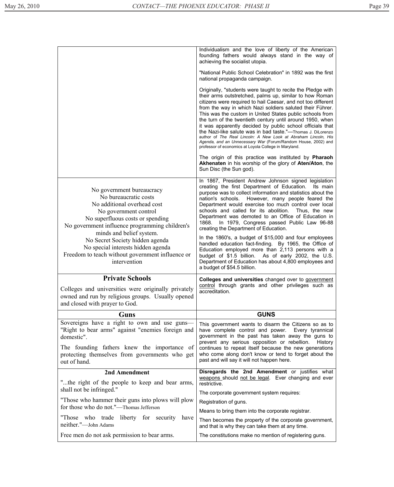|                                                                                                                                                                                                                                  | Individualism and the love of liberty of the American<br>founding fathers would always stand in the way of<br>achieving the socialist utopia.                                                                                                                                                                                                                                                                                                                                                                                                                                                                                                                                                        |  |
|----------------------------------------------------------------------------------------------------------------------------------------------------------------------------------------------------------------------------------|------------------------------------------------------------------------------------------------------------------------------------------------------------------------------------------------------------------------------------------------------------------------------------------------------------------------------------------------------------------------------------------------------------------------------------------------------------------------------------------------------------------------------------------------------------------------------------------------------------------------------------------------------------------------------------------------------|--|
|                                                                                                                                                                                                                                  | "National Public School Celebration" in 1892 was the first<br>national propaganda campaign.                                                                                                                                                                                                                                                                                                                                                                                                                                                                                                                                                                                                          |  |
|                                                                                                                                                                                                                                  | Originally, "students were taught to recite the Pledge with<br>their arms outstretched, palms up, similar to how Roman<br>citizens were required to hail Caesar, and not too different<br>from the way in which Nazi soldiers saluted their Führer.<br>This was the custom in United States public schools from<br>the turn of the twentieth century until around 1950, when<br>it was apparently decided by public school officials that<br>the Nazi-like salute was in bad taste."-Thomas J. DiLorenzo<br>author of The Real Lincoln: A New Look at Abraham Lincoln, His<br>Agenda, and an Unnecessary War (Forum/Random House, 2002) and<br>professor of economics at Loyola College in Maryland. |  |
|                                                                                                                                                                                                                                  | The origin of this practice was instituted by <b>Pharaoh</b><br>Akhenaten in his worship of the glory of Aten/Aton, the<br>Sun Disc (the Sun god).                                                                                                                                                                                                                                                                                                                                                                                                                                                                                                                                                   |  |
| No government bureaucracy<br>No bureaucratic costs<br>No additional overhead cost<br>No government control<br>No superfluous costs or spending<br>No government influence programming children's<br>minds and belief system.     | In 1867, President Andrew Johnson signed legislation<br>creating the first Department of Education.<br>Its main<br>purpose was to collect information and statistics about the<br>However, many people feared the<br>nation's schools.<br>Department would exercise too much control over local<br>schools and called for its abolition.<br>Thus, the new<br>Department was demoted to an Office of Education in<br>In 1979, Congress passed Public Law 96-88<br>1868.<br>creating the Department of Education.                                                                                                                                                                                      |  |
| No Secret Society hidden agenda<br>No special interests hidden agenda<br>Freedom to teach without government influence or<br>intervention                                                                                        | In the 1860's, a budget of \$15,000 and four employees<br>handled education fact-finding. By 1965, the Office of<br>Education employed more than 2,113 persons with a<br>budget of \$1.5 billion. As of early 2002, the U.S.<br>Department of Education has about 4,800 employees and                                                                                                                                                                                                                                                                                                                                                                                                                |  |
|                                                                                                                                                                                                                                  | a budget of \$54.5 billion.                                                                                                                                                                                                                                                                                                                                                                                                                                                                                                                                                                                                                                                                          |  |
|                                                                                                                                                                                                                                  |                                                                                                                                                                                                                                                                                                                                                                                                                                                                                                                                                                                                                                                                                                      |  |
| <b>Private Schools</b><br>Colleges and universities were originally privately<br>owned and run by religious groups. Usually opened<br>and closed with prayer to God.                                                             | Colleges and universities changed over to government<br>control through grants and other privileges such as<br>accreditation.                                                                                                                                                                                                                                                                                                                                                                                                                                                                                                                                                                        |  |
| <b>Guns</b>                                                                                                                                                                                                                      | <b>GUNS</b>                                                                                                                                                                                                                                                                                                                                                                                                                                                                                                                                                                                                                                                                                          |  |
| Sovereigns have a right to own and use guns—<br>"Right to bear arms" against "enemies foreign and<br>domestic".<br>The founding fathers knew the importance of<br>protecting themselves from governments who get<br>out of hand. | This government wants to disarm the Citizens so as to<br>have complete control and power. Every tyrannical<br>government in the past has taken away the guns to<br>prevent any serious opposition or rebellion.<br><b>History</b><br>continues to repeat itself because the new generations<br>who come along don't know or tend to forget about the<br>past and will say it will not happen here.                                                                                                                                                                                                                                                                                                   |  |
| 2nd Amendment                                                                                                                                                                                                                    | Disregards the 2nd Amendment or justifies what                                                                                                                                                                                                                                                                                                                                                                                                                                                                                                                                                                                                                                                       |  |
| "the right of the people to keep and bear arms,<br>shall not be infringed."                                                                                                                                                      | weapons should not be legal. Ever changing and ever<br>restrictive.                                                                                                                                                                                                                                                                                                                                                                                                                                                                                                                                                                                                                                  |  |
| "Those who hammer their guns into plows will plow                                                                                                                                                                                | The corporate government system requires:                                                                                                                                                                                                                                                                                                                                                                                                                                                                                                                                                                                                                                                            |  |
| for those who do not."-Thomas Jefferson                                                                                                                                                                                          | Registration of guns.                                                                                                                                                                                                                                                                                                                                                                                                                                                                                                                                                                                                                                                                                |  |
| "Those who trade liberty for security"<br>have<br>neither."-John Adams                                                                                                                                                           | Means to bring them into the corporate registrar.<br>Then becomes the property of the corporate government,<br>and that is why they can take them at any time.                                                                                                                                                                                                                                                                                                                                                                                                                                                                                                                                       |  |